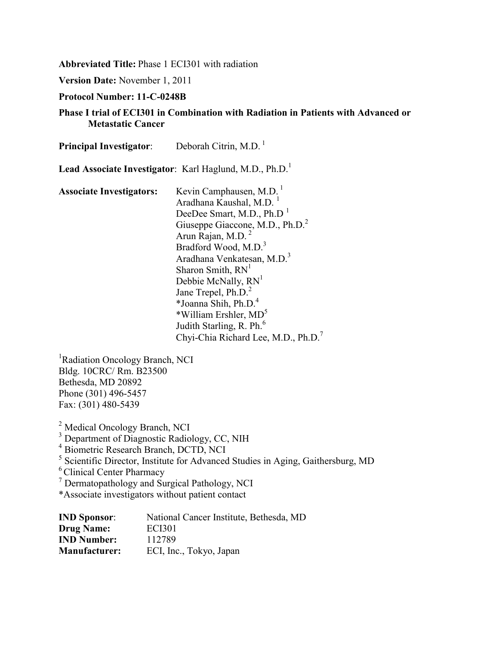**Abbreviated Title:** Phase 1 ECI301 with radiation

**Version Date:** November 1, 2011

**Protocol Number: 11-C-0248B**

#### **Phase I trial of ECI301 in Combination with Radiation in Patients with Advanced or Metastatic Cancer**

| <b>Principal Investigator:</b>  | Deborah Citrin, M.D. $1$                                                                                                                                                                                                                                                                                                                                                                                                                                                                                                                        |  |  |
|---------------------------------|-------------------------------------------------------------------------------------------------------------------------------------------------------------------------------------------------------------------------------------------------------------------------------------------------------------------------------------------------------------------------------------------------------------------------------------------------------------------------------------------------------------------------------------------------|--|--|
|                                 | Lead Associate Investigator: Karl Haglund, M.D., Ph.D. <sup>1</sup>                                                                                                                                                                                                                                                                                                                                                                                                                                                                             |  |  |
| <b>Associate Investigators:</b> | Kevin Camphausen, M.D.<br>Aradhana Kaushal, M.D. <sup>1</sup><br>DeeDee Smart, M.D., Ph.D <sup>1</sup><br>Giuseppe Giaccone, M.D., Ph.D. <sup>2</sup><br>Arun Rajan, M.D. <sup>2</sup><br>Bradford Wood, M.D. <sup>3</sup><br>Aradhana Venkatesan, M.D. <sup>3</sup><br>Sharon Smith, RN <sup>1</sup><br>Debbie McNally, RN <sup>1</sup><br>Jane Trepel, Ph.D. <sup>2</sup><br>*Joanna Shih, Ph.D. <sup>4</sup><br>*William Ershler, MD <sup>5</sup><br>Judith Starling, R. Ph. <sup>6</sup><br>Chyi-Chia Richard Lee, M.D., Ph.D. <sup>7</sup> |  |  |

<sup>1</sup>Radiation Oncology Branch, NCI Bldg. 10CRC/ Rm. B23500 Bethesda, MD 20892 Phone (301) 496-5457 Fax: (301) 480-5439

<sup>2</sup> Medical Oncology Branch, NCI <sup>3</sup> Department of Diagnostic Radiology, CC, NIH <sup>4</sup> Biometric Research Branch, DCTD, NCI <sup>5</sup> Scientific Director, Institute for Advanced Studies in Aging, Gaithersburg, MD 6 Clinical Center Pharmacy <sup>7</sup> Dermatopathology and Surgical Pathology, NCI \*Associate investigators without patient contact

| <b>IND Sponsor:</b>  | National Cancer Institute, Bethesda, MD |
|----------------------|-----------------------------------------|
| <b>Drug Name:</b>    | <b>ECI301</b>                           |
| <b>IND Number:</b>   | 112789                                  |
| <b>Manufacturer:</b> | ECI, Inc., Tokyo, Japan                 |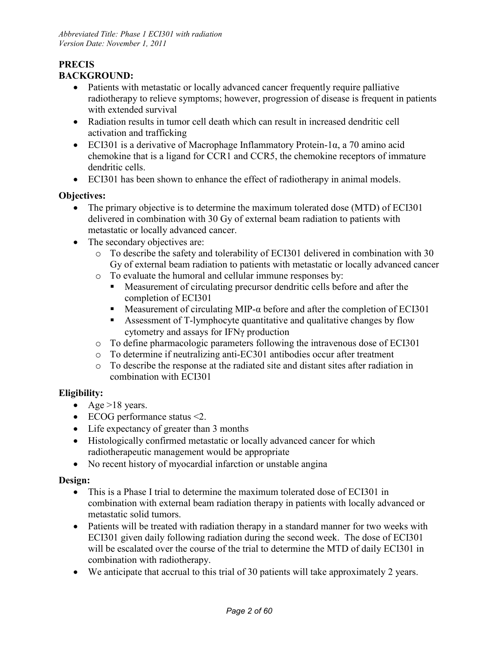#### **PRECIS BACKGROUND:**

- Patients with metastatic or locally advanced cancer frequently require palliative radiotherapy to relieve symptoms; however, progression of disease is frequent in patients with extended survival
- Radiation results in tumor cell death which can result in increased dendritic cell activation and trafficking
- ECI301 is a derivative of Macrophage Inflammatory Protein-1α, a 70 amino acid chemokine that is a ligand for CCR1 and CCR5, the chemokine receptors of immature dendritic cells.
- ECI301 has been shown to enhance the effect of radiotherapy in animal models.

#### **Objectives:**

- The primary objective is to determine the maximum tolerated dose (MTD) of ECI301 delivered in combination with 30 Gy of external beam radiation to patients with metastatic or locally advanced cancer.
- The secondary objectives are:
	- o To describe the safety and tolerability of ECI301 delivered in combination with 30 Gy of external beam radiation to patients with metastatic or locally advanced cancer
	- o To evaluate the humoral and cellular immune responses by:
		- Measurement of circulating precursor dendritic cells before and after the completion of ECI301
		- Measurement of circulating MIP- $\alpha$  before and after the completion of ECI301
		- Assessment of T-lymphocyte quantitative and qualitative changes by flow cytometry and assays for IFNγ production
	- o To define pharmacologic parameters following the intravenous dose of ECI301
	- o To determine if neutralizing anti-EC301 antibodies occur after treatment
	- o To describe the response at the radiated site and distant sites after radiation in combination with ECI301

## **Eligibility:**

- Age  $>18$  years.
- ECOG performance status <2.
- Life expectancy of greater than 3 months
- Histologically confirmed metastatic or locally advanced cancer for which radiotherapeutic management would be appropriate
- No recent history of myocardial infarction or unstable angina

#### **Design:**

- This is a Phase I trial to determine the maximum tolerated dose of ECI301 in combination with external beam radiation therapy in patients with locally advanced or metastatic solid tumors.
- Patients will be treated with radiation therapy in a standard manner for two weeks with ECI301 given daily following radiation during the second week. The dose of ECI301 will be escalated over the course of the trial to determine the MTD of daily ECI301 in combination with radiotherapy.
- We anticipate that accrual to this trial of 30 patients will take approximately 2 years.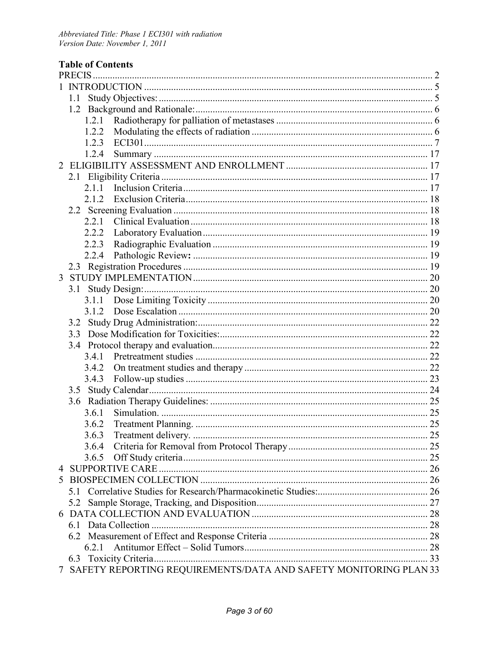# **Table of Contents**

|   | 1.1 |       |                                                                    |  |
|---|-----|-------|--------------------------------------------------------------------|--|
|   |     |       |                                                                    |  |
|   |     | 1.2.1 |                                                                    |  |
|   |     | 1.2.2 |                                                                    |  |
|   |     | 1.2.3 |                                                                    |  |
|   |     | 1.2.4 |                                                                    |  |
| 2 |     |       |                                                                    |  |
|   |     |       |                                                                    |  |
|   |     | 2.1.1 |                                                                    |  |
|   |     | 2.1.2 |                                                                    |  |
|   |     |       |                                                                    |  |
|   |     | 2.2.1 |                                                                    |  |
|   |     | 2.2.2 |                                                                    |  |
|   |     | 2.2.3 |                                                                    |  |
|   |     | 2.2.4 |                                                                    |  |
|   |     |       |                                                                    |  |
| 3 |     |       |                                                                    |  |
|   |     |       |                                                                    |  |
|   |     |       |                                                                    |  |
|   |     | 3.1.2 |                                                                    |  |
|   |     |       |                                                                    |  |
|   |     |       |                                                                    |  |
|   |     |       |                                                                    |  |
|   |     | 3.4.1 |                                                                    |  |
|   |     | 3.4.2 |                                                                    |  |
|   |     | 3.4.3 |                                                                    |  |
|   |     |       |                                                                    |  |
|   |     |       |                                                                    |  |
|   |     | 3.6.1 |                                                                    |  |
|   |     | 3.6.2 |                                                                    |  |
|   |     | 3.6.3 |                                                                    |  |
|   |     | 3.6.4 |                                                                    |  |
|   |     | 3.6.5 |                                                                    |  |
|   |     |       |                                                                    |  |
| 5 |     |       |                                                                    |  |
|   | 5 1 |       |                                                                    |  |
|   | 5.2 |       |                                                                    |  |
| 6 |     |       |                                                                    |  |
|   |     |       |                                                                    |  |
|   |     |       |                                                                    |  |
|   |     | 6.2.1 |                                                                    |  |
|   |     |       |                                                                    |  |
|   |     |       | 7 SAFETY REPORTING REQUIREMENTS/DATA AND SAFETY MONITORING PLAN 33 |  |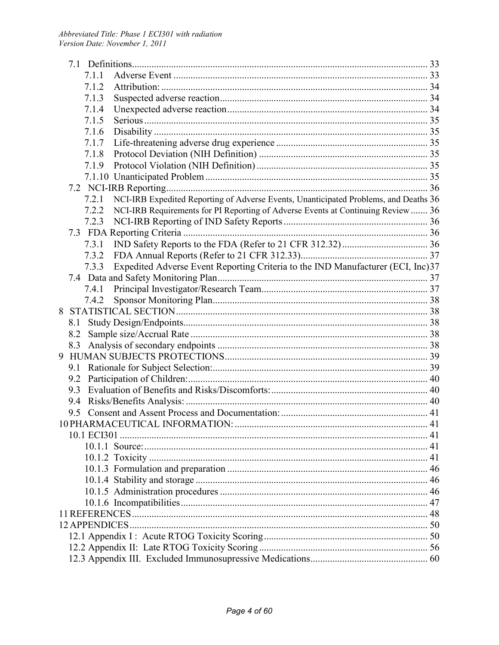|   |     | 7.1.1       |                                                                                      |    |
|---|-----|-------------|--------------------------------------------------------------------------------------|----|
|   |     | 7.1.2       |                                                                                      |    |
|   |     | 7.1.3       |                                                                                      |    |
|   |     | 7.1.4       |                                                                                      |    |
|   |     | 7.1.5       |                                                                                      |    |
|   |     | 7.1.6       |                                                                                      |    |
|   |     | 7.1.7       |                                                                                      |    |
|   |     | 7.1.8       |                                                                                      |    |
|   |     | 7.1.9       |                                                                                      |    |
|   |     |             |                                                                                      |    |
|   |     |             |                                                                                      |    |
|   |     | 7.2.1       | NCI-IRB Expedited Reporting of Adverse Events, Unanticipated Problems, and Deaths 36 |    |
|   |     | 7.2.2       | NCI-IRB Requirements for PI Reporting of Adverse Events at Continuing Review  36     |    |
|   |     | 7.2.3       |                                                                                      |    |
|   |     |             |                                                                                      |    |
|   |     | 7.3.1       |                                                                                      |    |
|   |     | 7.3.2       |                                                                                      |    |
|   |     | 7.3.3       | Expedited Adverse Event Reporting Criteria to the IND Manufacturer (ECI, Inc)37      |    |
|   |     |             |                                                                                      |    |
|   |     | 7.4.1       |                                                                                      |    |
|   |     | 7.4.2       |                                                                                      |    |
| 8 |     |             |                                                                                      |    |
|   | 8.1 |             |                                                                                      |    |
|   | 8.2 |             |                                                                                      |    |
|   | 8.3 |             |                                                                                      |    |
| 9 |     |             |                                                                                      |    |
|   |     |             |                                                                                      |    |
|   |     |             |                                                                                      |    |
|   | 9.3 |             |                                                                                      |    |
|   | 9.4 |             |                                                                                      |    |
|   |     |             |                                                                                      |    |
|   |     |             |                                                                                      |    |
|   |     | 10.1 ECI301 |                                                                                      |    |
|   |     |             |                                                                                      |    |
|   |     |             |                                                                                      | 41 |
|   |     |             |                                                                                      |    |
|   |     |             |                                                                                      |    |
|   |     |             |                                                                                      |    |
|   |     |             |                                                                                      |    |
|   |     |             |                                                                                      |    |
|   |     |             |                                                                                      |    |
|   |     |             |                                                                                      |    |
|   |     |             |                                                                                      |    |
|   |     |             |                                                                                      |    |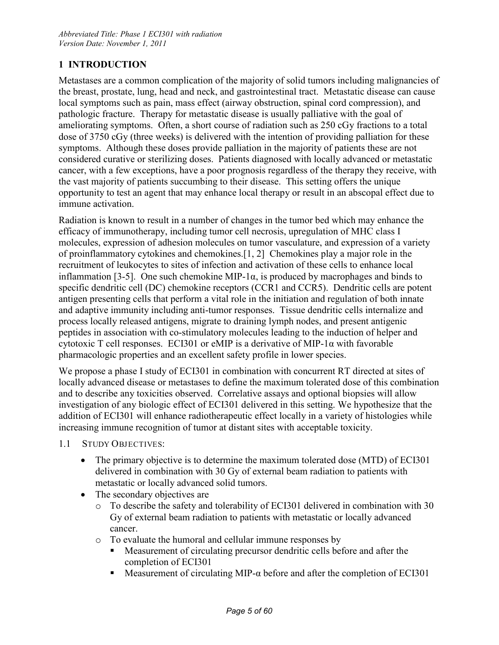## **1 INTRODUCTION**

Metastases are a common complication of the majority of solid tumors including malignancies of the breast, prostate, lung, head and neck, and gastrointestinal tract. Metastatic disease can cause local symptoms such as pain, mass effect (airway obstruction, spinal cord compression), and pathologic fracture. Therapy for metastatic disease is usually palliative with the goal of ameliorating symptoms. Often, a short course of radiation such as 250 cGy fractions to a total dose of 3750 cGy (three weeks) is delivered with the intention of providing palliation for these symptoms. Although these doses provide palliation in the majority of patients these are not considered curative or sterilizing doses. Patients diagnosed with locally advanced or metastatic cancer, with a few exceptions, have a poor prognosis regardless of the therapy they receive, with the vast majority of patients succumbing to their disease. This setting offers the unique opportunity to test an agent that may enhance local therapy or result in an abscopal effect due to immune activation.

Radiation is known to result in a number of changes in the tumor bed which may enhance the efficacy of immunotherapy, including tumor cell necrosis, upregulation of MHC class I molecules, expression of adhesion molecules on tumor vasculature, and expression of a variety of proinflammatory cytokines and chemokines.[1, 2] Chemokines play a major role in the recruitment of leukocytes to sites of infection and activation of these cells to enhance local inflammation [3-5]. One such chemokine MIP-1 $\alpha$ , is produced by macrophages and binds to specific dendritic cell (DC) chemokine receptors (CCR1 and CCR5). Dendritic cells are potent antigen presenting cells that perform a vital role in the initiation and regulation of both innate and adaptive immunity including anti-tumor responses. Tissue dendritic cells internalize and process locally released antigens, migrate to draining lymph nodes, and present antigenic peptides in association with co-stimulatory molecules leading to the induction of helper and cytotoxic T cell responses. ECI301 or eMIP is a derivative of MIP-1 $\alpha$  with favorable pharmacologic properties and an excellent safety profile in lower species.

We propose a phase I study of ECI301 in combination with concurrent RT directed at sites of locally advanced disease or metastases to define the maximum tolerated dose of this combination and to describe any toxicities observed. Correlative assays and optional biopsies will allow investigation of any biologic effect of ECI301 delivered in this setting. We hypothesize that the addition of ECI301 will enhance radiotherapeutic effect locally in a variety of histologies while increasing immune recognition of tumor at distant sites with acceptable toxicity.

- 1.1 STUDY OBJECTIVES:
	- The primary objective is to determine the maximum tolerated dose (MTD) of ECI301 delivered in combination with 30 Gy of external beam radiation to patients with metastatic or locally advanced solid tumors.
	- The secondary objectives are
		- o To describe the safety and tolerability of ECI301 delivered in combination with 30 Gy of external beam radiation to patients with metastatic or locally advanced cancer.
		- o To evaluate the humoral and cellular immune responses by
			- Measurement of circulating precursor dendritic cells before and after the completion of ECI301
			- Measurement of circulating MIP- $\alpha$  before and after the completion of ECI301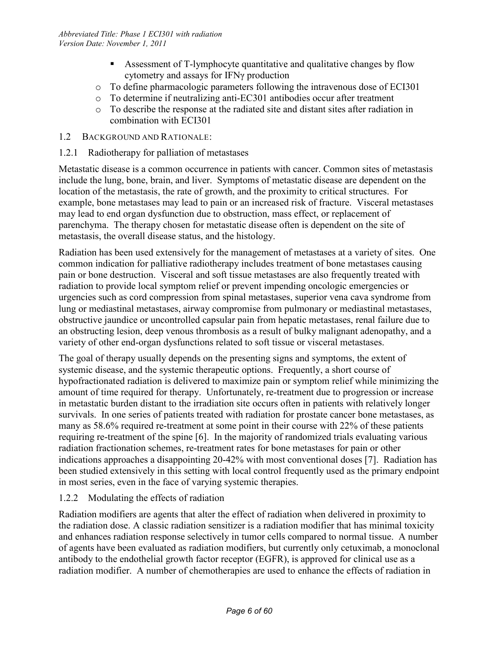- Assessment of T-lymphocyte quantitative and qualitative changes by flow cytometry and assays for IFNγ production
- o To define pharmacologic parameters following the intravenous dose of ECI301
- o To determine if neutralizing anti-EC301 antibodies occur after treatment
- o To describe the response at the radiated site and distant sites after radiation in combination with ECI301
- 1.2 BACKGROUND AND RATIONALE:
- 1.2.1 Radiotherapy for palliation of metastases

Metastatic disease is a common occurrence in patients with cancer. Common sites of metastasis include the lung, bone, brain, and liver. Symptoms of metastatic disease are dependent on the location of the metastasis, the rate of growth, and the proximity to critical structures. For example, bone metastases may lead to pain or an increased risk of fracture. Visceral metastases may lead to end organ dysfunction due to obstruction, mass effect, or replacement of parenchyma. The therapy chosen for metastatic disease often is dependent on the site of metastasis, the overall disease status, and the histology.

Radiation has been used extensively for the management of metastases at a variety of sites. One common indication for palliative radiotherapy includes treatment of bone metastases causing pain or bone destruction. Visceral and soft tissue metastases are also frequently treated with radiation to provide local symptom relief or prevent impending oncologic emergencies or urgencies such as cord compression from spinal metastases, superior vena cava syndrome from lung or mediastinal metastases, airway compromise from pulmonary or mediastinal metastases, obstructive jaundice or uncontrolled capsular pain from hepatic metastases, renal failure due to an obstructing lesion, deep venous thrombosis as a result of bulky malignant adenopathy, and a variety of other end-organ dysfunctions related to soft tissue or visceral metastases.

The goal of therapy usually depends on the presenting signs and symptoms, the extent of systemic disease, and the systemic therapeutic options. Frequently, a short course of hypofractionated radiation is delivered to maximize pain or symptom relief while minimizing the amount of time required for therapy. Unfortunately, re-treatment due to progression or increase in metastatic burden distant to the irradiation site occurs often in patients with relatively longer survivals. In one series of patients treated with radiation for prostate cancer bone metastases, as many as 58.6% required re-treatment at some point in their course with 22% of these patients requiring re-treatment of the spine [6]. In the majority of randomized trials evaluating various radiation fractionation schemes, re-treatment rates for bone metastases for pain or other indications approaches a disappointing 20-42% with most conventional doses [7]. Radiation has been studied extensively in this setting with local control frequently used as the primary endpoint in most series, even in the face of varying systemic therapies.

#### 1.2.2 Modulating the effects of radiation

Radiation modifiers are agents that alter the effect of radiation when delivered in proximity to the radiation dose. A classic radiation sensitizer is a radiation modifier that has minimal toxicity and enhances radiation response selectively in tumor cells compared to normal tissue. A number of agents have been evaluated as radiation modifiers, but currently only cetuximab, a monoclonal antibody to the endothelial growth factor receptor (EGFR), is approved for clinical use as a radiation modifier. A number of chemotherapies are used to enhance the effects of radiation in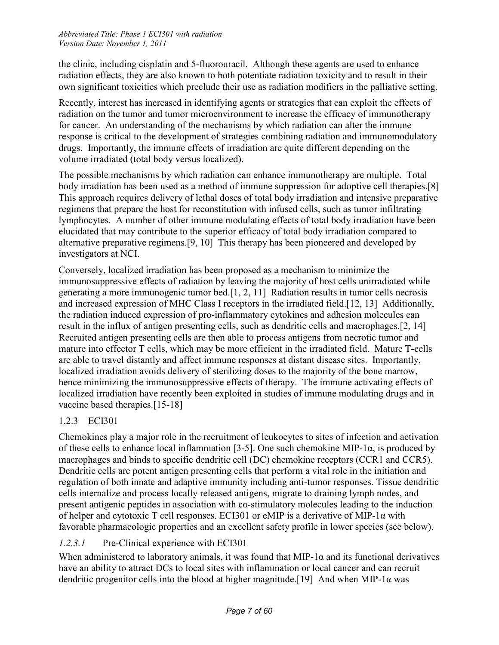the clinic, including cisplatin and 5-fluorouracil. Although these agents are used to enhance radiation effects, they are also known to both potentiate radiation toxicity and to result in their own significant toxicities which preclude their use as radiation modifiers in the palliative setting.

Recently, interest has increased in identifying agents or strategies that can exploit the effects of radiation on the tumor and tumor microenvironment to increase the efficacy of immunotherapy for cancer. An understanding of the mechanisms by which radiation can alter the immune response is critical to the development of strategies combining radiation and immunomodulatory drugs. Importantly, the immune effects of irradiation are quite different depending on the volume irradiated (total body versus localized).

The possible mechanisms by which radiation can enhance immunotherapy are multiple. Total body irradiation has been used as a method of immune suppression for adoptive cell therapies.[8] This approach requires delivery of lethal doses of total body irradiation and intensive preparative regimens that prepare the host for reconstitution with infused cells, such as tumor infiltrating lymphocytes. A number of other immune modulating effects of total body irradiation have been elucidated that may contribute to the superior efficacy of total body irradiation compared to alternative preparative regimens.[9, 10] This therapy has been pioneered and developed by investigators at NCI.

Conversely, localized irradiation has been proposed as a mechanism to minimize the immunosuppressive effects of radiation by leaving the majority of host cells unirradiated while generating a more immunogenic tumor bed.[1, 2, 11] Radiation results in tumor cells necrosis and increased expression of MHC Class I receptors in the irradiated field.[12, 13] Additionally, the radiation induced expression of pro-inflammatory cytokines and adhesion molecules can result in the influx of antigen presenting cells, such as dendritic cells and macrophages.[2, 14] Recruited antigen presenting cells are then able to process antigens from necrotic tumor and mature into effector T cells, which may be more efficient in the irradiated field. Mature T-cells are able to travel distantly and affect immune responses at distant disease sites. Importantly, localized irradiation avoids delivery of sterilizing doses to the majority of the bone marrow, hence minimizing the immunosuppressive effects of therapy. The immune activating effects of localized irradiation have recently been exploited in studies of immune modulating drugs and in vaccine based therapies.[15-18]

# 1.2.3 ECI301

Chemokines play a major role in the recruitment of leukocytes to sites of infection and activation of these cells to enhance local inflammation [3-5]. One such chemokine MIP-1 $\alpha$ , is produced by macrophages and binds to specific dendritic cell (DC) chemokine receptors (CCR1 and CCR5). Dendritic cells are potent antigen presenting cells that perform a vital role in the initiation and regulation of both innate and adaptive immunity including anti-tumor responses. Tissue dendritic cells internalize and process locally released antigens, migrate to draining lymph nodes, and present antigenic peptides in association with co-stimulatory molecules leading to the induction of helper and cytotoxic T cell responses. ECI301 or eMIP is a derivative of MIP-1α with favorable pharmacologic properties and an excellent safety profile in lower species (see below).

## *1.2.3.1* Pre-Clinical experience with ECI301

When administered to laboratory animals, it was found that MIP-1 $\alpha$  and its functional derivatives have an ability to attract DCs to local sites with inflammation or local cancer and can recruit dendritic progenitor cells into the blood at higher magnitude.[19] And when MIP-1 $\alpha$  was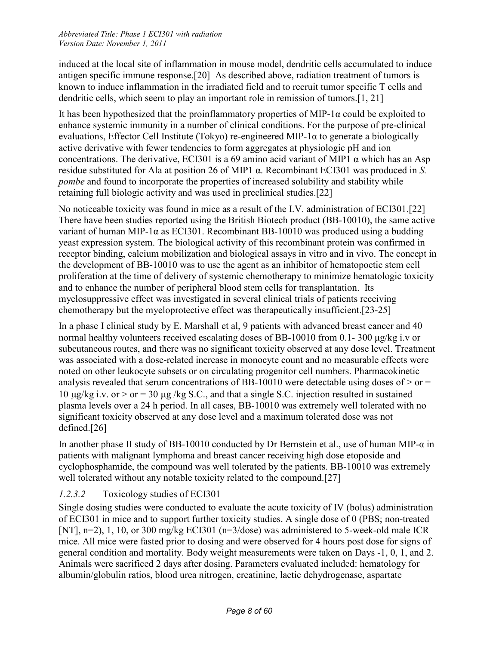induced at the local site of inflammation in mouse model, dendritic cells accumulated to induce antigen specific immune response.[20] As described above, radiation treatment of tumors is known to induce inflammation in the irradiated field and to recruit tumor specific T cells and dendritic cells, which seem to play an important role in remission of tumors.[1, 21]

It has been hypothesized that the proinflammatory properties of MIP-1 $\alpha$  could be exploited to enhance systemic immunity in a number of clinical conditions. For the purpose of pre-clinical evaluations, Effector Cell Institute (Tokyo) re-engineered MIP-1 $\alpha$  to generate a biologically active derivative with fewer tendencies to form aggregates at physiologic pH and ion concentrations. The derivative, ECI301 is a 69 amino acid variant of MIP1 α which has an Asp residue substituted for Ala at position 26 of MIP1 α. Recombinant ECI301 was produced in *S. pombe* and found to incorporate the properties of increased solubility and stability while retaining full biologic activity and was used in preclinical studies.[22]

No noticeable toxicity was found in mice as a result of the I.V. administration of ECI301.[22] There have been studies reported using the British Biotech product (BB-10010), the same active variant of human MIP-1 $\alpha$  as ECI301. Recombinant BB-10010 was produced using a budding yeast expression system. The biological activity of this recombinant protein was confirmed in receptor binding, calcium mobilization and biological assays in vitro and in vivo. The concept in the development of BB-10010 was to use the agent as an inhibitor of hematopoetic stem cell proliferation at the time of delivery of systemic chemotherapy to minimize hematologic toxicity and to enhance the number of peripheral blood stem cells for transplantation. Its myelosuppressive effect was investigated in several clinical trials of patients receiving chemotherapy but the myeloprotective effect was therapeutically insufficient.[23-25]

In a phase I clinical study by E. Marshall et al, 9 patients with advanced breast cancer and 40 normal healthy volunteers received escalating doses of BB-10010 from 0.1- 300 μg/kg i.v or subcutaneous routes, and there was no significant toxicity observed at any dose level. Treatment was associated with a dose-related increase in monocyte count and no measurable effects were noted on other leukocyte subsets or on circulating progenitor cell numbers. Pharmacokinetic analysis revealed that serum concentrations of BB-10010 were detectable using doses of  $>$  or  $=$ 10  $\mu$ g/kg i.v. or > or = 30  $\mu$ g/kg S.C., and that a single S.C. injection resulted in sustained plasma levels over a 24 h period. In all cases, BB-10010 was extremely well tolerated with no significant toxicity observed at any dose level and a maximum tolerated dose was not defined.[26]

In another phase II study of BB-10010 conducted by Dr Bernstein et al., use of human MIP-α in patients with malignant lymphoma and breast cancer receiving high dose etoposide and cyclophosphamide, the compound was well tolerated by the patients. BB-10010 was extremely well tolerated without any notable toxicity related to the compound.[27]

# *1.2.3.2* Toxicology studies of ECI301

Single dosing studies were conducted to evaluate the acute toxicity of IV (bolus) administration of ECI301 in mice and to support further toxicity studies. A single dose of 0 (PBS; non-treated [NT], n=2), 1, 10, or 300 mg/kg ECI301 (n=3/dose) was administered to 5-week-old male ICR mice. All mice were fasted prior to dosing and were observed for 4 hours post dose for signs of general condition and mortality. Body weight measurements were taken on Days -1, 0, 1, and 2. Animals were sacrificed 2 days after dosing. Parameters evaluated included: hematology for albumin/globulin ratios, blood urea nitrogen, creatinine, lactic dehydrogenase, aspartate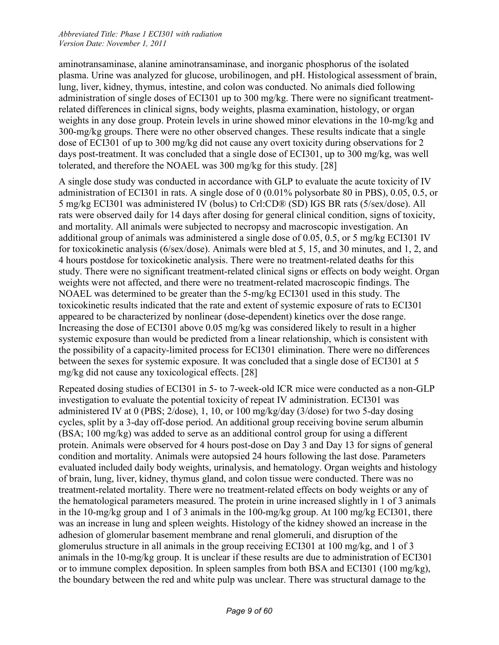aminotransaminase, alanine aminotransaminase, and inorganic phosphorus of the isolated plasma. Urine was analyzed for glucose, urobilinogen, and pH. Histological assessment of brain, lung, liver, kidney, thymus, intestine, and colon was conducted. No animals died following administration of single doses of ECI301 up to 300 mg/kg. There were no significant treatmentrelated differences in clinical signs, body weights, plasma examination, histology, or organ weights in any dose group. Protein levels in urine showed minor elevations in the 10-mg/kg and 300-mg/kg groups. There were no other observed changes. These results indicate that a single dose of ECI301 of up to 300 mg/kg did not cause any overt toxicity during observations for 2 days post-treatment. It was concluded that a single dose of ECI301, up to 300 mg/kg, was well tolerated, and therefore the NOAEL was 300 mg/kg for this study. [28]

A single dose study was conducted in accordance with GLP to evaluate the acute toxicity of IV administration of ECI301 in rats. A single dose of 0 (0.01% polysorbate 80 in PBS), 0.05, 0.5, or 5 mg/kg ECI301 was administered IV (bolus) to Crl:CD® (SD) IGS BR rats (5/sex/dose). All rats were observed daily for 14 days after dosing for general clinical condition, signs of toxicity, and mortality. All animals were subjected to necropsy and macroscopic investigation. An additional group of animals was administered a single dose of 0.05, 0.5, or 5 mg/kg ECI301 IV for toxicokinetic analysis (6/sex/dose). Animals were bled at 5, 15, and 30 minutes, and 1, 2, and 4 hours postdose for toxicokinetic analysis. There were no treatment-related deaths for this study. There were no significant treatment-related clinical signs or effects on body weight. Organ weights were not affected, and there were no treatment-related macroscopic findings. The NOAEL was determined to be greater than the 5-mg/kg ECI301 used in this study. The toxicokinetic results indicated that the rate and extent of systemic exposure of rats to ECI301 appeared to be characterized by nonlinear (dose-dependent) kinetics over the dose range. Increasing the dose of ECI301 above 0.05 mg/kg was considered likely to result in a higher systemic exposure than would be predicted from a linear relationship, which is consistent with the possibility of a capacity-limited process for ECI301 elimination. There were no differences between the sexes for systemic exposure. It was concluded that a single dose of ECI301 at 5 mg/kg did not cause any toxicological effects. [28]

Repeated dosing studies of ECI301 in 5- to 7-week-old ICR mice were conducted as a non-GLP investigation to evaluate the potential toxicity of repeat IV administration. ECI301 was administered IV at 0 (PBS; 2/dose), 1, 10, or 100 mg/kg/day (3/dose) for two 5-day dosing cycles, split by a 3-day off-dose period. An additional group receiving bovine serum albumin (BSA; 100 mg/kg) was added to serve as an additional control group for using a different protein. Animals were observed for 4 hours post-dose on Day 3 and Day 13 for signs of general condition and mortality. Animals were autopsied 24 hours following the last dose. Parameters evaluated included daily body weights, urinalysis, and hematology. Organ weights and histology of brain, lung, liver, kidney, thymus gland, and colon tissue were conducted. There was no treatment-related mortality. There were no treatment-related effects on body weights or any of the hematological parameters measured. The protein in urine increased slightly in 1 of 3 animals in the 10-mg/kg group and 1 of 3 animals in the 100-mg/kg group. At 100 mg/kg ECI301, there was an increase in lung and spleen weights. Histology of the kidney showed an increase in the adhesion of glomerular basement membrane and renal glomeruli, and disruption of the glomerulus structure in all animals in the group receiving ECI301 at 100 mg/kg, and 1 of 3 animals in the 10-mg/kg group. It is unclear if these results are due to administration of ECI301 or to immune complex deposition. In spleen samples from both BSA and ECI301 (100 mg/kg), the boundary between the red and white pulp was unclear. There was structural damage to the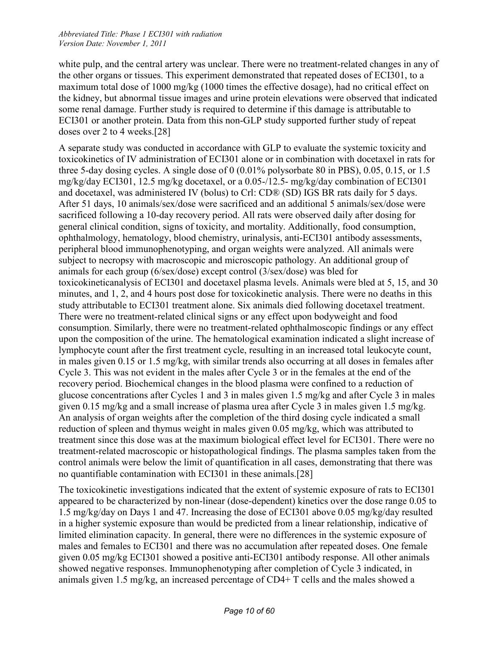white pulp, and the central artery was unclear. There were no treatment-related changes in any of the other organs or tissues. This experiment demonstrated that repeated doses of ECI301, to a maximum total dose of 1000 mg/kg (1000 times the effective dosage), had no critical effect on the kidney, but abnormal tissue images and urine protein elevations were observed that indicated some renal damage. Further study is required to determine if this damage is attributable to ECI301 or another protein. Data from this non-GLP study supported further study of repeat doses over 2 to 4 weeks.[28]

A separate study was conducted in accordance with GLP to evaluate the systemic toxicity and toxicokinetics of IV administration of ECI301 alone or in combination with docetaxel in rats for three 5-day dosing cycles. A single dose of 0 (0.01% polysorbate 80 in PBS), 0.05, 0.15, or 1.5 mg/kg/day ECI301, 12.5 mg/kg docetaxel, or a 0.05-/12.5- mg/kg/day combination of ECI301 and docetaxel, was administered IV (bolus) to Crl: CD® (SD) IGS BR rats daily for 5 days. After 51 days, 10 animals/sex/dose were sacrificed and an additional 5 animals/sex/dose were sacrificed following a 10-day recovery period. All rats were observed daily after dosing for general clinical condition, signs of toxicity, and mortality. Additionally, food consumption, ophthalmology, hematology, blood chemistry, urinalysis, anti-ECI301 antibody assessments, peripheral blood immunophenotyping, and organ weights were analyzed. All animals were subject to necropsy with macroscopic and microscopic pathology. An additional group of animals for each group (6/sex/dose) except control (3/sex/dose) was bled for toxicokineticanalysis of ECI301 and docetaxel plasma levels. Animals were bled at 5, 15, and 30 minutes, and 1, 2, and 4 hours post dose for toxicokinetic analysis. There were no deaths in this study attributable to ECI301 treatment alone. Six animals died following docetaxel treatment. There were no treatment-related clinical signs or any effect upon bodyweight and food consumption. Similarly, there were no treatment-related ophthalmoscopic findings or any effect upon the composition of the urine. The hematological examination indicated a slight increase of lymphocyte count after the first treatment cycle, resulting in an increased total leukocyte count, in males given 0.15 or 1.5 mg/kg, with similar trends also occurring at all doses in females after Cycle 3. This was not evident in the males after Cycle 3 or in the females at the end of the recovery period. Biochemical changes in the blood plasma were confined to a reduction of glucose concentrations after Cycles 1 and 3 in males given 1.5 mg/kg and after Cycle 3 in males given 0.15 mg/kg and a small increase of plasma urea after Cycle 3 in males given 1.5 mg/kg. An analysis of organ weights after the completion of the third dosing cycle indicated a small reduction of spleen and thymus weight in males given 0.05 mg/kg, which was attributed to treatment since this dose was at the maximum biological effect level for ECI301. There were no treatment-related macroscopic or histopathological findings. The plasma samples taken from the control animals were below the limit of quantification in all cases, demonstrating that there was no quantifiable contamination with ECI301 in these animals.[28]

The toxicokinetic investigations indicated that the extent of systemic exposure of rats to ECI301 appeared to be characterized by non-linear (dose-dependent) kinetics over the dose range 0.05 to 1.5 mg/kg/day on Days 1 and 47. Increasing the dose of ECI301 above 0.05 mg/kg/day resulted in a higher systemic exposure than would be predicted from a linear relationship, indicative of limited elimination capacity. In general, there were no differences in the systemic exposure of males and females to ECI301 and there was no accumulation after repeated doses. One female given 0.05 mg/kg ECI301 showed a positive anti-ECI301 antibody response. All other animals showed negative responses. Immunophenotyping after completion of Cycle 3 indicated, in animals given 1.5 mg/kg, an increased percentage of CD4+ T cells and the males showed a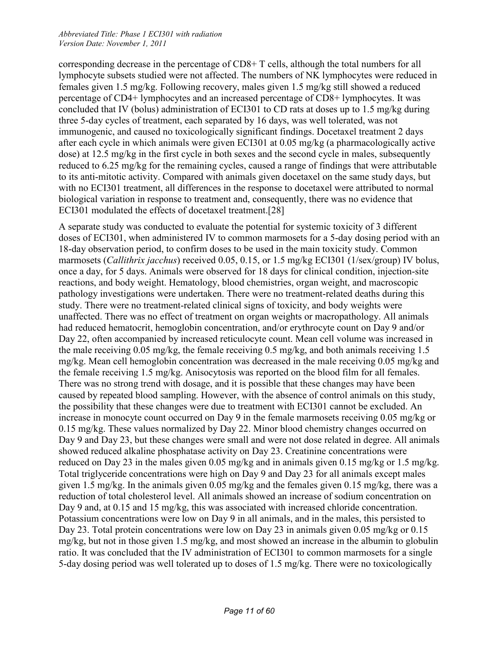corresponding decrease in the percentage of CD8+ T cells, although the total numbers for all lymphocyte subsets studied were not affected. The numbers of NK lymphocytes were reduced in females given 1.5 mg/kg. Following recovery, males given 1.5 mg/kg still showed a reduced percentage of CD4+ lymphocytes and an increased percentage of CD8+ lymphocytes. It was concluded that IV (bolus) administration of ECI301 to CD rats at doses up to 1.5 mg/kg during three 5-day cycles of treatment, each separated by 16 days, was well tolerated, was not immunogenic, and caused no toxicologically significant findings. Docetaxel treatment 2 days after each cycle in which animals were given ECI301 at 0.05 mg/kg (a pharmacologically active dose) at 12.5 mg/kg in the first cycle in both sexes and the second cycle in males, subsequently reduced to 6.25 mg/kg for the remaining cycles, caused a range of findings that were attributable to its anti-mitotic activity. Compared with animals given docetaxel on the same study days, but with no ECI301 treatment, all differences in the response to docetaxel were attributed to normal biological variation in response to treatment and, consequently, there was no evidence that ECI301 modulated the effects of docetaxel treatment.[28]

A separate study was conducted to evaluate the potential for systemic toxicity of 3 different doses of ECI301, when administered IV to common marmosets for a 5-day dosing period with an 18-day observation period, to confirm doses to be used in the main toxicity study. Common marmosets (*Callithrix jacchus*) received 0.05, 0.15, or 1.5 mg/kg ECI301 (1/sex/group) IV bolus, once a day, for 5 days. Animals were observed for 18 days for clinical condition, injection-site reactions, and body weight. Hematology, blood chemistries, organ weight, and macroscopic pathology investigations were undertaken. There were no treatment-related deaths during this study. There were no treatment-related clinical signs of toxicity, and body weights were unaffected. There was no effect of treatment on organ weights or macropathology. All animals had reduced hematocrit, hemoglobin concentration, and/or erythrocyte count on Day 9 and/or Day 22, often accompanied by increased reticulocyte count. Mean cell volume was increased in the male receiving 0.05 mg/kg, the female receiving 0.5 mg/kg, and both animals receiving 1.5 mg/kg. Mean cell hemoglobin concentration was decreased in the male receiving 0.05 mg/kg and the female receiving 1.5 mg/kg. Anisocytosis was reported on the blood film for all females. There was no strong trend with dosage, and it is possible that these changes may have been caused by repeated blood sampling. However, with the absence of control animals on this study, the possibility that these changes were due to treatment with ECI301 cannot be excluded. An increase in monocyte count occurred on Day 9 in the female marmosets receiving 0.05 mg/kg or 0.15 mg/kg. These values normalized by Day 22. Minor blood chemistry changes occurred on Day 9 and Day 23, but these changes were small and were not dose related in degree. All animals showed reduced alkaline phosphatase activity on Day 23. Creatinine concentrations were reduced on Day 23 in the males given 0.05 mg/kg and in animals given 0.15 mg/kg or 1.5 mg/kg. Total triglyceride concentrations were high on Day 9 and Day 23 for all animals except males given 1.5 mg/kg. In the animals given 0.05 mg/kg and the females given 0.15 mg/kg, there was a reduction of total cholesterol level. All animals showed an increase of sodium concentration on Day 9 and, at 0.15 and 15 mg/kg, this was associated with increased chloride concentration. Potassium concentrations were low on Day 9 in all animals, and in the males, this persisted to Day 23. Total protein concentrations were low on Day 23 in animals given 0.05 mg/kg or 0.15 mg/kg, but not in those given 1.5 mg/kg, and most showed an increase in the albumin to globulin ratio. It was concluded that the IV administration of ECI301 to common marmosets for a single 5-day dosing period was well tolerated up to doses of 1.5 mg/kg. There were no toxicologically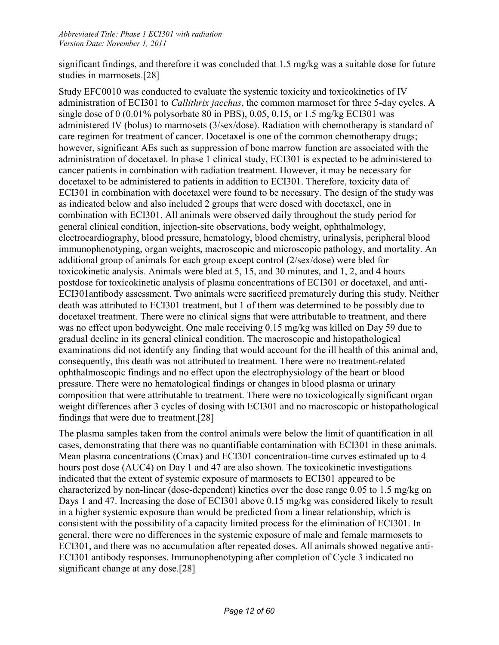significant findings, and therefore it was concluded that 1.5 mg/kg was a suitable dose for future studies in marmosets.[28]

Study EFC0010 was conducted to evaluate the systemic toxicity and toxicokinetics of IV administration of ECI301 to *Callithrix jacchus*, the common marmoset for three 5-day cycles. A single dose of 0  $(0.01\%$  polysorbate 80 in PBS), 0.05, 0.15, or 1.5 mg/kg ECI301 was administered IV (bolus) to marmosets (3/sex/dose). Radiation with chemotherapy is standard of care regimen for treatment of cancer. Docetaxel is one of the common chemotherapy drugs; however, significant AEs such as suppression of bone marrow function are associated with the administration of docetaxel. In phase 1 clinical study, ECI301 is expected to be administered to cancer patients in combination with radiation treatment. However, it may be necessary for docetaxel to be administered to patients in addition to ECI301. Therefore, toxicity data of ECI301 in combination with docetaxel were found to be necessary. The design of the study was as indicated below and also included 2 groups that were dosed with docetaxel, one in combination with ECI301. All animals were observed daily throughout the study period for general clinical condition, injection-site observations, body weight, ophthalmology, electrocardiography, blood pressure, hematology, blood chemistry, urinalysis, peripheral blood immunophenotyping, organ weights, macroscopic and microscopic pathology, and mortality. An additional group of animals for each group except control (2/sex/dose) were bled for toxicokinetic analysis. Animals were bled at 5, 15, and 30 minutes, and 1, 2, and 4 hours postdose for toxicokinetic analysis of plasma concentrations of ECI301 or docetaxel, and anti-ECI301antibody assessment. Two animals were sacrificed prematurely during this study. Neither death was attributed to ECI301 treatment, but 1 of them was determined to be possibly due to docetaxel treatment. There were no clinical signs that were attributable to treatment, and there was no effect upon bodyweight. One male receiving 0.15 mg/kg was killed on Day 59 due to gradual decline in its general clinical condition. The macroscopic and histopathological examinations did not identify any finding that would account for the ill health of this animal and, consequently, this death was not attributed to treatment. There were no treatment-related ophthalmoscopic findings and no effect upon the electrophysiology of the heart or blood pressure. There were no hematological findings or changes in blood plasma or urinary composition that were attributable to treatment. There were no toxicologically significant organ weight differences after 3 cycles of dosing with ECI301 and no macroscopic or histopathological findings that were due to treatment.[28]

The plasma samples taken from the control animals were below the limit of quantification in all cases, demonstrating that there was no quantifiable contamination with ECI301 in these animals. Mean plasma concentrations (Cmax) and ECI301 concentration-time curves estimated up to 4 hours post dose (AUC4) on Day 1 and 47 are also shown. The toxicokinetic investigations indicated that the extent of systemic exposure of marmosets to ECI301 appeared to be characterized by non-linear (dose-dependent) kinetics over the dose range 0.05 to 1.5 mg/kg on Days 1 and 47. Increasing the dose of ECI301 above 0.15 mg/kg was considered likely to result in a higher systemic exposure than would be predicted from a linear relationship, which is consistent with the possibility of a capacity limited process for the elimination of ECI301. In general, there were no differences in the systemic exposure of male and female marmosets to ECI301, and there was no accumulation after repeated doses. All animals showed negative anti-ECI301 antibody responses. Immunophenotyping after completion of Cycle 3 indicated no significant change at any dose.<sup>[28]</sup>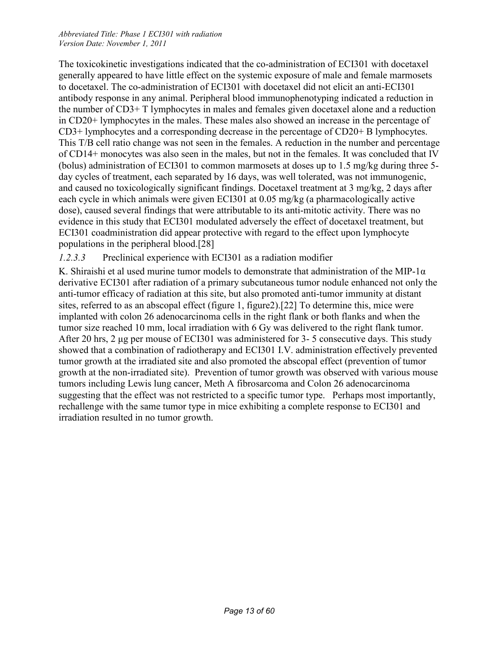The toxicokinetic investigations indicated that the co-administration of ECI301 with docetaxel generally appeared to have little effect on the systemic exposure of male and female marmosets to docetaxel. The co-administration of ECI301 with docetaxel did not elicit an anti-ECI301 antibody response in any animal. Peripheral blood immunophenotyping indicated a reduction in the number of CD3+ T lymphocytes in males and females given docetaxel alone and a reduction in CD20+ lymphocytes in the males. These males also showed an increase in the percentage of CD3+ lymphocytes and a corresponding decrease in the percentage of CD20+ B lymphocytes. This T/B cell ratio change was not seen in the females. A reduction in the number and percentage of CD14+ monocytes was also seen in the males, but not in the females. It was concluded that IV (bolus) administration of ECI301 to common marmosets at doses up to 1.5 mg/kg during three 5 day cycles of treatment, each separated by 16 days, was well tolerated, was not immunogenic, and caused no toxicologically significant findings. Docetaxel treatment at 3 mg/kg, 2 days after each cycle in which animals were given ECI301 at 0.05 mg/kg (a pharmacologically active dose), caused several findings that were attributable to its anti-mitotic activity. There was no evidence in this study that ECI301 modulated adversely the effect of docetaxel treatment, but ECI301 coadministration did appear protective with regard to the effect upon lymphocyte populations in the peripheral blood.[28]

#### *1.2.3.3* Preclinical experience with ECI301 as a radiation modifier

K. Shiraishi et al used murine tumor models to demonstrate that administration of the MIP-1 $\alpha$ derivative ECI301 after radiation of a primary subcutaneous tumor nodule enhanced not only the anti-tumor efficacy of radiation at this site, but also promoted anti-tumor immunity at distant sites, referred to as an abscopal effect (figure 1, figure2).[22] To determine this, mice were implanted with colon 26 adenocarcinoma cells in the right flank or both flanks and when the tumor size reached 10 mm, local irradiation with 6 Gy was delivered to the right flank tumor. After 20 hrs, 2 μg per mouse of ECI301 was administered for 3- 5 consecutive days. This study showed that a combination of radiotherapy and ECI301 I.V. administration effectively prevented tumor growth at the irradiated site and also promoted the abscopal effect (prevention of tumor growth at the non-irradiated site). Prevention of tumor growth was observed with various mouse tumors including Lewis lung cancer, Meth A fibrosarcoma and Colon 26 adenocarcinoma suggesting that the effect was not restricted to a specific tumor type. Perhaps most importantly, rechallenge with the same tumor type in mice exhibiting a complete response to ECI301 and irradiation resulted in no tumor growth.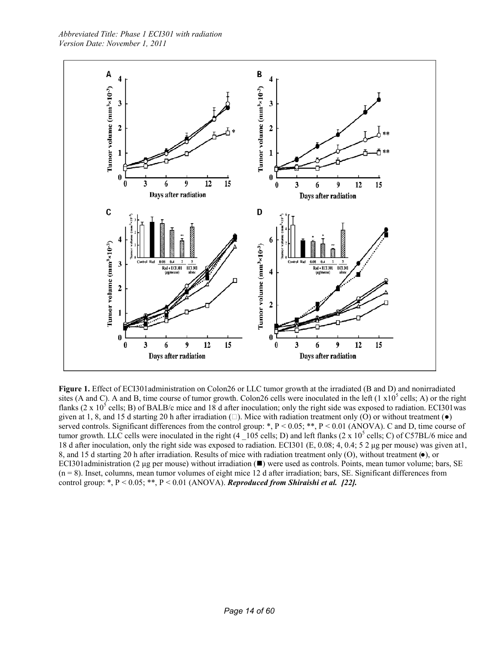

**Figure 1.** Effect of ECI301administration on Colon26 or LLC tumor growth at the irradiated (B and D) and nonirradiated sites (A and C). A and B, time course of tumor growth. Colon26 cells were inoculated in the left  $(1 \times 10^5 \text{ cells}; A)$  or the right flanks (2 x 10<sup>5</sup> cells; B) of BALB/c mice and 18 d after inoculation; only the right side was exposed to radiation. ECI301was given at 1, 8, and 15 d starting 20 h after irradiation  $(\square)$ . Mice with radiation treatment only (O) or without treatment ( $\bullet$ ) served controls. Significant differences from the control group: \*,  $P < 0.05$ ; \*\*,  $P < 0.01$  (ANOVA). C and D, time course of tumor growth. LLC cells were inoculated in the right  $(4 \ 105 \, \text{cells}; D)$  and left flanks  $(2 \times 10^5 \, \text{cells}; C)$  of C57BL/6 mice and 18 d after inoculation, only the right side was exposed to radiation. ECI301 (E, 0.08; 4, 0.4; 5 2 μg per mouse) was given at1, 8, and 15 d starting 20 h after irradiation. Results of mice with radiation treatment only (O), without treatment  $(\bullet)$ , or ECI301administration (2 µg per mouse) without irradiation  $(\blacksquare)$  were used as controls. Points, mean tumor volume; bars, SE  $(n = 8)$ . Inset, columns, mean tumor volumes of eight mice 12 d after irradiation; bars, SE. Significant differences from control group: \*, P < 0.05; \*\*, P < 0.01 (ANOVA). *Reproduced from Shiraishi et al. [22].*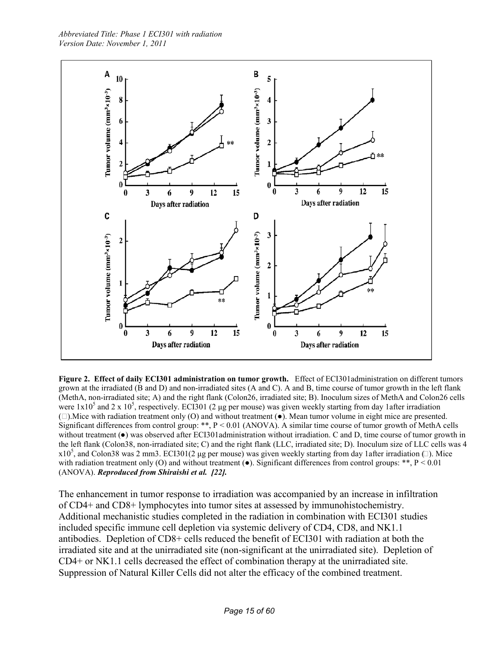

**Figure 2. Effect of daily ECI301 administration on tumor growth.** Effect of ECI301administration on different tumors grown at the irradiated (B and D) and non-irradiated sites (A and C). A and B, time course of tumor growth in the left flank (MethA, non-irradiated site; A) and the right flank (Colon26, irradiated site; B). Inoculum sizes of MethA and Colon26 cells were  $1x10^5$  and 2 x  $10^5$ , respectively. ECI301 (2 µg per mouse) was given weekly starting from day 1after irradiation  $($   $\Box$ ). Mice with radiation treatment only  $($ O $)$  and without treatment  $($  $\bullet)$ . Mean tumor volume in eight mice are presented. Significant differences from control group: \*\*, P < 0.01 (ANOVA). A similar time course of tumor growth of MethA cells without treatment ( $\bullet$ ) was observed after ECI301administration without irradiation. C and D, time course of tumor growth in the left flank (Colon38, non-irradiated site; C) and the right flank (LLC, irradiated site; D). Inoculum size of LLC cells was 4 x10<sup>5</sup>, and Colon38 was 2 mm3. ECI301(2 µg per mouse) was given weekly starting from day 1after irradiation  $\Box$ ). Mice with radiation treatment only (O) and without treatment ( $\bullet$ ). Significant differences from control groups: \*\*, P < 0.01 (ANOVA). *Reproduced from Shiraishi et al. [22].*

The enhancement in tumor response to irradiation was accompanied by an increase in infiltration of CD4+ and CD8+ lymphocytes into tumor sites at assessed by immunohistochemistry. Additional mechanistic studies completed in the radiation in combination with ECI301 studies included specific immune cell depletion via systemic delivery of CD4, CD8, and NK1.1 antibodies. Depletion of CD8+ cells reduced the benefit of ECI301 with radiation at both the irradiated site and at the unirradiated site (non-significant at the unirradiated site). Depletion of CD4+ or NK1.1 cells decreased the effect of combination therapy at the unirradiated site. Suppression of Natural Killer Cells did not alter the efficacy of the combined treatment.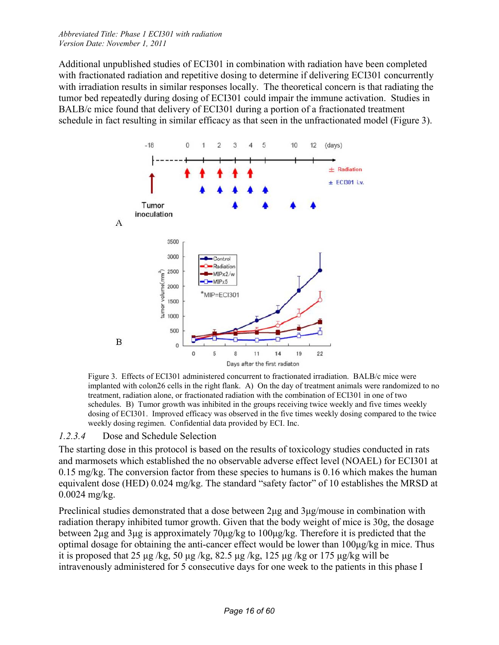Additional unpublished studies of ECI301 in combination with radiation have been completed with fractionated radiation and repetitive dosing to determine if delivering ECI301 concurrently with irradiation results in similar responses locally. The theoretical concern is that radiating the tumor bed repeatedly during dosing of ECI301 could impair the immune activation. Studies in BALB/c mice found that delivery of ECI301 during a portion of a fractionated treatment schedule in fact resulting in similar efficacy as that seen in the unfractionated model (Figure 3).



Figure 3. Effects of ECI301 administered concurrent to fractionated irradiation. BALB/c mice were implanted with colon26 cells in the right flank. A) On the day of treatment animals were randomized to no treatment, radiation alone, or fractionated radiation with the combination of ECI301 in one of two schedules. B) Tumor growth was inhibited in the groups receiving twice weekly and five times weekly dosing of ECI301. Improved efficacy was observed in the five times weekly dosing compared to the twice weekly dosing regimen. Confidential data provided by ECI. Inc.

#### *1.2.3.4* Dose and Schedule Selection

The starting dose in this protocol is based on the results of toxicology studies conducted in rats and marmosets which established the no observable adverse effect level (NOAEL) for ECI301 at 0.15 mg/kg. The conversion factor from these species to humans is 0.16 which makes the human equivalent dose (HED) 0.024 mg/kg. The standard "safety factor" of 10 establishes the MRSD at 0.0024 mg/kg.

Preclinical studies demonstrated that a dose between 2μg and 3μg/mouse in combination with radiation therapy inhibited tumor growth. Given that the body weight of mice is 30g, the dosage between 2μg and 3μg is approximately 70μg/kg to 100μg/kg. Therefore it is predicted that the optimal dosage for obtaining the anti-cancer effect would be lower than 100μg/kg in mice. Thus it is proposed that 25 μg/kg, 50 μg/kg, 82.5 μg/kg, 125 μg/kg or 175 μg/kg will be intravenously administered for 5 consecutive days for one week to the patients in this phase I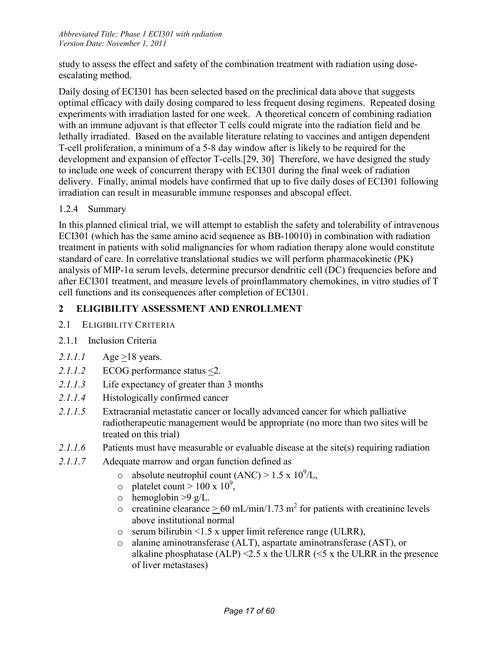study to assess the effect and safety of the combination treatment with radiation using doseescalating method.

Daily dosing of ECI301 has been selected based on the preclinical data above that suggests optimal efficacy with daily dosing compared to less frequent dosing regimens. Repeated dosing experiments with irradiation lasted for one week. A theoretical concern of combining radiation with an immune adjuvant is that effector T cells could migrate into the radiation field and be lethally irradiated. Based on the available literature relating to vaccines and antigen dependent T-cell proliferation, a minimum of a 5-8 day window after is likely to be required for the development and expansion of effector T-cells.[29, 30] Therefore, we have designed the study to include one week of concurrent therapy with ECI301 during the final week of radiation delivery. Finally, animal models have confirmed that up to five daily doses of ECI301 following irradiation can result in measurable immune responses and abscopal effect.

#### 1.2.4 Summary

In this planned clinical trial, we will attempt to establish the safety and tolerability of intravenous ECI301 (which has the same amino acid sequence as BB-10010) in combination with radiation treatment in patients with solid malignancies for whom radiation therapy alone would constitute standard of care. In correlative translational studies we will perform pharmacokinetic (PK) analysis of MIP-1α serum levels, determine precursor dendritic cell (DC) frequencies before and after ECI301 treatment, and measure levels of proinflammatory chemokines, in vitro studies of T cell functions and its consequences after completion of ECI301.

## **2 ELIGIBILITY ASSESSMENT AND ENROLLMENT**

2.1 ELIGIBILITY CRITERIA

## 2.1.1 Inclusion Criteria

- 2.1.1.1 Age  $\geq$ 18 years.
- 2.1.1.2 ECOG performance status  $\leq$ 2.
- *2.1.1.3* Life expectancy of greater than 3 months
- *2.1.1.4* Histologically confirmed cancer
- *2.1.1.5* Extracranial metastatic cancer or locally advanced cancer for which palliative radiotherapeutic management would be appropriate (no more than two sites will be treated on this trial)
- *2.1.1.6* Patients must have measurable or evaluable disease at the site(s) requiring radiation
- *2.1.1.7* Adequate marrow and organ function defined as
	- $\circ$  absolute neutrophil count (ANC) > 1.5 x 10<sup>9</sup>/L,
	- $\circ$  platelet count > 100 x 10<sup>9</sup>,
	- $\circ$  hemoglobin >9 g/L.
	- o creatinine clearance  $> 60 \text{ mL/min}/1.73 \text{ m}^2$  for patients with creatinine levels above institutional normal
	- o serum bilirubin <1.5 x upper limit reference range (ULRR),
	- o alanine aminotransferase (ALT), aspartate aminotransferase (AST), or alkaline phosphatase (ALP)  $\leq$  5.5 x the ULRR ( $\leq$  5 x the ULRR in the presence of liver metastases)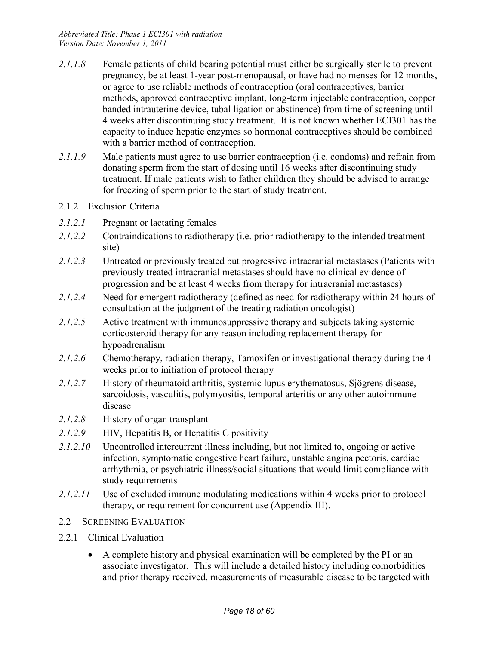- 2.1.1.8 Female patients of child bearing potential must either be surgically sterile to prevent pregnancy, be at least 1-year post-menopausal, or have had no menses for 12 months, or agree to use reliable methods of contraception (oral contraceptives, barrier methods, approved contraceptive implant, long-term injectable contraception, copper banded intrauterine device, tubal ligation or abstinence) from time of screening until 4 weeks after discontinuing study treatment. It is not known whether ECI301 has the capacity to induce hepatic enzymes so hormonal contraceptives should be combined with a barrier method of contraception.
- *2.1.1.9* Male patients must agree to use barrier contraception (i.e. condoms) and refrain from donating sperm from the start of dosing until 16 weeks after discontinuing study treatment. If male patients wish to father children they should be advised to arrange for freezing of sperm prior to the start of study treatment.
- 2.1.2 Exclusion Criteria
- 2.1.2.1 Pregnant or lactating females
- *2.1.2.2* Contraindications to radiotherapy (i.e. prior radiotherapy to the intended treatment site)
- *2.1.2.3* Untreated or previously treated but progressive intracranial metastases (Patients with previously treated intracranial metastases should have no clinical evidence of progression and be at least 4 weeks from therapy for intracranial metastases)
- *2.1.2.4* Need for emergent radiotherapy (defined as need for radiotherapy within 24 hours of consultation at the judgment of the treating radiation oncologist)
- *2.1.2.5* Active treatment with immunosuppressive therapy and subjects taking systemic corticosteroid therapy for any reason including replacement therapy for hypoadrenalism
- *2.1.2.6* Chemotherapy, radiation therapy, Tamoxifen or investigational therapy during the 4 weeks prior to initiation of protocol therapy
- *2.1.2.7* History of rheumatoid arthritis, systemic lupus erythematosus, Sjögrens disease, sarcoidosis, vasculitis, polymyositis, temporal arteritis or any other autoimmune disease
- *2.1.2.8* History of organ transplant
- 2.1.2.9 HIV, Hepatitis B, or Hepatitis C positivity
- 2.1.2.10 Uncontrolled intercurrent illness including, but not limited to, ongoing or active infection, symptomatic congestive heart failure, unstable angina pectoris, cardiac arrhythmia, or psychiatric illness/social situations that would limit compliance with study requirements
- *2.1.2.11* Use of excluded immune modulating medications within 4 weeks prior to protocol therapy, or requirement for concurrent use (Appendix III).
- 2.2 SCREENING EVALUATION
- 2.2.1 Clinical Evaluation
	- A complete history and physical examination will be completed by the PI or an associate investigator. This will include a detailed history including comorbidities and prior therapy received, measurements of measurable disease to be targeted with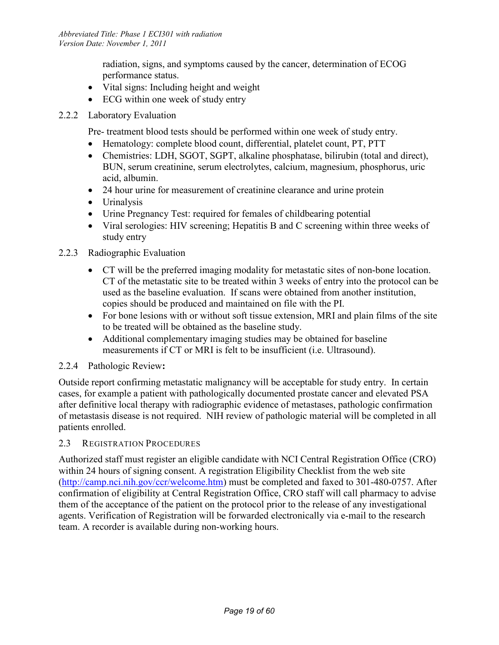radiation, signs, and symptoms caused by the cancer, determination of ECOG performance status.

- Vital signs: Including height and weight
- ECG within one week of study entry
- 2.2.2 Laboratory Evaluation

Pre- treatment blood tests should be performed within one week of study entry.

- Hematology: complete blood count, differential, platelet count, PT, PTT
- Chemistries: LDH, SGOT, SGPT, alkaline phosphatase, bilirubin (total and direct), BUN, serum creatinine, serum electrolytes, calcium, magnesium, phosphorus, uric acid, albumin.
- 24 hour urine for measurement of creatinine clearance and urine protein
- Urinalysis
- Urine Pregnancy Test: required for females of childbearing potential
- Viral serologies: HIV screening; Hepatitis B and C screening within three weeks of study entry

#### 2.2.3 Radiographic Evaluation

- CT will be the preferred imaging modality for metastatic sites of non-bone location. CT of the metastatic site to be treated within 3 weeks of entry into the protocol can be used as the baseline evaluation. If scans were obtained from another institution, copies should be produced and maintained on file with the PI.
- For bone lesions with or without soft tissue extension, MRI and plain films of the site to be treated will be obtained as the baseline study.
- Additional complementary imaging studies may be obtained for baseline measurements if CT or MRI is felt to be insufficient (i.e. Ultrasound).

## 2.2.4 Pathologic Review**:**

Outside report confirming metastatic malignancy will be acceptable for study entry. In certain cases, for example a patient with pathologically documented prostate cancer and elevated PSA after definitive local therapy with radiographic evidence of metastases, pathologic confirmation of metastasis disease is not required. NIH review of pathologic material will be completed in all patients enrolled.

#### 2.3 REGISTRATION PROCEDURES

Authorized staff must register an eligible candidate with NCI Central Registration Office (CRO) within 24 hours of signing consent. A registration Eligibility Checklist from the web site (http://camp.nci.nih.gov/ccr/welcome.htm) must be completed and faxed to 301-480-0757. After confirmation of eligibility at Central Registration Office, CRO staff will call pharmacy to advise them of the acceptance of the patient on the protocol prior to the release of any investigational agents. Verification of Registration will be forwarded electronically via e-mail to the research team. A recorder is available during non-working hours.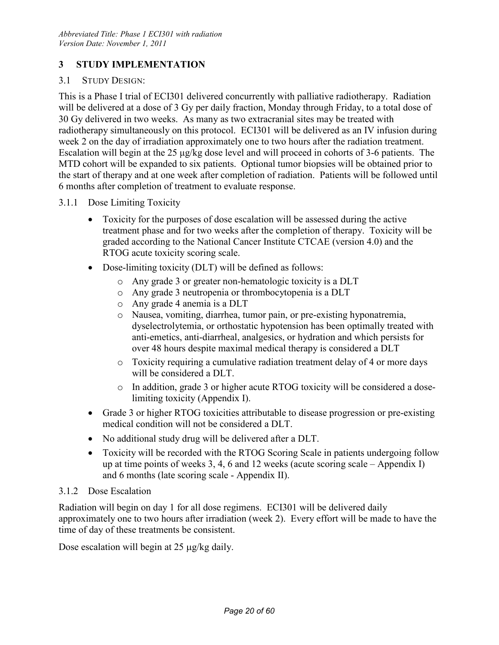## **3 STUDY IMPLEMENTATION**

#### 3.1 STUDY DESIGN:

This is a Phase I trial of ECI301 delivered concurrently with palliative radiotherapy. Radiation will be delivered at a dose of 3 Gy per daily fraction, Monday through Friday, to a total dose of 30 Gy delivered in two weeks. As many as two extracranial sites may be treated with radiotherapy simultaneously on this protocol. ECI301 will be delivered as an IV infusion during week 2 on the day of irradiation approximately one to two hours after the radiation treatment. Escalation will begin at the 25 μg/kg dose level and will proceed in cohorts of 3-6 patients. The MTD cohort will be expanded to six patients. Optional tumor biopsies will be obtained prior to the start of therapy and at one week after completion of radiation. Patients will be followed until 6 months after completion of treatment to evaluate response.

#### 3.1.1 Dose Limiting Toxicity

- Toxicity for the purposes of dose escalation will be assessed during the active treatment phase and for two weeks after the completion of therapy. Toxicity will be graded according to the National Cancer Institute CTCAE (version 4.0) and the RTOG acute toxicity scoring scale.
- Dose-limiting toxicity (DLT) will be defined as follows:
	- o Any grade 3 or greater non-hematologic toxicity is a DLT
	- o Any grade 3 neutropenia or thrombocytopenia is a DLT
	- o Any grade 4 anemia is a DLT
	- o Nausea, vomiting, diarrhea, tumor pain, or pre-existing hyponatremia, dyselectrolytemia, or orthostatic hypotension has been optimally treated with anti-emetics, anti-diarrheal, analgesics, or hydration and which persists for over 48 hours despite maximal medical therapy is considered a DLT
	- o Toxicity requiring a cumulative radiation treatment delay of 4 or more days will be considered a DLT.
	- o In addition, grade 3 or higher acute RTOG toxicity will be considered a doselimiting toxicity (Appendix I).
- Grade 3 or higher RTOG toxicities attributable to disease progression or pre-existing medical condition will not be considered a DLT.
- No additional study drug will be delivered after a DLT.
- Toxicity will be recorded with the RTOG Scoring Scale in patients undergoing follow up at time points of weeks 3, 4, 6 and 12 weeks (acute scoring scale – Appendix I) and 6 months (late scoring scale - Appendix II).

#### 3.1.2 Dose Escalation

Radiation will begin on day 1 for all dose regimens. ECI301 will be delivered daily approximately one to two hours after irradiation (week 2). Every effort will be made to have the time of day of these treatments be consistent.

Dose escalation will begin at 25 µg/kg daily.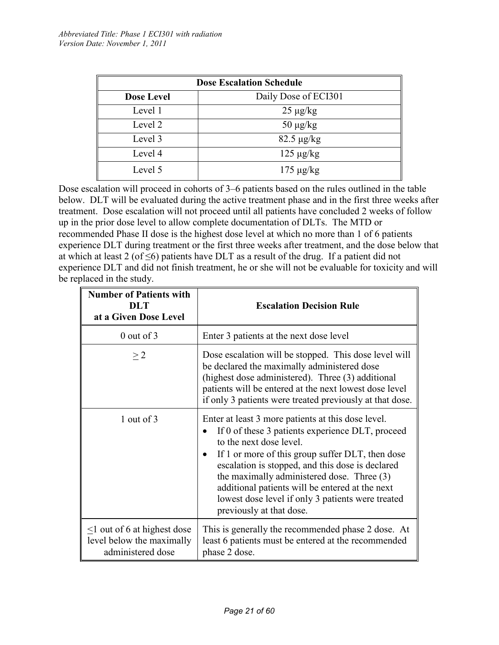|                   | <b>Dose Escalation Schedule</b> |
|-------------------|---------------------------------|
| <b>Dose Level</b> | Daily Dose of ECI301            |
| Level 1           | $25 \mu g/kg$                   |
| Level 2           | $50 \mu g/kg$                   |
| Level 3           | $82.5 \mu g/kg$                 |
| Level 4           | $125 \mu g/kg$                  |
| Level 5           | $175 \mu g/kg$                  |

Dose escalation will proceed in cohorts of 3–6 patients based on the rules outlined in the table below. DLT will be evaluated during the active treatment phase and in the first three weeks after treatment. Dose escalation will not proceed until all patients have concluded 2 weeks of follow up in the prior dose level to allow complete documentation of DLTs. The MTD or recommended Phase II dose is the highest dose level at which no more than 1 of 6 patients experience DLT during treatment or the first three weeks after treatment, and the dose below that at which at least 2 (of  $\leq$ 6) patients have DLT as a result of the drug. If a patient did not experience DLT and did not finish treatment, he or she will not be evaluable for toxicity and will be replaced in the study.

| <b>Number of Patients with</b><br>DLT<br>at a Given Dose Level                      | <b>Escalation Decision Rule</b>                                                                                                                                                                                                                                                                                                                                                                                                                       |
|-------------------------------------------------------------------------------------|-------------------------------------------------------------------------------------------------------------------------------------------------------------------------------------------------------------------------------------------------------------------------------------------------------------------------------------------------------------------------------------------------------------------------------------------------------|
| $0$ out of $3$                                                                      | Enter 3 patients at the next dose level                                                                                                                                                                                                                                                                                                                                                                                                               |
| $\geq$ 2                                                                            | Dose escalation will be stopped. This dose level will<br>be declared the maximally administered dose<br>(highest dose administered). Three (3) additional<br>patients will be entered at the next lowest dose level<br>if only 3 patients were treated previously at that dose.                                                                                                                                                                       |
| 1 out of 3                                                                          | Enter at least 3 more patients at this dose level.<br>If 0 of these 3 patients experience DLT, proceed<br>$\bullet$<br>to the next dose level.<br>If 1 or more of this group suffer DLT, then dose<br>$\bullet$<br>escalation is stopped, and this dose is declared<br>the maximally administered dose. Three (3)<br>additional patients will be entered at the next<br>lowest dose level if only 3 patients were treated<br>previously at that dose. |
| $\leq$ 1 out of 6 at highest dose<br>level below the maximally<br>administered dose | This is generally the recommended phase 2 dose. At<br>least 6 patients must be entered at the recommended<br>phase 2 dose.                                                                                                                                                                                                                                                                                                                            |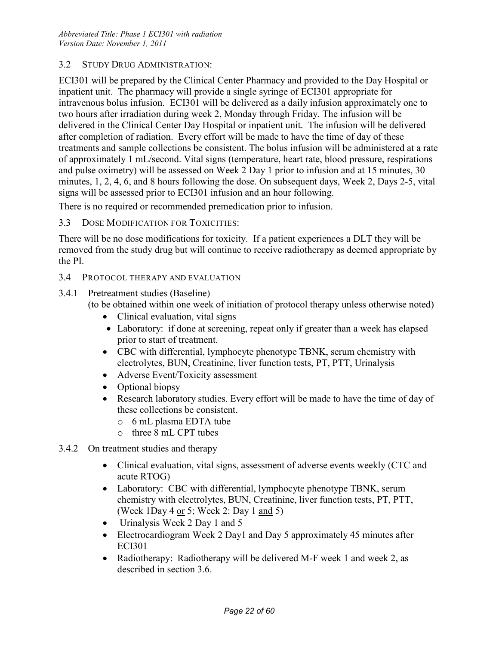#### 3.2 STUDY DRUG ADMINISTRATION:

ECI301 will be prepared by the Clinical Center Pharmacy and provided to the Day Hospital or inpatient unit. The pharmacy will provide a single syringe of ECI301 appropriate for intravenous bolus infusion. ECI301 will be delivered as a daily infusion approximately one to two hours after irradiation during week 2, Monday through Friday. The infusion will be delivered in the Clinical Center Day Hospital or inpatient unit. The infusion will be delivered after completion of radiation. Every effort will be made to have the time of day of these treatments and sample collections be consistent. The bolus infusion will be administered at a rate of approximately 1 mL/second. Vital signs (temperature, heart rate, blood pressure, respirations and pulse oximetry) will be assessed on Week 2 Day 1 prior to infusion and at 15 minutes, 30 minutes, 1, 2, 4, 6, and 8 hours following the dose. On subsequent days, Week 2, Days 2-5, vital signs will be assessed prior to ECI301 infusion and an hour following.

There is no required or recommended premedication prior to infusion.

#### 3.3 DOSE MODIFICATION FOR TOXICITIES:

There will be no dose modifications for toxicity. If a patient experiences a DLT they will be removed from the study drug but will continue to receive radiotherapy as deemed appropriate by the PI.

- 3.4 PROTOCOL THERAPY AND EVALUATION
- 3.4.1 Pretreatment studies (Baseline)
	- (to be obtained within one week of initiation of protocol therapy unless otherwise noted)
		- Clinical evaluation, vital signs
		- Laboratory: if done at screening, repeat only if greater than a week has elapsed prior to start of treatment.
		- CBC with differential, lymphocyte phenotype TBNK, serum chemistry with electrolytes, BUN, Creatinine, liver function tests, PT, PTT, Urinalysis
		- Adverse Event/Toxicity assessment
		- Optional biopsy
		- Research laboratory studies. Every effort will be made to have the time of day of these collections be consistent.
			- o 6 mL plasma EDTA tube
			- o three 8 mL CPT tubes
- 3.4.2 On treatment studies and therapy
	- Clinical evaluation, vital signs, assessment of adverse events weekly (CTC and acute RTOG)
	- Laboratory: CBC with differential, lymphocyte phenotype TBNK, serum chemistry with electrolytes, BUN, Creatinine, liver function tests, PT, PTT, (Week 1Day 4 or 5; Week 2: Day 1 and 5)
	- Urinalysis Week 2 Day 1 and 5
	- Electrocardiogram Week 2 Day1 and Day 5 approximately 45 minutes after ECI301
	- Radiotherapy: Radiotherapy will be delivered M-F week 1 and week 2, as described in section 3.6.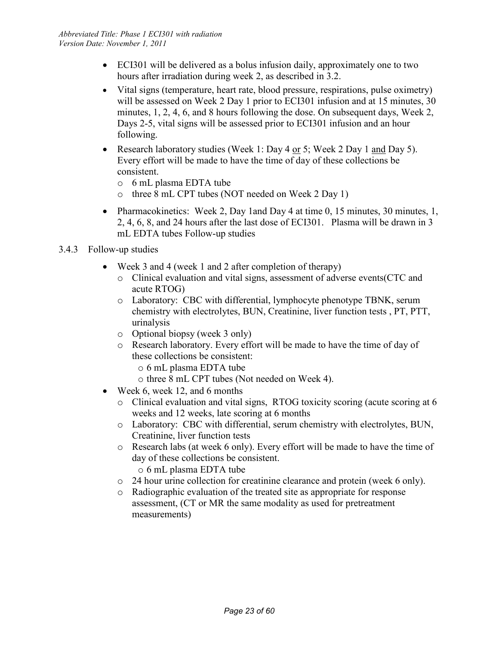- ECI301 will be delivered as a bolus infusion daily, approximately one to two hours after irradiation during week 2, as described in 3.2.
- Vital signs (temperature, heart rate, blood pressure, respirations, pulse oximetry) will be assessed on Week 2 Day 1 prior to ECI301 infusion and at 15 minutes, 30 minutes, 1, 2, 4, 6, and 8 hours following the dose. On subsequent days, Week 2, Days 2-5, vital signs will be assessed prior to ECI301 infusion and an hour following.
- Research laboratory studies (Week 1: Day 4 or 5; Week 2 Day 1 and Day 5). Every effort will be made to have the time of day of these collections be consistent.
	- o 6 mL plasma EDTA tube
	- o three 8 mL CPT tubes (NOT needed on Week 2 Day 1)
- Pharmacokinetics: Week 2, Day 1 and Day 4 at time 0, 15 minutes, 30 minutes, 1, 2, 4, 6, 8, and 24 hours after the last dose of ECI301. Plasma will be drawn in 3 mL EDTA tubes Follow-up studies
- 3.4.3 Follow-up studies
	- Week 3 and 4 (week 1 and 2 after completion of therapy)
		- o Clinical evaluation and vital signs, assessment of adverse events(CTC and acute RTOG)
		- o Laboratory: CBC with differential, lymphocyte phenotype TBNK, serum chemistry with electrolytes, BUN, Creatinine, liver function tests , PT, PTT, urinalysis
		- o Optional biopsy (week 3 only)
		- o Research laboratory. Every effort will be made to have the time of day of these collections be consistent:
			- o 6 mL plasma EDTA tube
			- o three 8 mL CPT tubes (Not needed on Week 4).
	- Week 6, week 12, and 6 months
		- o Clinical evaluation and vital signs, RTOG toxicity scoring (acute scoring at 6 weeks and 12 weeks, late scoring at 6 months
		- o Laboratory: CBC with differential, serum chemistry with electrolytes, BUN, Creatinine, liver function tests
		- o Research labs (at week 6 only). Every effort will be made to have the time of day of these collections be consistent.
			- o 6 mL plasma EDTA tube
		- o 24 hour urine collection for creatinine clearance and protein (week 6 only).
		- o Radiographic evaluation of the treated site as appropriate for response assessment, (CT or MR the same modality as used for pretreatment measurements)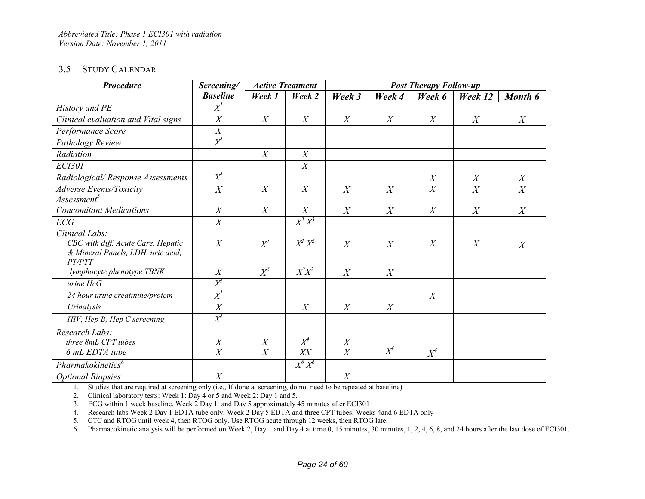#### 3.5 STUDY CALENDAR

| <b>Procedure</b>                                                                                    | Screening/          |                  | <b>Active Treatment</b> |                       | <b>Post Therapy Follow-up</b> |                  |                |                  |
|-----------------------------------------------------------------------------------------------------|---------------------|------------------|-------------------------|-----------------------|-------------------------------|------------------|----------------|------------------|
|                                                                                                     | <b>Baseline</b>     | Week 1           | Week 2                  | Week 3                | Week 4                        | Week 6           | Week 12        | Month 6          |
| History and PE                                                                                      | $X^{\!\!I}$         |                  |                         |                       |                               |                  |                |                  |
| Clinical evaluation and Vital signs                                                                 | $\boldsymbol{X}$    | $\boldsymbol{X}$ | X                       | X                     | $\boldsymbol{X}$              | X                | X              | X                |
| Performance Score                                                                                   | $\overline{X}$      |                  |                         |                       |                               |                  |                |                  |
| Pathology Review                                                                                    | $X^{\!\!I}$         |                  |                         |                       |                               |                  |                |                  |
| Radiation                                                                                           |                     | $\boldsymbol{X}$ | X                       |                       |                               |                  |                |                  |
| <b>ECI301</b>                                                                                       |                     |                  | X                       |                       |                               |                  |                |                  |
| Radiological/Response Assessments                                                                   | $X^{\prime}$        |                  |                         |                       |                               | X                | X              | X                |
| <b>Adverse Events/Toxicity</b>                                                                      | X                   | X                | $\boldsymbol{X}$        | $\overline{X}$        | $\boldsymbol{X}$              | $\boldsymbol{X}$ | $\overline{X}$ | $\overline{X}$   |
| Assessment <sup>5</sup>                                                                             |                     |                  |                         |                       |                               |                  |                |                  |
| <b>Concomitant Medications</b>                                                                      | X                   | X                | X                       | $\overline{X}$        | $\boldsymbol{X}$              | X                | $\overline{X}$ | $\boldsymbol{X}$ |
| ECG                                                                                                 | X                   |                  | $X^3 X^3$               |                       |                               |                  |                |                  |
| Clinical Labs:<br>CBC with diff, Acute Care, Hepatic<br>& Mineral Panels, LDH, uric acid,<br>PT/PTT | $\boldsymbol{X}$    | $X^2$            | $X^2 X^2$               | $\overline{X}$        | X                             | $\boldsymbol{X}$ | X              | $\boldsymbol{X}$ |
| lymphocyte phenotype TBNK                                                                           | X                   | $X^2$            | $X^2X^2$                | $\overline{X}$        | $\boldsymbol{X}$              |                  |                |                  |
| $urine$ $HcG$                                                                                       | $X^{\prime}$        |                  |                         |                       |                               |                  |                |                  |
| 24 hour urine creatinine/protein                                                                    | $X^I$               |                  |                         |                       |                               | X                |                |                  |
| Urinalysis                                                                                          | X                   |                  | X                       | X                     | X                             |                  |                |                  |
| HIV, Hep B, Hep C screening                                                                         | $X^I$               |                  |                         |                       |                               |                  |                |                  |
| Research Labs:<br>three 8mL CPT tubes<br>6 mL EDTA tube                                             | $\overline{X}$<br>X | X<br>X           | $X^4$<br>XX             | $\boldsymbol{X}$<br>X | $X^4$                         | $X^4$            |                |                  |
| Pharmakokinetics <sup>6</sup>                                                                       |                     |                  | $X^6 X^6$               |                       |                               |                  |                |                  |
| <b>Optional Biopsies</b>                                                                            | X                   |                  |                         | X                     |                               |                  |                |                  |

1. Studies that are required at screening only (i.e., If done at screening, do not need to be repeated at baseline)

2. Clinical laboratory tests: Week 1: Day 4 or 5 and Week 2: Day 1 and 5.

3. ECG within 1 week baseline, Week 2 Day 1 and Day 5 approximately 45 minutes after ECI301

4. Research labs Week 2 Day 1 EDTA tube only; Week 2 Day 5 EDTA and three CPT tubes; Weeks 4and 6 EDTA only

5. CTC and RTOG until week 4, then RTOG only. Use RTOG acute through 12 weeks, then RTOG late.

6. Pharmacokinetic analysis will be performed on Week 2, Day 1 and Day 4 at time 0, 15 minutes, 30 minutes, 1, 2, 4, 6, 8, and 24 hours after the last dose of ECI301.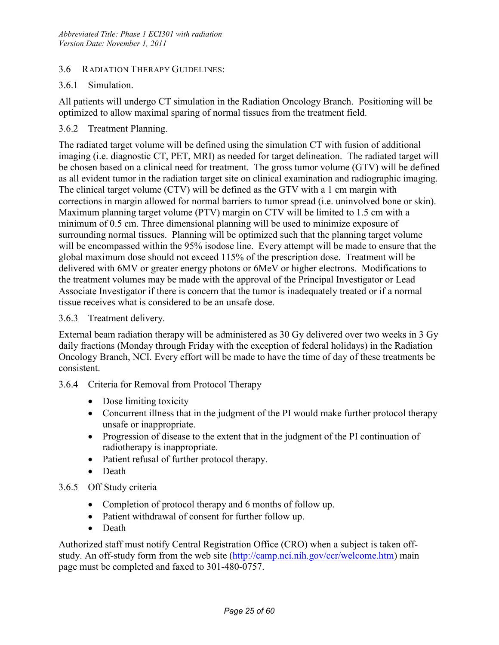#### 3.6 RADIATION THERAPY GUIDELINES:

#### 3.6.1 Simulation.

All patients will undergo CT simulation in the Radiation Oncology Branch. Positioning will be optimized to allow maximal sparing of normal tissues from the treatment field.

#### 3.6.2 Treatment Planning.

The radiated target volume will be defined using the simulation CT with fusion of additional imaging (i.e. diagnostic CT, PET, MRI) as needed for target delineation. The radiated target will be chosen based on a clinical need for treatment. The gross tumor volume (GTV) will be defined as all evident tumor in the radiation target site on clinical examination and radiographic imaging. The clinical target volume (CTV) will be defined as the GTV with a 1 cm margin with corrections in margin allowed for normal barriers to tumor spread (i.e. uninvolved bone or skin). Maximum planning target volume (PTV) margin on CTV will be limited to 1.5 cm with a minimum of 0.5 cm. Three dimensional planning will be used to minimize exposure of surrounding normal tissues. Planning will be optimized such that the planning target volume will be encompassed within the 95% isodose line. Every attempt will be made to ensure that the global maximum dose should not exceed 115% of the prescription dose. Treatment will be delivered with 6MV or greater energy photons or 6MeV or higher electrons. Modifications to the treatment volumes may be made with the approval of the Principal Investigator or Lead Associate Investigator if there is concern that the tumor is inadequately treated or if a normal tissue receives what is considered to be an unsafe dose.

#### 3.6.3 Treatment delivery.

External beam radiation therapy will be administered as 30 Gy delivered over two weeks in 3 Gy daily fractions (Monday through Friday with the exception of federal holidays) in the Radiation Oncology Branch, NCI. Every effort will be made to have the time of day of these treatments be consistent.

#### 3.6.4 Criteria for Removal from Protocol Therapy

- Dose limiting toxicity
- Concurrent illness that in the judgment of the PI would make further protocol therapy unsafe or inappropriate.
- Progression of disease to the extent that in the judgment of the PI continuation of radiotherapy is inappropriate.
- Patient refusal of further protocol therapy.
- Death

#### 3.6.5 Off Study criteria

- Completion of protocol therapy and 6 months of follow up.
- Patient withdrawal of consent for further follow up.
- Death

Authorized staff must notify Central Registration Office (CRO) when a subject is taken offstudy. An off-study form from the web site (http://camp.nci.nih.gov/ccr/welcome.htm) main page must be completed and faxed to 301-480-0757.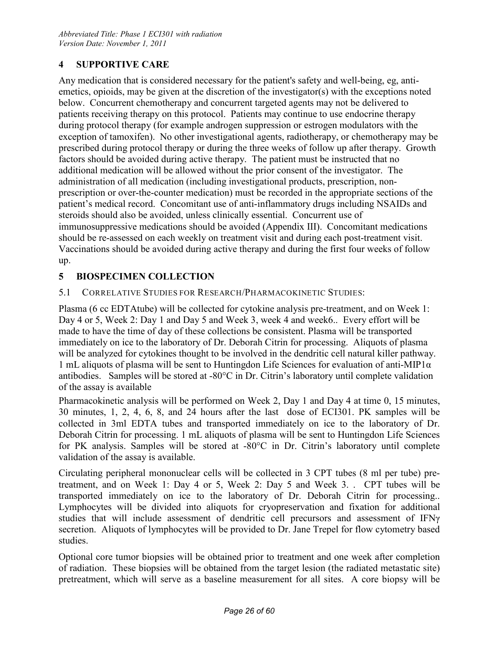## **4 SUPPORTIVE CARE**

Any medication that is considered necessary for the patient's safety and well-being, eg, antiemetics, opioids, may be given at the discretion of the investigator(s) with the exceptions noted below. Concurrent chemotherapy and concurrent targeted agents may not be delivered to patients receiving therapy on this protocol. Patients may continue to use endocrine therapy during protocol therapy (for example androgen suppression or estrogen modulators with the exception of tamoxifen). No other investigational agents, radiotherapy, or chemotherapy may be prescribed during protocol therapy or during the three weeks of follow up after therapy. Growth factors should be avoided during active therapy. The patient must be instructed that no additional medication will be allowed without the prior consent of the investigator. The administration of all medication (including investigational products, prescription, nonprescription or over-the-counter medication) must be recorded in the appropriate sections of the patient's medical record. Concomitant use of anti-inflammatory drugs including NSAIDs and steroids should also be avoided, unless clinically essential. Concurrent use of immunosuppressive medications should be avoided (Appendix III). Concomitant medications should be re-assessed on each weekly on treatment visit and during each post-treatment visit. Vaccinations should be avoided during active therapy and during the first four weeks of follow up.

## **5 BIOSPECIMEN COLLECTION**

#### 5.1 CORRELATIVE STUDIES FOR RESEARCH/PHARMACOKINETIC STUDIES:

Plasma (6 cc EDTAtube) will be collected for cytokine analysis pre-treatment, and on Week 1: Day 4 or 5, Week 2: Day 1 and Day 5 and Week 3, week 4 and week6.. Every effort will be made to have the time of day of these collections be consistent. Plasma will be transported immediately on ice to the laboratory of Dr. Deborah Citrin for processing. Aliquots of plasma will be analyzed for cytokines thought to be involved in the dendritic cell natural killer pathway. 1 mL aliquots of plasma will be sent to Huntingdon Life Sciences for evaluation of anti-MIP1 $\alpha$ antibodies. Samples will be stored at -80°C in Dr. Citrin's laboratory until complete validation of the assay is available

Pharmacokinetic analysis will be performed on Week 2, Day 1 and Day 4 at time 0, 15 minutes, 30 minutes, 1, 2, 4, 6, 8, and 24 hours after the last dose of ECI301. PK samples will be collected in 3ml EDTA tubes and transported immediately on ice to the laboratory of Dr. Deborah Citrin for processing. 1 mL aliquots of plasma will be sent to Huntingdon Life Sciences for PK analysis. Samples will be stored at -80°C in Dr. Citrin's laboratory until complete validation of the assay is available.

Circulating peripheral mononuclear cells will be collected in 3 CPT tubes (8 ml per tube) pretreatment, and on Week 1: Day 4 or 5, Week 2: Day 5 and Week 3. . CPT tubes will be transported immediately on ice to the laboratory of Dr. Deborah Citrin for processing.. Lymphocytes will be divided into aliquots for cryopreservation and fixation for additional studies that will include assessment of dendritic cell precursors and assessment of IFNγ secretion. Aliquots of lymphocytes will be provided to Dr. Jane Trepel for flow cytometry based studies.

Optional core tumor biopsies will be obtained prior to treatment and one week after completion of radiation. These biopsies will be obtained from the target lesion (the radiated metastatic site) pretreatment, which will serve as a baseline measurement for all sites. A core biopsy will be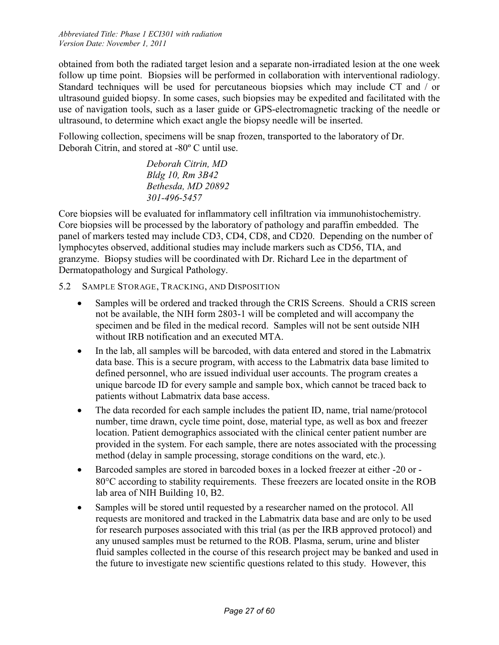obtained from both the radiated target lesion and a separate non-irradiated lesion at the one week follow up time point. Biopsies will be performed in collaboration with interventional radiology. Standard techniques will be used for percutaneous biopsies which may include CT and / or ultrasound guided biopsy. In some cases, such biopsies may be expedited and facilitated with the use of navigation tools, such as a laser guide or GPS-electromagnetic tracking of the needle or ultrasound, to determine which exact angle the biopsy needle will be inserted.

Following collection, specimens will be snap frozen, transported to the laboratory of Dr. Deborah Citrin, and stored at -80º C until use.

> *Deborah Citrin, MD Bldg 10, Rm 3B42 Bethesda, MD 20892 301-496-5457*

Core biopsies will be evaluated for inflammatory cell infiltration via immunohistochemistry. Core biopsies will be processed by the laboratory of pathology and paraffin embedded. The panel of markers tested may include CD3, CD4, CD8, and CD20. Depending on the number of lymphocytes observed, additional studies may include markers such as CD56, TIA, and granzyme. Biopsy studies will be coordinated with Dr. Richard Lee in the department of Dermatopathology and Surgical Pathology.

- 5.2 SAMPLE STORAGE, TRACKING, AND DISPOSITION
	- Samples will be ordered and tracked through the CRIS Screens. Should a CRIS screen not be available, the NIH form 2803-1 will be completed and will accompany the specimen and be filed in the medical record. Samples will not be sent outside NIH without IRB notification and an executed MTA.
	- In the lab, all samples will be barcoded, with data entered and stored in the Labmatrix data base. This is a secure program, with access to the Labmatrix data base limited to defined personnel, who are issued individual user accounts. The program creates a unique barcode ID for every sample and sample box, which cannot be traced back to patients without Labmatrix data base access.
	- The data recorded for each sample includes the patient ID, name, trial name/protocol number, time drawn, cycle time point, dose, material type, as well as box and freezer location. Patient demographics associated with the clinical center patient number are provided in the system. For each sample, there are notes associated with the processing method (delay in sample processing, storage conditions on the ward, etc.).
	- Barcoded samples are stored in barcoded boxes in a locked freezer at either -20 or 80°C according to stability requirements. These freezers are located onsite in the ROB lab area of NIH Building 10, B2.
	- Samples will be stored until requested by a researcher named on the protocol. All requests are monitored and tracked in the Labmatrix data base and are only to be used for research purposes associated with this trial (as per the IRB approved protocol) and any unused samples must be returned to the ROB. Plasma, serum, urine and blister fluid samples collected in the course of this research project may be banked and used in the future to investigate new scientific questions related to this study. However, this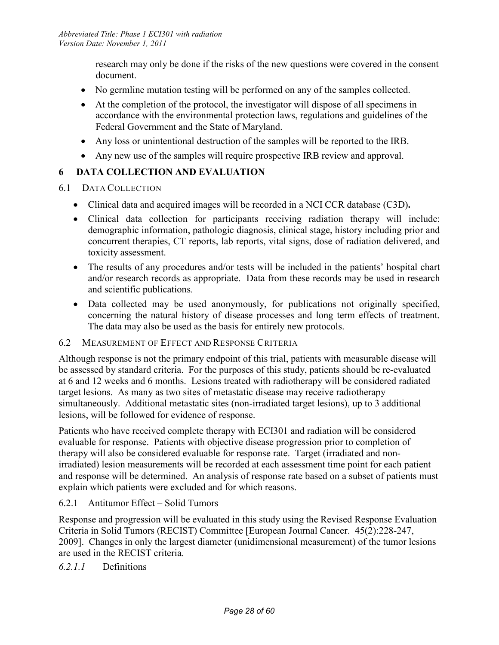research may only be done if the risks of the new questions were covered in the consent document.

- No germline mutation testing will be performed on any of the samples collected.
- At the completion of the protocol, the investigator will dispose of all specimens in accordance with the environmental protection laws, regulations and guidelines of the Federal Government and the State of Maryland.
- Any loss or unintentional destruction of the samples will be reported to the IRB.
- Any new use of the samples will require prospective IRB review and approval.

## **6 DATA COLLECTION AND EVALUATION**

#### 6.1 DATA COLLECTION

- Clinical data and acquired images will be recorded in a NCI CCR database (C3D)**.**
- Clinical data collection for participants receiving radiation therapy will include: demographic information, pathologic diagnosis, clinical stage, history including prior and concurrent therapies, CT reports, lab reports, vital signs, dose of radiation delivered, and toxicity assessment.
- The results of any procedures and/or tests will be included in the patients' hospital chart and/or research records as appropriate. Data from these records may be used in research and scientific publications*.*
- Data collected may be used anonymously, for publications not originally specified, concerning the natural history of disease processes and long term effects of treatment. The data may also be used as the basis for entirely new protocols.

#### 6.2 MEASUREMENT OF EFFECT AND RESPONSE CRITERIA

Although response is not the primary endpoint of this trial, patients with measurable disease will be assessed by standard criteria. For the purposes of this study, patients should be re-evaluated at 6 and 12 weeks and 6 months. Lesions treated with radiotherapy will be considered radiated target lesions. As many as two sites of metastatic disease may receive radiotherapy simultaneously. Additional metastatic sites (non-irradiated target lesions), up to 3 additional lesions, will be followed for evidence of response.

Patients who have received complete therapy with ECI301 and radiation will be considered evaluable for response. Patients with objective disease progression prior to completion of therapy will also be considered evaluable for response rate. Target (irradiated and nonirradiated) lesion measurements will be recorded at each assessment time point for each patient and response will be determined. An analysis of response rate based on a subset of patients must explain which patients were excluded and for which reasons.

#### 6.2.1 Antitumor Effect – Solid Tumors

Response and progression will be evaluated in this study using the Revised Response Evaluation Criteria in Solid Tumors (RECIST) Committee [European Journal Cancer. 45(2):228-247, 2009]. Changes in only the largest diameter (unidimensional measurement) of the tumor lesions are used in the RECIST criteria.

## *6.2.1.1* Definitions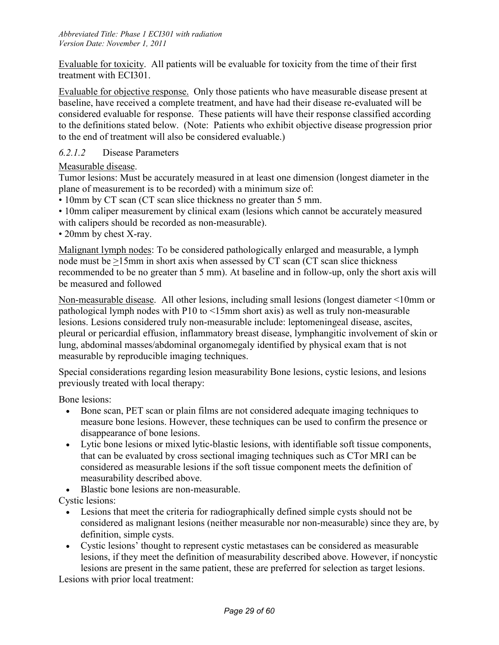Evaluable for toxicity. All patients will be evaluable for toxicity from the time of their first treatment with ECI301.

Evaluable for objective response. Only those patients who have measurable disease present at baseline, have received a complete treatment, and have had their disease re-evaluated will be considered evaluable for response. These patients will have their response classified according to the definitions stated below. (Note: Patients who exhibit objective disease progression prior to the end of treatment will also be considered evaluable.)

#### *6.2.1.2* Disease Parameters

Measurable disease.

Tumor lesions: Must be accurately measured in at least one dimension (longest diameter in the plane of measurement is to be recorded) with a minimum size of:

• 10mm by CT scan (CT scan slice thickness no greater than 5 mm.

• 10mm caliper measurement by clinical exam (lesions which cannot be accurately measured with calipers should be recorded as non-measurable).

• 20mm by chest X-ray.

Malignant lymph nodes: To be considered pathologically enlarged and measurable, a lymph node must be >15mm in short axis when assessed by CT scan (CT scan slice thickness recommended to be no greater than 5 mm). At baseline and in follow-up, only the short axis will be measured and followed

Non-measurable disease. All other lesions, including small lesions (longest diameter <10mm or pathological lymph nodes with P10 to <15mm short axis) as well as truly non-measurable lesions. Lesions considered truly non-measurable include: leptomeningeal disease, ascites, pleural or pericardial effusion, inflammatory breast disease, lymphangitic involvement of skin or lung, abdominal masses/abdominal organomegaly identified by physical exam that is not measurable by reproducible imaging techniques.

Special considerations regarding lesion measurability Bone lesions, cystic lesions, and lesions previously treated with local therapy:

Bone lesions:

- Bone scan, PET scan or plain films are not considered adequate imaging techniques to measure bone lesions. However, these techniques can be used to confirm the presence or disappearance of bone lesions.
- Lytic bone lesions or mixed lytic-blastic lesions, with identifiable soft tissue components, that can be evaluated by cross sectional imaging techniques such as CTor MRI can be considered as measurable lesions if the soft tissue component meets the definition of measurability described above.
- Blastic bone lesions are non-measurable.

Cystic lesions:

- Lesions that meet the criteria for radiographically defined simple cysts should not be considered as malignant lesions (neither measurable nor non-measurable) since they are, by definition, simple cysts.
- Cystic lesions' thought to represent cystic metastases can be considered as measurable lesions, if they meet the definition of measurability described above. However, if noncystic lesions are present in the same patient, these are preferred for selection as target lesions.

Lesions with prior local treatment: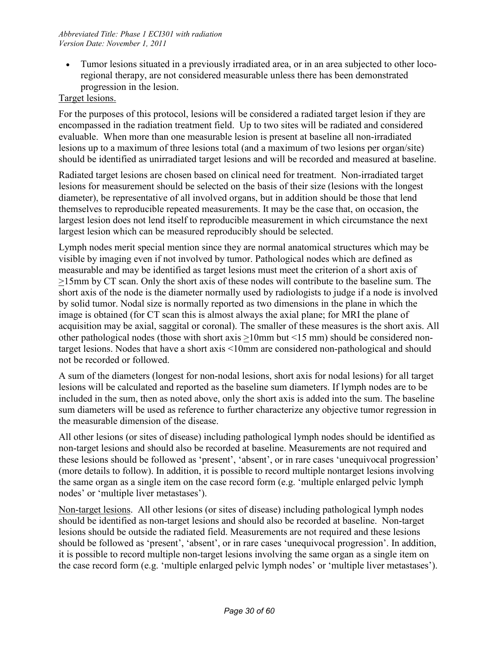• Tumor lesions situated in a previously irradiated area, or in an area subjected to other locoregional therapy, are not considered measurable unless there has been demonstrated progression in the lesion.

#### Target lesions.

For the purposes of this protocol, lesions will be considered a radiated target lesion if they are encompassed in the radiation treatment field. Up to two sites will be radiated and considered evaluable. When more than one measurable lesion is present at baseline all non-irradiated lesions up to a maximum of three lesions total (and a maximum of two lesions per organ/site) should be identified as unirradiated target lesions and will be recorded and measured at baseline.

Radiated target lesions are chosen based on clinical need for treatment. Non-irradiated target lesions for measurement should be selected on the basis of their size (lesions with the longest diameter), be representative of all involved organs, but in addition should be those that lend themselves to reproducible repeated measurements. It may be the case that, on occasion, the largest lesion does not lend itself to reproducible measurement in which circumstance the next largest lesion which can be measured reproducibly should be selected.

Lymph nodes merit special mention since they are normal anatomical structures which may be visible by imaging even if not involved by tumor. Pathological nodes which are defined as measurable and may be identified as target lesions must meet the criterion of a short axis of >15mm by CT scan. Only the short axis of these nodes will contribute to the baseline sum. The short axis of the node is the diameter normally used by radiologists to judge if a node is involved by solid tumor. Nodal size is normally reported as two dimensions in the plane in which the image is obtained (for CT scan this is almost always the axial plane; for MRI the plane of acquisition may be axial, saggital or coronal). The smaller of these measures is the short axis. All other pathological nodes (those with short axis >10mm but <15 mm) should be considered nontarget lesions. Nodes that have a short axis <10mm are considered non-pathological and should not be recorded or followed.

A sum of the diameters (longest for non-nodal lesions, short axis for nodal lesions) for all target lesions will be calculated and reported as the baseline sum diameters. If lymph nodes are to be included in the sum, then as noted above, only the short axis is added into the sum. The baseline sum diameters will be used as reference to further characterize any objective tumor regression in the measurable dimension of the disease.

All other lesions (or sites of disease) including pathological lymph nodes should be identified as non-target lesions and should also be recorded at baseline. Measurements are not required and these lesions should be followed as 'present', 'absent', or in rare cases 'unequivocal progression' (more details to follow). In addition, it is possible to record multiple nontarget lesions involving the same organ as a single item on the case record form (e.g. 'multiple enlarged pelvic lymph nodes' or 'multiple liver metastases').

Non-target lesions. All other lesions (or sites of disease) including pathological lymph nodes should be identified as non-target lesions and should also be recorded at baseline. Non-target lesions should be outside the radiated field. Measurements are not required and these lesions should be followed as 'present', 'absent', or in rare cases 'unequivocal progression'. In addition, it is possible to record multiple non-target lesions involving the same organ as a single item on the case record form (e.g. 'multiple enlarged pelvic lymph nodes' or 'multiple liver metastases').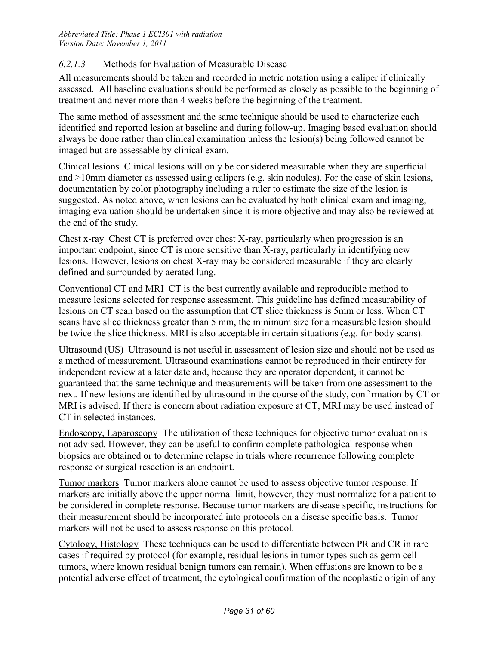#### *6.2.1.3* Methods for Evaluation of Measurable Disease

All measurements should be taken and recorded in metric notation using a caliper if clinically assessed. All baseline evaluations should be performed as closely as possible to the beginning of treatment and never more than 4 weeks before the beginning of the treatment.

The same method of assessment and the same technique should be used to characterize each identified and reported lesion at baseline and during follow-up. Imaging based evaluation should always be done rather than clinical examination unless the lesion(s) being followed cannot be imaged but are assessable by clinical exam.

Clinical lesionsClinical lesions will only be considered measurable when they are superficial and >10mm diameter as assessed using calipers (e.g. skin nodules). For the case of skin lesions, documentation by color photography including a ruler to estimate the size of the lesion is suggested. As noted above, when lesions can be evaluated by both clinical exam and imaging, imaging evaluation should be undertaken since it is more objective and may also be reviewed at the end of the study.

Chest x-rayChest CT is preferred over chest X-ray, particularly when progression is an important endpoint, since CT is more sensitive than X-ray, particularly in identifying new lesions. However, lesions on chest X-ray may be considered measurable if they are clearly defined and surrounded by aerated lung.

Conventional CT and MRI CT is the best currently available and reproducible method to measure lesions selected for response assessment. This guideline has defined measurability of lesions on CT scan based on the assumption that CT slice thickness is 5mm or less. When CT scans have slice thickness greater than 5 mm, the minimum size for a measurable lesion should be twice the slice thickness. MRI is also acceptable in certain situations (e.g. for body scans).

Ultrasound (US) Ultrasound is not useful in assessment of lesion size and should not be used as a method of measurement. Ultrasound examinations cannot be reproduced in their entirety for independent review at a later date and, because they are operator dependent, it cannot be guaranteed that the same technique and measurements will be taken from one assessment to the next. If new lesions are identified by ultrasound in the course of the study, confirmation by CT or MRI is advised. If there is concern about radiation exposure at CT, MRI may be used instead of CT in selected instances.

Endoscopy, Laparoscopy The utilization of these techniques for objective tumor evaluation is not advised. However, they can be useful to confirm complete pathological response when biopsies are obtained or to determine relapse in trials where recurrence following complete response or surgical resection is an endpoint.

Tumor markers Tumor markers alone cannot be used to assess objective tumor response. If markers are initially above the upper normal limit, however, they must normalize for a patient to be considered in complete response. Because tumor markers are disease specific, instructions for their measurement should be incorporated into protocols on a disease specific basis. Tumor markers will not be used to assess response on this protocol.

Cytology, Histology These techniques can be used to differentiate between PR and CR in rare cases if required by protocol (for example, residual lesions in tumor types such as germ cell tumors, where known residual benign tumors can remain). When effusions are known to be a potential adverse effect of treatment, the cytological confirmation of the neoplastic origin of any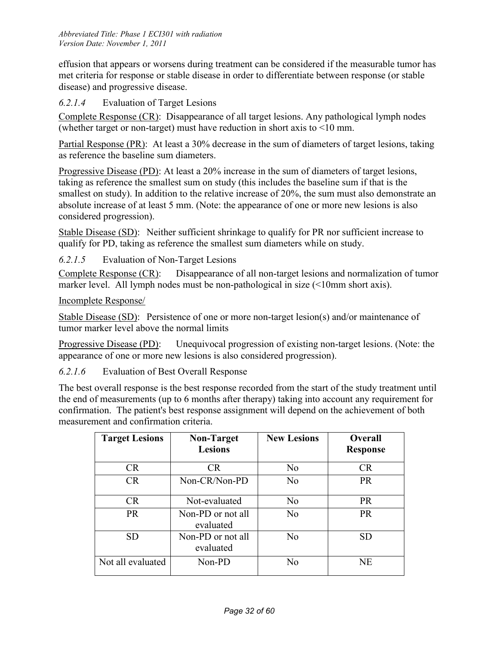effusion that appears or worsens during treatment can be considered if the measurable tumor has met criteria for response or stable disease in order to differentiate between response (or stable disease) and progressive disease.

*6.2.1.4* Evaluation of Target Lesions

Complete Response (CR): Disappearance of all target lesions. Any pathological lymph nodes (whether target or non-target) must have reduction in short axis to <10 mm.

Partial Response (PR): At least a 30% decrease in the sum of diameters of target lesions, taking as reference the baseline sum diameters.

Progressive Disease (PD): At least a 20% increase in the sum of diameters of target lesions, taking as reference the smallest sum on study (this includes the baseline sum if that is the smallest on study). In addition to the relative increase of 20%, the sum must also demonstrate an absolute increase of at least 5 mm. (Note: the appearance of one or more new lesions is also considered progression).

Stable Disease (SD): Neither sufficient shrinkage to qualify for PR nor sufficient increase to qualify for PD, taking as reference the smallest sum diameters while on study.

*6.2.1.5* Evaluation of Non-Target Lesions

Complete Response (CR): Disappearance of all non-target lesions and normalization of tumor marker level. All lymph nodes must be non-pathological in size (<10mm short axis).

#### Incomplete Response/

Stable Disease (SD): Persistence of one or more non-target lesion(s) and/or maintenance of tumor marker level above the normal limits

Progressive Disease (PD): Unequivocal progression of existing non-target lesions. (Note: the appearance of one or more new lesions is also considered progression).

*6.2.1.6* Evaluation of Best Overall Response

The best overall response is the best response recorded from the start of the study treatment until the end of measurements (up to 6 months after therapy) taking into account any requirement for confirmation. The patient's best response assignment will depend on the achievement of both measurement and confirmation criteria.

| <b>Target Lesions</b> | <b>Non-Target</b><br><b>Lesions</b> | <b>New Lesions</b> | <b>Overall</b><br><b>Response</b> |
|-----------------------|-------------------------------------|--------------------|-----------------------------------|
| <b>CR</b>             | <b>CR</b>                           | N <sub>0</sub>     | <b>CR</b>                         |
| <b>CR</b>             | Non-CR/Non-PD                       | N <sub>0</sub>     | <b>PR</b>                         |
| <b>CR</b>             | Not-evaluated                       | N <sub>0</sub>     | <b>PR</b>                         |
| PR                    | Non-PD or not all<br>evaluated      | N <sub>0</sub>     | PR                                |
| <b>SD</b>             | Non-PD or not all<br>evaluated      | No                 | <b>SD</b>                         |
| Not all evaluated     | Non-PD                              | No                 | <b>NE</b>                         |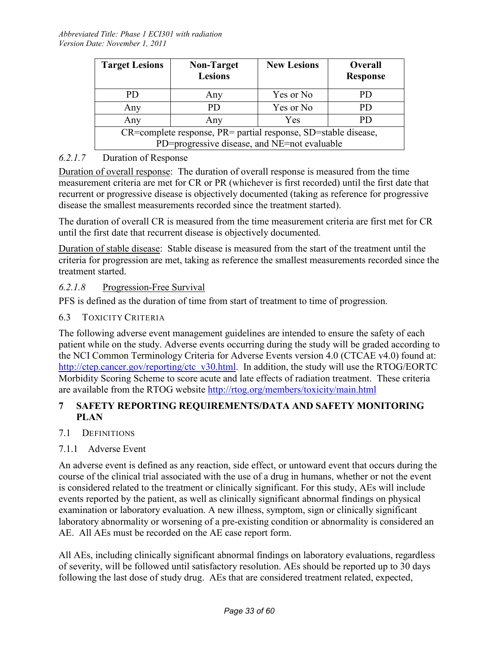| <b>Target Lesions</b>                                          | <b>Non-Target</b><br><b>Lesions</b> | <b>New Lesions</b> | Overall<br><b>Response</b> |
|----------------------------------------------------------------|-------------------------------------|--------------------|----------------------------|
| PD.                                                            | Any                                 | Yes or No          | PD.                        |
| Any                                                            | PD                                  | Yes or No          | PD.                        |
| Any                                                            | Any                                 | Yes                | PD.                        |
| CR=complete response, PR= partial response, SD=stable disease, |                                     |                    |                            |
| PD=progressive disease, and NE=not evaluable                   |                                     |                    |                            |

## *6.2.1.7* Duration of Response

Duration of overall response: The duration of overall response is measured from the time measurement criteria are met for CR or PR (whichever is first recorded) until the first date that recurrent or progressive disease is objectively documented (taking as reference for progressive disease the smallest measurements recorded since the treatment started).

The duration of overall CR is measured from the time measurement criteria are first met for CR until the first date that recurrent disease is objectively documented.

Duration of stable disease: Stable disease is measured from the start of the treatment until the criteria for progression are met, taking as reference the smallest measurements recorded since the treatment started.

#### *6.2.1.8* Progression-Free Survival

PFS is defined as the duration of time from start of treatment to time of progression.

#### 6.3 TOXICITY CRITERIA

The following adverse event management guidelines are intended to ensure the safety of each patient while on the study. Adverse events occurring during the study will be graded according to the NCI Common Terminology Criteria for Adverse Events version 4.0 (CTCAE v4.0) found at: http://ctep.cancer.gov/reporting/ctc\_v30.html. In addition, the study will use the RTOG/EORTC Morbidity Scoring Scheme to score acute and late effects of radiation treatment. These criteria are available from the RTOG website http://rtog.org/members/toxicity/main.html

#### **7 SAFETY REPORTING REQUIREMENTS/DATA AND SAFETY MONITORING PLAN**

#### 7.1 DEFINITIONS

#### 7.1.1 Adverse Event

An adverse event is defined as any reaction, side effect, or untoward event that occurs during the course of the clinical trial associated with the use of a drug in humans, whether or not the event is considered related to the treatment or clinically significant. For this study, AEs will include events reported by the patient, as well as clinically significant abnormal findings on physical examination or laboratory evaluation. A new illness, symptom, sign or clinically significant laboratory abnormality or worsening of a pre-existing condition or abnormality is considered an AE. All AEs must be recorded on the AE case report form.

All AEs, including clinically significant abnormal findings on laboratory evaluations, regardless of severity, will be followed until satisfactory resolution. AEs should be reported up to 30 days following the last dose of study drug. AEs that are considered treatment related, expected,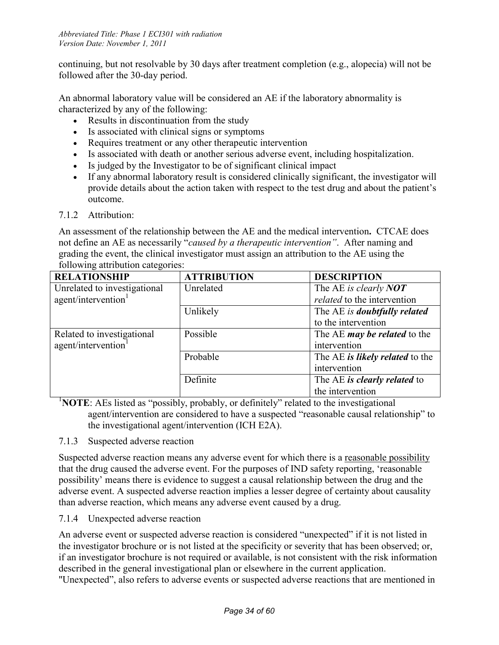continuing, but not resolvable by 30 days after treatment completion (e.g., alopecia) will not be followed after the 30-day period.

An abnormal laboratory value will be considered an AE if the laboratory abnormality is characterized by any of the following:

- Results in discontinuation from the study
- Is associated with clinical signs or symptoms
- Requires treatment or any other therapeutic intervention
- Is associated with death or another serious adverse event, including hospitalization.
- Is judged by the Investigator to be of significant clinical impact
- If any abnormal laboratory result is considered clinically significant, the investigator will provide details about the action taken with respect to the test drug and about the patient's outcome.

#### 7.1.2 Attribution:

An assessment of the relationship between the AE and the medical intervention**.** CTCAE does not define an AE as necessarily "*caused by a therapeutic intervention"*. After naming and grading the event, the clinical investigator must assign an attribution to the AE using the following attribution categories:

| <b>RELATIONSHIP</b>             | <b>ATTRIBUTION</b> | <b>DESCRIPTION</b>                  |
|---------------------------------|--------------------|-------------------------------------|
| Unrelated to investigational    | Unrelated          | The AE is clearly NOT               |
| agent/intervention <sup>1</sup> |                    | related to the intervention         |
|                                 | Unlikely           | The AE is doubtfully related        |
|                                 |                    | to the intervention                 |
| Related to investigational      | Possible           | The AE <i>may be related</i> to the |
| agent/intervention <sup>1</sup> |                    | intervention                        |
|                                 | Probable           | The AE is likely related to the     |
|                                 |                    | intervention                        |
|                                 | Definite           | The AE is clearly related to        |
|                                 |                    | the intervention                    |

<sup>1</sup>NOTE: AEs listed as "possibly, probably, or definitely" related to the investigational agent/intervention are considered to have a suspected "reasonable causal relationship" to the investigational agent/intervention (ICH E2A).

7.1.3 Suspected adverse reaction

Suspected adverse reaction means any adverse event for which there is a reasonable possibility that the drug caused the adverse event. For the purposes of IND safety reporting, 'reasonable possibility' means there is evidence to suggest a causal relationship between the drug and the adverse event. A suspected adverse reaction implies a lesser degree of certainty about causality than adverse reaction, which means any adverse event caused by a drug.

7.1.4 Unexpected adverse reaction

An adverse event or suspected adverse reaction is considered "unexpected" if it is not listed in the investigator brochure or is not listed at the specificity or severity that has been observed; or, if an investigator brochure is not required or available, is not consistent with the risk information described in the general investigational plan or elsewhere in the current application. "Unexpected", also refers to adverse events or suspected adverse reactions that are mentioned in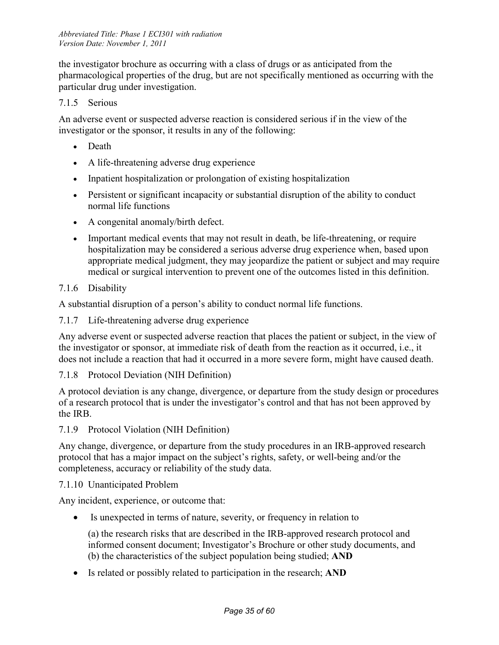the investigator brochure as occurring with a class of drugs or as anticipated from the pharmacological properties of the drug, but are not specifically mentioned as occurring with the particular drug under investigation.

#### 7.1.5 Serious

An adverse event or suspected adverse reaction is considered serious if in the view of the investigator or the sponsor, it results in any of the following:

- Death
- A life-threatening adverse drug experience
- Inpatient hospitalization or prolongation of existing hospitalization
- Persistent or significant incapacity or substantial disruption of the ability to conduct normal life functions
- A congenital anomaly/birth defect.
- Important medical events that may not result in death, be life-threatening, or require hospitalization may be considered a serious adverse drug experience when, based upon appropriate medical judgment, they may jeopardize the patient or subject and may require medical or surgical intervention to prevent one of the outcomes listed in this definition.

#### 7.1.6 Disability

A substantial disruption of a person's ability to conduct normal life functions.

7.1.7 Life-threatening adverse drug experience

Any adverse event or suspected adverse reaction that places the patient or subject, in the view of the investigator or sponsor, at immediate risk of death from the reaction as it occurred, i.e., it does not include a reaction that had it occurred in a more severe form, might have caused death.

#### 7.1.8 Protocol Deviation (NIH Definition)

A protocol deviation is any change, divergence, or departure from the study design or procedures of a research protocol that is under the investigator's control and that has not been approved by the IRB.

7.1.9 Protocol Violation (NIH Definition)

Any change, divergence, or departure from the study procedures in an IRB-approved research protocol that has a major impact on the subject's rights, safety, or well-being and/or the completeness, accuracy or reliability of the study data.

7.1.10 Unanticipated Problem

Any incident, experience, or outcome that:

• Is unexpected in terms of nature, severity, or frequency in relation to

(a) the research risks that are described in the IRB-approved research protocol and informed consent document; Investigator's Brochure or other study documents, and (b) the characteristics of the subject population being studied; **AND**

• Is related or possibly related to participation in the research; **AND**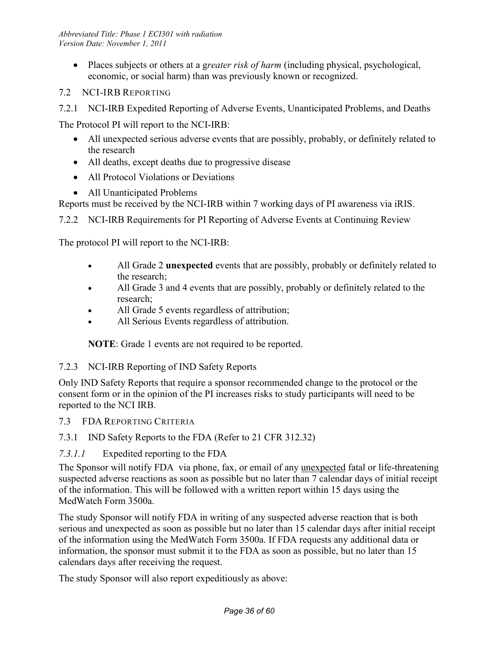- Places subjects or others at a g*reater risk of harm* (including physical, psychological, economic, or social harm) than was previously known or recognized.
- 7.2 NCI-IRB REPORTING
- 7.2.1 NCI-IRB Expedited Reporting of Adverse Events, Unanticipated Problems, and Deaths

The Protocol PI will report to the NCI-IRB:

- All unexpected serious adverse events that are possibly, probably, or definitely related to the research
- All deaths, except deaths due to progressive disease
- All Protocol Violations or Deviations
- All Unanticipated Problems

Reports must be received by the NCI-IRB within 7 working days of PI awareness via iRIS.

7.2.2 NCI-IRB Requirements for PI Reporting of Adverse Events at Continuing Review

The protocol PI will report to the NCI-IRB:

- All Grade 2 **unexpected** events that are possibly, probably or definitely related to the research;
- All Grade 3 and 4 events that are possibly, probably or definitely related to the research;
- All Grade 5 events regardless of attribution;
- All Serious Events regardless of attribution.

**NOTE**: Grade 1 events are not required to be reported.

#### 7.2.3 NCI-IRB Reporting of IND Safety Reports

Only IND Safety Reports that require a sponsor recommended change to the protocol or the consent form or in the opinion of the PI increases risks to study participants will need to be reported to the NCI IRB.

7.3 FDA REPORTING CRITERIA

7.3.1 IND Safety Reports to the FDA (Refer to 21 CFR 312.32)

#### *7.3.1.1* Expedited reporting to the FDA

The Sponsor will notify FDA via phone, fax, or email of any unexpected fatal or life-threatening suspected adverse reactions as soon as possible but no later than 7 calendar days of initial receipt of the information. This will be followed with a written report within 15 days using the MedWatch Form 3500a.

The study Sponsor will notify FDA in writing of any suspected adverse reaction that is both serious and unexpected as soon as possible but no later than 15 calendar days after initial receipt of the information using the MedWatch Form 3500a. If FDA requests any additional data or information, the sponsor must submit it to the FDA as soon as possible, but no later than 15 calendars days after receiving the request.

The study Sponsor will also report expeditiously as above: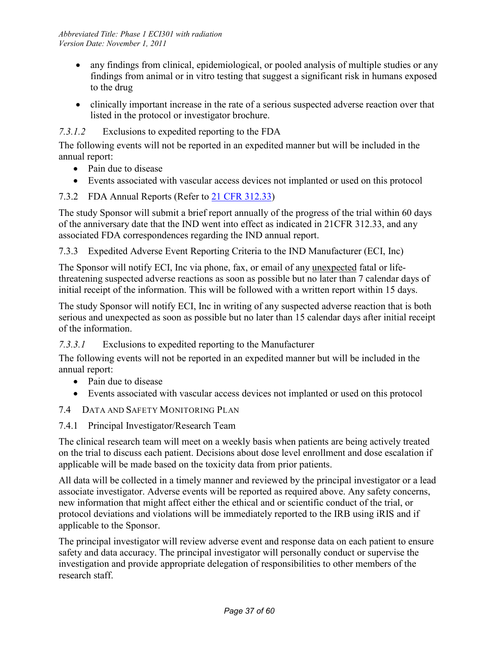- any findings from clinical, epidemiological, or pooled analysis of multiple studies or any findings from animal or in vitro testing that suggest a significant risk in humans exposed to the drug
- clinically important increase in the rate of a serious suspected adverse reaction over that listed in the protocol or investigator brochure.

## *7.3.1.2* Exclusions to expedited reporting to the FDA

The following events will not be reported in an expedited manner but will be included in the annual report:

- Pain due to disease
- Events associated with vascular access devices not implanted or used on this protocol

# 7.3.2 FDA Annual Reports (Refer to 21 CFR 312.33)

The study Sponsor will submit a brief report annually of the progress of the trial within 60 days of the anniversary date that the IND went into effect as indicated in 21CFR 312.33, and any associated FDA correspondences regarding the IND annual report.

7.3.3 Expedited Adverse Event Reporting Criteria to the IND Manufacturer (ECI, Inc)

The Sponsor will notify ECI, Inc via phone, fax, or email of any unexpected fatal or lifethreatening suspected adverse reactions as soon as possible but no later than 7 calendar days of initial receipt of the information. This will be followed with a written report within 15 days.

The study Sponsor will notify ECI, Inc in writing of any suspected adverse reaction that is both serious and unexpected as soon as possible but no later than 15 calendar days after initial receipt of the information.

*7.3.3.1* Exclusions to expedited reporting to the Manufacturer

The following events will not be reported in an expedited manner but will be included in the annual report:

- Pain due to disease
- Events associated with vascular access devices not implanted or used on this protocol
- 7.4 DATA AND SAFETY MONITORING PLAN
- 7.4.1 Principal Investigator/Research Team

The clinical research team will meet on a weekly basis when patients are being actively treated on the trial to discuss each patient. Decisions about dose level enrollment and dose escalation if applicable will be made based on the toxicity data from prior patients.

All data will be collected in a timely manner and reviewed by the principal investigator or a lead associate investigator. Adverse events will be reported as required above. Any safety concerns, new information that might affect either the ethical and or scientific conduct of the trial, or protocol deviations and violations will be immediately reported to the IRB using iRIS and if applicable to the Sponsor.

The principal investigator will review adverse event and response data on each patient to ensure safety and data accuracy. The principal investigator will personally conduct or supervise the investigation and provide appropriate delegation of responsibilities to other members of the research staff.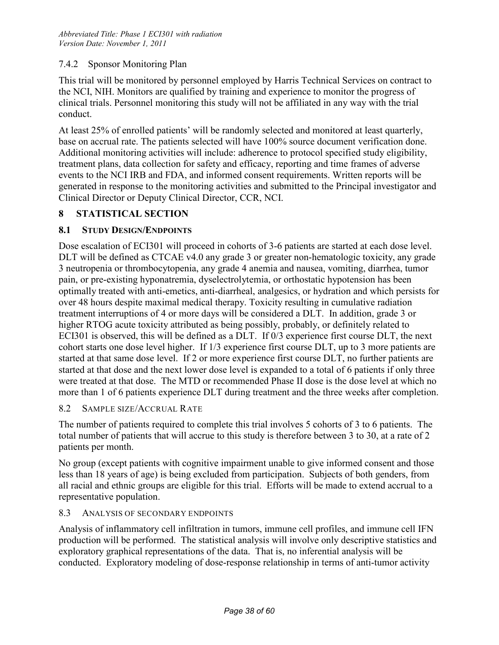#### 7.4.2 Sponsor Monitoring Plan

This trial will be monitored by personnel employed by Harris Technical Services on contract to the NCI, NIH. Monitors are qualified by training and experience to monitor the progress of clinical trials. Personnel monitoring this study will not be affiliated in any way with the trial conduct.

At least 25% of enrolled patients' will be randomly selected and monitored at least quarterly, base on accrual rate. The patients selected will have 100% source document verification done. Additional monitoring activities will include: adherence to protocol specified study eligibility, treatment plans, data collection for safety and efficacy, reporting and time frames of adverse events to the NCI IRB and FDA, and informed consent requirements. Written reports will be generated in response to the monitoring activities and submitted to the Principal investigator and Clinical Director or Deputy Clinical Director, CCR, NCI.

#### **8 STATISTICAL SECTION**

#### **8.1 STUDY DESIGN/ENDPOINTS**

Dose escalation of ECI301 will proceed in cohorts of 3-6 patients are started at each dose level. DLT will be defined as CTCAE v4.0 any grade 3 or greater non-hematologic toxicity, any grade 3 neutropenia or thrombocytopenia, any grade 4 anemia and nausea, vomiting, diarrhea, tumor pain, or pre-existing hyponatremia, dyselectrolytemia, or orthostatic hypotension has been optimally treated with anti-emetics, anti-diarrheal, analgesics, or hydration and which persists for over 48 hours despite maximal medical therapy. Toxicity resulting in cumulative radiation treatment interruptions of 4 or more days will be considered a DLT. In addition, grade 3 or higher RTOG acute toxicity attributed as being possibly, probably, or definitely related to ECI301 is observed, this will be defined as a DLT. If 0/3 experience first course DLT, the next cohort starts one dose level higher. If 1/3 experience first course DLT, up to 3 more patients are started at that same dose level. If 2 or more experience first course DLT, no further patients are started at that dose and the next lower dose level is expanded to a total of 6 patients if only three were treated at that dose. The MTD or recommended Phase II dose is the dose level at which no more than 1 of 6 patients experience DLT during treatment and the three weeks after completion.

#### 8.2 SAMPLE SIZE/ACCRUAL RATE

The number of patients required to complete this trial involves 5 cohorts of 3 to 6 patients. The total number of patients that will accrue to this study is therefore between 3 to 30, at a rate of 2 patients per month.

No group (except patients with cognitive impairment unable to give informed consent and those less than 18 years of age) is being excluded from participation. Subjects of both genders, from all racial and ethnic groups are eligible for this trial. Efforts will be made to extend accrual to a representative population.

#### 8.3 ANALYSIS OF SECONDARY ENDPOINTS

Analysis of inflammatory cell infiltration in tumors, immune cell profiles, and immune cell IFN production will be performed. The statistical analysis will involve only descriptive statistics and exploratory graphical representations of the data. That is, no inferential analysis will be conducted. Exploratory modeling of dose-response relationship in terms of anti-tumor activity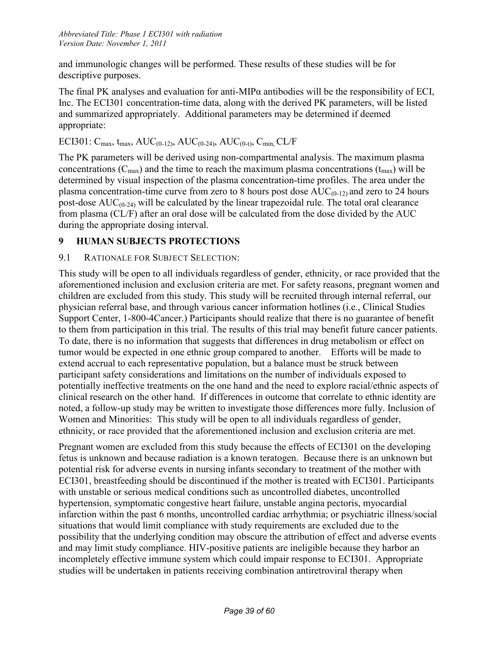and immunologic changes will be performed. These results of these studies will be for descriptive purposes.

The final PK analyses and evaluation for anti-MIPα antibodies will be the responsibility of ECI, Inc. The ECI301 concentration-time data, along with the derived PK parameters, will be listed and summarized appropriately. Additional parameters may be determined if deemed appropriate:

# ECI301:  $C_{\text{max}}$ ,  $t_{\text{max}}$ ,  $AUC_{(0-12)}$ ,  $AUC_{(0-24)}$ ,  $AUC_{(0-1)}$ ,  $C_{\text{min}}$ ,  $CL/F$

The PK parameters will be derived using non-compartmental analysis. The maximum plasma concentrations ( $C_{\text{max}}$ ) and the time to reach the maximum plasma concentrations ( $t_{\text{max}}$ ) will be determined by visual inspection of the plasma concentration-time profiles. The area under the plasma concentration-time curve from zero to 8 hours post dose  $AUC_{(0-12)}$  and zero to 24 hours post-dose  $AUC_{(0-24)}$  will be calculated by the linear trapezoidal rule. The total oral clearance from plasma (CL/F) after an oral dose will be calculated from the dose divided by the AUC during the appropriate dosing interval.

# **9 HUMAN SUBJECTS PROTECTIONS**

# 9.1 RATIONALE FOR SUBJECT SELECTION:

This study will be open to all individuals regardless of gender, ethnicity, or race provided that the aforementioned inclusion and exclusion criteria are met. For safety reasons, pregnant women and children are excluded from this study. This study will be recruited through internal referral, our physician referral base, and through various cancer information hotlines (i.e., Clinical Studies Support Center, 1-800-4Cancer.) Participants should realize that there is no guarantee of benefit to them from participation in this trial. The results of this trial may benefit future cancer patients. To date, there is no information that suggests that differences in drug metabolism or effect on tumor would be expected in one ethnic group compared to another. Efforts will be made to extend accrual to each representative population, but a balance must be struck between participant safety considerations and limitations on the number of individuals exposed to potentially ineffective treatments on the one hand and the need to explore racial/ethnic aspects of clinical research on the other hand. If differences in outcome that correlate to ethnic identity are noted, a follow-up study may be written to investigate those differences more fully. Inclusion of Women and Minorities: This study will be open to all individuals regardless of gender, ethnicity, or race provided that the aforementioned inclusion and exclusion criteria are met.

Pregnant women are excluded from this study because the effects of ECI301 on the developing fetus is unknown and because radiation is a known teratogen. Because there is an unknown but potential risk for adverse events in nursing infants secondary to treatment of the mother with ECI301, breastfeeding should be discontinued if the mother is treated with ECI301. Participants with unstable or serious medical conditions such as uncontrolled diabetes, uncontrolled hypertension, symptomatic congestive heart failure, unstable angina pectoris, myocardial infarction within the past 6 months, uncontrolled cardiac arrhythmia; or psychiatric illness/social situations that would limit compliance with study requirements are excluded due to the possibility that the underlying condition may obscure the attribution of effect and adverse events and may limit study compliance. HIV-positive patients are ineligible because they harbor an incompletely effective immune system which could impair response to ECI301. Appropriate studies will be undertaken in patients receiving combination antiretroviral therapy when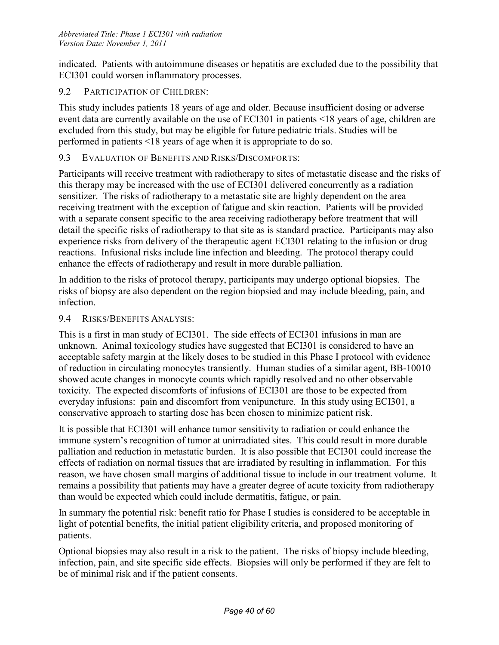indicated. Patients with autoimmune diseases or hepatitis are excluded due to the possibility that ECI301 could worsen inflammatory processes.

#### 9.2 PARTICIPATION OF CHILDREN:

This study includes patients 18 years of age and older. Because insufficient dosing or adverse event data are currently available on the use of ECI301 in patients <18 years of age, children are excluded from this study, but may be eligible for future pediatric trials. Studies will be performed in patients <18 years of age when it is appropriate to do so.

#### 9.3 EVALUATION OF BENEFITS AND RISKS/DISCOMFORTS:

Participants will receive treatment with radiotherapy to sites of metastatic disease and the risks of this therapy may be increased with the use of ECI301 delivered concurrently as a radiation sensitizer. The risks of radiotherapy to a metastatic site are highly dependent on the area receiving treatment with the exception of fatigue and skin reaction. Patients will be provided with a separate consent specific to the area receiving radiotherapy before treatment that will detail the specific risks of radiotherapy to that site as is standard practice. Participants may also experience risks from delivery of the therapeutic agent ECI301 relating to the infusion or drug reactions. Infusional risks include line infection and bleeding. The protocol therapy could enhance the effects of radiotherapy and result in more durable palliation.

In addition to the risks of protocol therapy, participants may undergo optional biopsies. The risks of biopsy are also dependent on the region biopsied and may include bleeding, pain, and infection.

#### 9.4 RISKS/BENEFITS ANALYSIS:

This is a first in man study of ECI301. The side effects of ECI301 infusions in man are unknown. Animal toxicology studies have suggested that ECI301 is considered to have an acceptable safety margin at the likely doses to be studied in this Phase I protocol with evidence of reduction in circulating monocytes transiently. Human studies of a similar agent, BB-10010 showed acute changes in monocyte counts which rapidly resolved and no other observable toxicity. The expected discomforts of infusions of ECI301 are those to be expected from everyday infusions: pain and discomfort from venipuncture. In this study using ECI301, a conservative approach to starting dose has been chosen to minimize patient risk.

It is possible that ECI301 will enhance tumor sensitivity to radiation or could enhance the immune system's recognition of tumor at unirradiated sites. This could result in more durable palliation and reduction in metastatic burden. It is also possible that ECI301 could increase the effects of radiation on normal tissues that are irradiated by resulting in inflammation. For this reason, we have chosen small margins of additional tissue to include in our treatment volume. It remains a possibility that patients may have a greater degree of acute toxicity from radiotherapy than would be expected which could include dermatitis, fatigue, or pain.

In summary the potential risk: benefit ratio for Phase I studies is considered to be acceptable in light of potential benefits, the initial patient eligibility criteria, and proposed monitoring of patients.

Optional biopsies may also result in a risk to the patient. The risks of biopsy include bleeding, infection, pain, and site specific side effects. Biopsies will only be performed if they are felt to be of minimal risk and if the patient consents.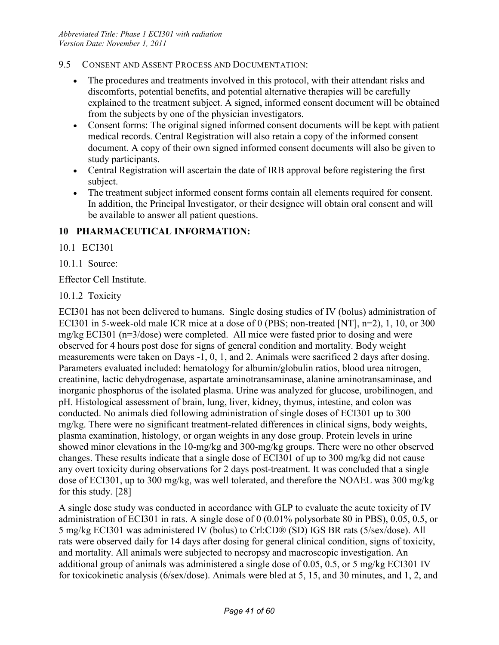- 9.5 CONSENT AND ASSENT PROCESS AND DOCUMENTATION:
	- The procedures and treatments involved in this protocol, with their attendant risks and discomforts, potential benefits, and potential alternative therapies will be carefully explained to the treatment subject. A signed, informed consent document will be obtained from the subjects by one of the physician investigators.
	- Consent forms: The original signed informed consent documents will be kept with patient medical records. Central Registration will also retain a copy of the informed consent document. A copy of their own signed informed consent documents will also be given to study participants.
	- Central Registration will ascertain the date of IRB approval before registering the first subject.
	- The treatment subject informed consent forms contain all elements required for consent. In addition, the Principal Investigator, or their designee will obtain oral consent and will be available to answer all patient questions.

#### **10 PHARMACEUTICAL INFORMATION:**

10.1 ECI301

10.1.1 Source:

Effector Cell Institute.

10.1.2 Toxicity

ECI301 has not been delivered to humans. Single dosing studies of IV (bolus) administration of ECI301 in 5-week-old male ICR mice at a dose of 0 (PBS; non-treated [NT], n=2), 1, 10, or 300 mg/kg ECI301 (n=3/dose) were completed. All mice were fasted prior to dosing and were observed for 4 hours post dose for signs of general condition and mortality. Body weight measurements were taken on Days -1, 0, 1, and 2. Animals were sacrificed 2 days after dosing. Parameters evaluated included: hematology for albumin/globulin ratios, blood urea nitrogen, creatinine, lactic dehydrogenase, aspartate aminotransaminase, alanine aminotransaminase, and inorganic phosphorus of the isolated plasma. Urine was analyzed for glucose, urobilinogen, and pH. Histological assessment of brain, lung, liver, kidney, thymus, intestine, and colon was conducted. No animals died following administration of single doses of ECI301 up to 300 mg/kg. There were no significant treatment-related differences in clinical signs, body weights, plasma examination, histology, or organ weights in any dose group. Protein levels in urine showed minor elevations in the 10-mg/kg and 300-mg/kg groups. There were no other observed changes. These results indicate that a single dose of ECI301 of up to 300 mg/kg did not cause any overt toxicity during observations for 2 days post-treatment. It was concluded that a single dose of ECI301, up to 300 mg/kg, was well tolerated, and therefore the NOAEL was 300 mg/kg for this study. [28]

A single dose study was conducted in accordance with GLP to evaluate the acute toxicity of IV administration of ECI301 in rats. A single dose of 0 (0.01% polysorbate 80 in PBS), 0.05, 0.5, or 5 mg/kg ECI301 was administered IV (bolus) to Crl:CD® (SD) IGS BR rats (5/sex/dose). All rats were observed daily for 14 days after dosing for general clinical condition, signs of toxicity, and mortality. All animals were subjected to necropsy and macroscopic investigation. An additional group of animals was administered a single dose of 0.05, 0.5, or 5 mg/kg ECI301 IV for toxicokinetic analysis (6/sex/dose). Animals were bled at 5, 15, and 30 minutes, and 1, 2, and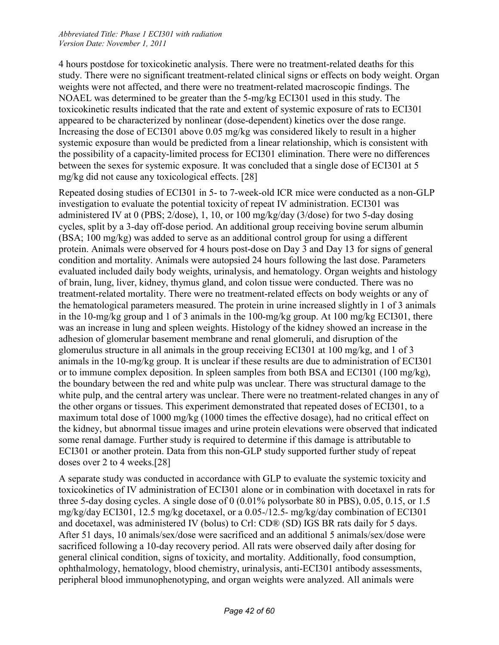4 hours postdose for toxicokinetic analysis. There were no treatment-related deaths for this study. There were no significant treatment-related clinical signs or effects on body weight. Organ weights were not affected, and there were no treatment-related macroscopic findings. The NOAEL was determined to be greater than the 5-mg/kg ECI301 used in this study. The toxicokinetic results indicated that the rate and extent of systemic exposure of rats to ECI301 appeared to be characterized by nonlinear (dose-dependent) kinetics over the dose range. Increasing the dose of ECI301 above 0.05 mg/kg was considered likely to result in a higher systemic exposure than would be predicted from a linear relationship, which is consistent with the possibility of a capacity-limited process for ECI301 elimination. There were no differences between the sexes for systemic exposure. It was concluded that a single dose of ECI301 at 5 mg/kg did not cause any toxicological effects. [28]

Repeated dosing studies of ECI301 in 5- to 7-week-old ICR mice were conducted as a non-GLP investigation to evaluate the potential toxicity of repeat IV administration. ECI301 was administered IV at 0 (PBS; 2/dose), 1, 10, or 100 mg/kg/day (3/dose) for two 5-day dosing cycles, split by a 3-day off-dose period. An additional group receiving bovine serum albumin (BSA; 100 mg/kg) was added to serve as an additional control group for using a different protein. Animals were observed for 4 hours post-dose on Day 3 and Day 13 for signs of general condition and mortality. Animals were autopsied 24 hours following the last dose. Parameters evaluated included daily body weights, urinalysis, and hematology. Organ weights and histology of brain, lung, liver, kidney, thymus gland, and colon tissue were conducted. There was no treatment-related mortality. There were no treatment-related effects on body weights or any of the hematological parameters measured. The protein in urine increased slightly in 1 of 3 animals in the 10-mg/kg group and 1 of 3 animals in the 100-mg/kg group. At 100 mg/kg ECI301, there was an increase in lung and spleen weights. Histology of the kidney showed an increase in the adhesion of glomerular basement membrane and renal glomeruli, and disruption of the glomerulus structure in all animals in the group receiving ECI301 at 100 mg/kg, and 1 of 3 animals in the 10-mg/kg group. It is unclear if these results are due to administration of ECI301 or to immune complex deposition. In spleen samples from both BSA and ECI301 (100 mg/kg), the boundary between the red and white pulp was unclear. There was structural damage to the white pulp, and the central artery was unclear. There were no treatment-related changes in any of the other organs or tissues. This experiment demonstrated that repeated doses of ECI301, to a maximum total dose of 1000 mg/kg (1000 times the effective dosage), had no critical effect on the kidney, but abnormal tissue images and urine protein elevations were observed that indicated some renal damage. Further study is required to determine if this damage is attributable to ECI301 or another protein. Data from this non-GLP study supported further study of repeat doses over 2 to 4 weeks.[28]

A separate study was conducted in accordance with GLP to evaluate the systemic toxicity and toxicokinetics of IV administration of ECI301 alone or in combination with docetaxel in rats for three 5-day dosing cycles. A single dose of 0 (0.01% polysorbate 80 in PBS), 0.05, 0.15, or 1.5 mg/kg/day ECI301, 12.5 mg/kg docetaxel, or a 0.05-/12.5- mg/kg/day combination of ECI301 and docetaxel, was administered IV (bolus) to Crl: CD® (SD) IGS BR rats daily for 5 days. After 51 days, 10 animals/sex/dose were sacrificed and an additional 5 animals/sex/dose were sacrificed following a 10-day recovery period. All rats were observed daily after dosing for general clinical condition, signs of toxicity, and mortality. Additionally, food consumption, ophthalmology, hematology, blood chemistry, urinalysis, anti-ECI301 antibody assessments, peripheral blood immunophenotyping, and organ weights were analyzed. All animals were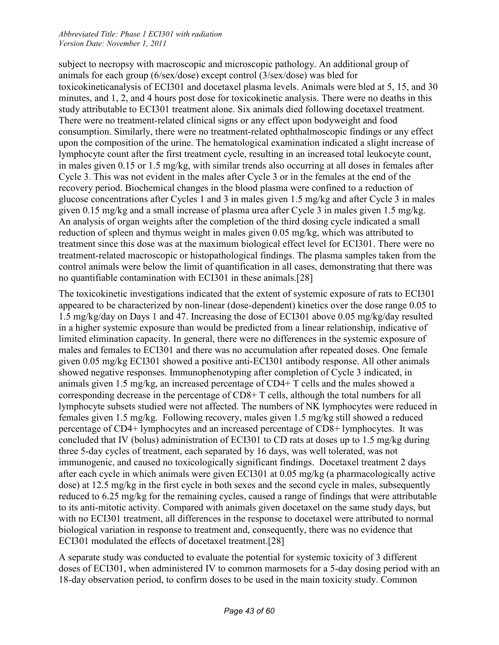subject to necropsy with macroscopic and microscopic pathology. An additional group of animals for each group (6/sex/dose) except control (3/sex/dose) was bled for toxicokineticanalysis of ECI301 and docetaxel plasma levels. Animals were bled at 5, 15, and 30 minutes, and 1, 2, and 4 hours post dose for toxicokinetic analysis. There were no deaths in this study attributable to ECI301 treatment alone. Six animals died following docetaxel treatment. There were no treatment-related clinical signs or any effect upon bodyweight and food consumption. Similarly, there were no treatment-related ophthalmoscopic findings or any effect upon the composition of the urine. The hematological examination indicated a slight increase of lymphocyte count after the first treatment cycle, resulting in an increased total leukocyte count, in males given 0.15 or 1.5 mg/kg, with similar trends also occurring at all doses in females after Cycle 3. This was not evident in the males after Cycle 3 or in the females at the end of the recovery period. Biochemical changes in the blood plasma were confined to a reduction of glucose concentrations after Cycles 1 and 3 in males given 1.5 mg/kg and after Cycle 3 in males given 0.15 mg/kg and a small increase of plasma urea after Cycle 3 in males given 1.5 mg/kg. An analysis of organ weights after the completion of the third dosing cycle indicated a small reduction of spleen and thymus weight in males given 0.05 mg/kg, which was attributed to treatment since this dose was at the maximum biological effect level for ECI301. There were no treatment-related macroscopic or histopathological findings. The plasma samples taken from the control animals were below the limit of quantification in all cases, demonstrating that there was no quantifiable contamination with ECI301 in these animals.[28]

The toxicokinetic investigations indicated that the extent of systemic exposure of rats to ECI301 appeared to be characterized by non-linear (dose-dependent) kinetics over the dose range 0.05 to 1.5 mg/kg/day on Days 1 and 47. Increasing the dose of ECI301 above 0.05 mg/kg/day resulted in a higher systemic exposure than would be predicted from a linear relationship, indicative of limited elimination capacity. In general, there were no differences in the systemic exposure of males and females to ECI301 and there was no accumulation after repeated doses. One female given 0.05 mg/kg ECI301 showed a positive anti-ECI301 antibody response. All other animals showed negative responses. Immunophenotyping after completion of Cycle 3 indicated, in animals given 1.5 mg/kg, an increased percentage of CD4+ T cells and the males showed a corresponding decrease in the percentage of CD8+ T cells, although the total numbers for all lymphocyte subsets studied were not affected. The numbers of NK lymphocytes were reduced in females given 1.5 mg/kg. Following recovery, males given 1.5 mg/kg still showed a reduced percentage of CD4+ lymphocytes and an increased percentage of CD8+ lymphocytes. It was concluded that IV (bolus) administration of ECI301 to CD rats at doses up to 1.5 mg/kg during three 5-day cycles of treatment, each separated by 16 days, was well tolerated, was not immunogenic, and caused no toxicologically significant findings. Docetaxel treatment 2 days after each cycle in which animals were given ECI301 at 0.05 mg/kg (a pharmacologically active dose) at 12.5 mg/kg in the first cycle in both sexes and the second cycle in males, subsequently reduced to 6.25 mg/kg for the remaining cycles, caused a range of findings that were attributable to its anti-mitotic activity. Compared with animals given docetaxel on the same study days, but with no ECI301 treatment, all differences in the response to docetaxel were attributed to normal biological variation in response to treatment and, consequently, there was no evidence that ECI301 modulated the effects of docetaxel treatment.[28]

A separate study was conducted to evaluate the potential for systemic toxicity of 3 different doses of ECI301, when administered IV to common marmosets for a 5-day dosing period with an 18-day observation period, to confirm doses to be used in the main toxicity study. Common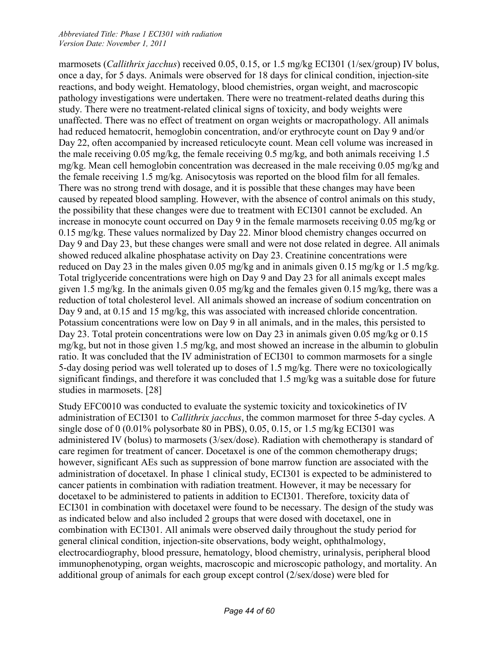marmosets (*Callithrix jacchus*) received 0.05, 0.15, or 1.5 mg/kg ECI301 (1/sex/group) IV bolus, once a day, for 5 days. Animals were observed for 18 days for clinical condition, injection-site reactions, and body weight. Hematology, blood chemistries, organ weight, and macroscopic pathology investigations were undertaken. There were no treatment-related deaths during this study. There were no treatment-related clinical signs of toxicity, and body weights were unaffected. There was no effect of treatment on organ weights or macropathology. All animals had reduced hematocrit, hemoglobin concentration, and/or erythrocyte count on Day 9 and/or Day 22, often accompanied by increased reticulocyte count. Mean cell volume was increased in the male receiving 0.05 mg/kg, the female receiving 0.5 mg/kg, and both animals receiving 1.5 mg/kg. Mean cell hemoglobin concentration was decreased in the male receiving 0.05 mg/kg and the female receiving 1.5 mg/kg. Anisocytosis was reported on the blood film for all females. There was no strong trend with dosage, and it is possible that these changes may have been caused by repeated blood sampling. However, with the absence of control animals on this study, the possibility that these changes were due to treatment with ECI301 cannot be excluded. An increase in monocyte count occurred on Day 9 in the female marmosets receiving 0.05 mg/kg or 0.15 mg/kg. These values normalized by Day 22. Minor blood chemistry changes occurred on Day 9 and Day 23, but these changes were small and were not dose related in degree. All animals showed reduced alkaline phosphatase activity on Day 23. Creatinine concentrations were reduced on Day 23 in the males given 0.05 mg/kg and in animals given 0.15 mg/kg or 1.5 mg/kg. Total triglyceride concentrations were high on Day 9 and Day 23 for all animals except males given 1.5 mg/kg. In the animals given 0.05 mg/kg and the females given 0.15 mg/kg, there was a reduction of total cholesterol level. All animals showed an increase of sodium concentration on Day 9 and, at 0.15 and 15 mg/kg, this was associated with increased chloride concentration. Potassium concentrations were low on Day 9 in all animals, and in the males, this persisted to Day 23. Total protein concentrations were low on Day 23 in animals given 0.05 mg/kg or 0.15 mg/kg, but not in those given 1.5 mg/kg, and most showed an increase in the albumin to globulin ratio. It was concluded that the IV administration of ECI301 to common marmosets for a single 5-day dosing period was well tolerated up to doses of 1.5 mg/kg. There were no toxicologically significant findings, and therefore it was concluded that 1.5 mg/kg was a suitable dose for future studies in marmosets. [28]

Study EFC0010 was conducted to evaluate the systemic toxicity and toxicokinetics of IV administration of ECI301 to *Callithrix jacchus*, the common marmoset for three 5-day cycles. A single dose of 0 (0.01% polysorbate 80 in PBS), 0.05, 0.15, or 1.5 mg/kg ECI301 was administered IV (bolus) to marmosets (3/sex/dose). Radiation with chemotherapy is standard of care regimen for treatment of cancer. Docetaxel is one of the common chemotherapy drugs; however, significant AEs such as suppression of bone marrow function are associated with the administration of docetaxel. In phase 1 clinical study, ECI301 is expected to be administered to cancer patients in combination with radiation treatment. However, it may be necessary for docetaxel to be administered to patients in addition to ECI301. Therefore, toxicity data of ECI301 in combination with docetaxel were found to be necessary. The design of the study was as indicated below and also included 2 groups that were dosed with docetaxel, one in combination with ECI301. All animals were observed daily throughout the study period for general clinical condition, injection-site observations, body weight, ophthalmology, electrocardiography, blood pressure, hematology, blood chemistry, urinalysis, peripheral blood immunophenotyping, organ weights, macroscopic and microscopic pathology, and mortality. An additional group of animals for each group except control (2/sex/dose) were bled for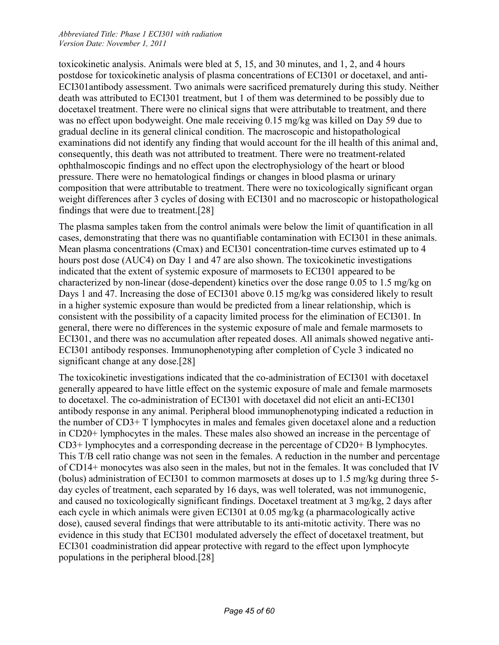toxicokinetic analysis. Animals were bled at 5, 15, and 30 minutes, and 1, 2, and 4 hours postdose for toxicokinetic analysis of plasma concentrations of ECI301 or docetaxel, and anti-ECI301antibody assessment. Two animals were sacrificed prematurely during this study. Neither death was attributed to ECI301 treatment, but 1 of them was determined to be possibly due to docetaxel treatment. There were no clinical signs that were attributable to treatment, and there was no effect upon bodyweight. One male receiving 0.15 mg/kg was killed on Day 59 due to gradual decline in its general clinical condition. The macroscopic and histopathological examinations did not identify any finding that would account for the ill health of this animal and, consequently, this death was not attributed to treatment. There were no treatment-related ophthalmoscopic findings and no effect upon the electrophysiology of the heart or blood pressure. There were no hematological findings or changes in blood plasma or urinary composition that were attributable to treatment. There were no toxicologically significant organ weight differences after 3 cycles of dosing with ECI301 and no macroscopic or histopathological findings that were due to treatment.[28]

The plasma samples taken from the control animals were below the limit of quantification in all cases, demonstrating that there was no quantifiable contamination with ECI301 in these animals. Mean plasma concentrations (Cmax) and ECI301 concentration-time curves estimated up to 4 hours post dose (AUC4) on Day 1 and 47 are also shown. The toxicokinetic investigations indicated that the extent of systemic exposure of marmosets to ECI301 appeared to be characterized by non-linear (dose-dependent) kinetics over the dose range 0.05 to 1.5 mg/kg on Days 1 and 47. Increasing the dose of ECI301 above 0.15 mg/kg was considered likely to result in a higher systemic exposure than would be predicted from a linear relationship, which is consistent with the possibility of a capacity limited process for the elimination of ECI301. In general, there were no differences in the systemic exposure of male and female marmosets to ECI301, and there was no accumulation after repeated doses. All animals showed negative anti-ECI301 antibody responses. Immunophenotyping after completion of Cycle 3 indicated no significant change at any dose.<sup>[28]</sup>

The toxicokinetic investigations indicated that the co-administration of ECI301 with docetaxel generally appeared to have little effect on the systemic exposure of male and female marmosets to docetaxel. The co-administration of ECI301 with docetaxel did not elicit an anti-ECI301 antibody response in any animal. Peripheral blood immunophenotyping indicated a reduction in the number of CD3+ T lymphocytes in males and females given docetaxel alone and a reduction in CD20+ lymphocytes in the males. These males also showed an increase in the percentage of CD3+ lymphocytes and a corresponding decrease in the percentage of CD20+ B lymphocytes. This T/B cell ratio change was not seen in the females. A reduction in the number and percentage of CD14+ monocytes was also seen in the males, but not in the females. It was concluded that IV (bolus) administration of ECI301 to common marmosets at doses up to 1.5 mg/kg during three 5 day cycles of treatment, each separated by 16 days, was well tolerated, was not immunogenic, and caused no toxicologically significant findings. Docetaxel treatment at 3 mg/kg, 2 days after each cycle in which animals were given ECI301 at 0.05 mg/kg (a pharmacologically active dose), caused several findings that were attributable to its anti-mitotic activity. There was no evidence in this study that ECI301 modulated adversely the effect of docetaxel treatment, but ECI301 coadministration did appear protective with regard to the effect upon lymphocyte populations in the peripheral blood.[28]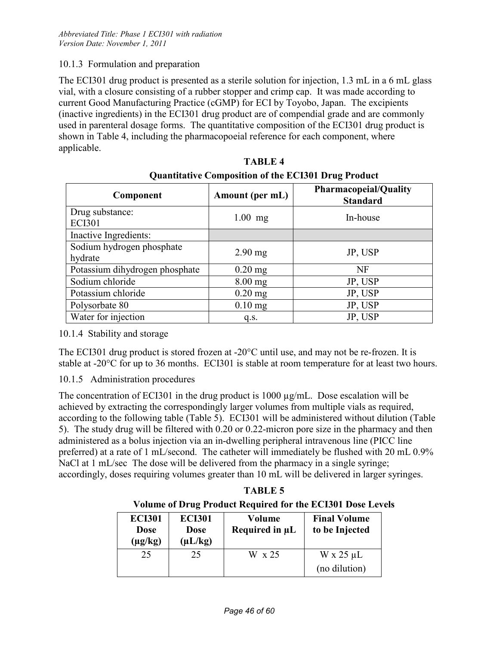#### 10.1.3 Formulation and preparation

The ECI301 drug product is presented as a sterile solution for injection, 1.3 mL in a 6 mL glass vial, with a closure consisting of a rubber stopper and crimp cap. It was made according to current Good Manufacturing Practice (cGMP) for ECI by Toyobo, Japan. The excipients (inactive ingredients) in the ECI301 drug product are of compendial grade and are commonly used in parenteral dosage forms. The quantitative composition of the ECI301 drug product is shown in Table 4, including the pharmacopoeial reference for each component, where applicable.

| Component                            | Amount (per mL) | <b>Pharmacopeial/Quality</b><br><b>Standard</b> |
|--------------------------------------|-----------------|-------------------------------------------------|
| Drug substance:<br><b>ECI301</b>     | $1.00$ mg       | In-house                                        |
| Inactive Ingredients:                |                 |                                                 |
| Sodium hydrogen phosphate<br>hydrate | $2.90$ mg       | JP, USP                                         |
| Potassium dihydrogen phosphate       | $0.20$ mg       | <b>NF</b>                                       |
| Sodium chloride                      | $8.00$ mg       | JP, USP                                         |
| Potassium chloride                   | $0.20$ mg       | JP, USP                                         |
| Polysorbate 80                       | $0.10$ mg       | JP, USP                                         |
| Water for injection                  | q.s.            | JP, USP                                         |

| <b>TABLE 4</b>                                             |
|------------------------------------------------------------|
| <b>Quantitative Composition of the ECI301 Drug Product</b> |

#### 10.1.4 Stability and storage

The ECI301 drug product is stored frozen at -20°C until use, and may not be re-frozen. It is stable at -20°C for up to 36 months. ECI301 is stable at room temperature for at least two hours.

#### 10.1.5 Administration procedures

The concentration of ECI301 in the drug product is  $1000 \mu g/mL$ . Dose escalation will be achieved by extracting the correspondingly larger volumes from multiple vials as required, according to the following table (Table 5). ECI301 will be administered without dilution (Table 5). The study drug will be filtered with 0.20 or 0.22-micron pore size in the pharmacy and then administered as a bolus injection via an in-dwelling peripheral intravenous line (PICC line preferred) at a rate of 1 mL/second. The catheter will immediately be flushed with 20 mL 0.9% NaCl at 1 mL/sec The dose will be delivered from the pharmacy in a single syringe; accordingly, doses requiring volumes greater than 10 mL will be delivered in larger syringes.

**TABLE 5 Volume of Drug Product Required for the ECI301 Dose Levels**

| <b>ECI301</b><br><b>Dose</b> | <b>ECI301</b><br>Dose | Volume<br>Required in µL | <b>Final Volume</b><br>to be Injected |
|------------------------------|-----------------------|--------------------------|---------------------------------------|
| $(\mu g/kg)$                 | $(\mu L/kg)$          |                          |                                       |
| 25                           | 25                    | W x 25                   | $W \times 25 \mu L$                   |
|                              |                       |                          | (no dilution)                         |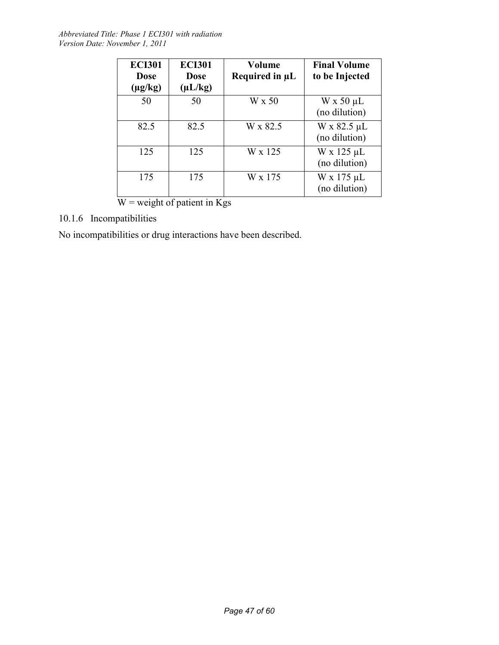| <b>ECI301</b><br><b>Dose</b><br>$(\mu g/kg)$ | <b>ECI301</b><br><b>Dose</b><br>$(\mu L/kg)$ | Volume<br>Required in µL | <b>Final Volume</b><br>to be Injected |
|----------------------------------------------|----------------------------------------------|--------------------------|---------------------------------------|
| 50                                           | 50                                           | W x 50                   | $W \times 50 \mu L$<br>(no dilution)  |
| 82.5                                         | 82.5                                         | W x 82.5                 | W x 82.5 µL<br>(no dilution)          |
| 125                                          | 125                                          | W x 125                  | $W \times 125 \mu L$<br>(no dilution) |
| 175                                          | 175                                          | W x 175                  | $W x 175 \mu L$<br>(no dilution)      |

 $W$  = weight of patient in Kgs

## 10.1.6 Incompatibilities

No incompatibilities or drug interactions have been described.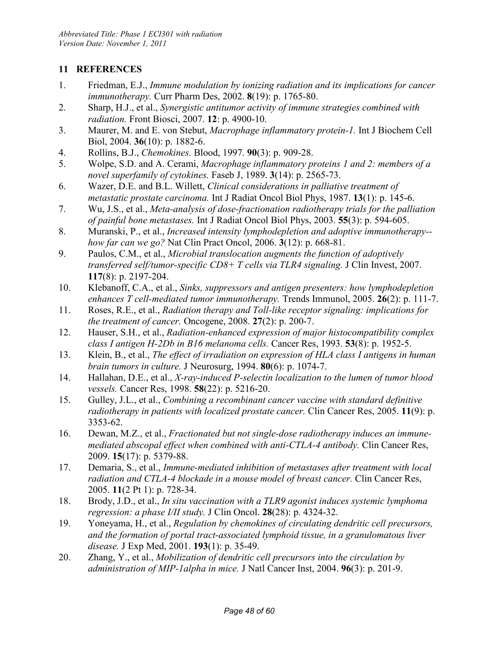## **11 REFERENCES**

- 1. Friedman, E.J., *Immune modulation by ionizing radiation and its implications for cancer immunotherapy.* Curr Pharm Des, 2002. **8**(19): p. 1765-80.
- 2. Sharp, H.J., et al., *Synergistic antitumor activity of immune strategies combined with radiation.* Front Biosci, 2007. **12**: p. 4900-10.
- 3. Maurer, M. and E. von Stebut, *Macrophage inflammatory protein-1.* Int J Biochem Cell Biol, 2004. **36**(10): p. 1882-6.
- 4. Rollins, B.J., *Chemokines.* Blood, 1997. **90**(3): p. 909-28.
- 5. Wolpe, S.D. and A. Cerami, *Macrophage inflammatory proteins 1 and 2: members of a novel superfamily of cytokines.* Faseb J, 1989. **3**(14): p. 2565-73.
- 6. Wazer, D.E. and B.L. Willett, *Clinical considerations in palliative treatment of metastatic prostate carcinoma.* Int J Radiat Oncol Biol Phys, 1987. **13**(1): p. 145-6.
- 7. Wu, J.S., et al., *Meta-analysis of dose-fractionation radiotherapy trials for the palliation of painful bone metastases.* Int J Radiat Oncol Biol Phys, 2003. **55**(3): p. 594-605.
- 8. Muranski, P., et al., *Increased intensity lymphodepletion and adoptive immunotherapy- how far can we go?* Nat Clin Pract Oncol, 2006. **3**(12): p. 668-81.
- 9. Paulos, C.M., et al., *Microbial translocation augments the function of adoptively transferred self/tumor-specific CD8+ T cells via TLR4 signaling.* J Clin Invest, 2007. **117**(8): p. 2197-204.
- 10. Klebanoff, C.A., et al., *Sinks, suppressors and antigen presenters: how lymphodepletion enhances T cell-mediated tumor immunotherapy.* Trends Immunol, 2005. **26**(2): p. 111-7.
- 11. Roses, R.E., et al., *Radiation therapy and Toll-like receptor signaling: implications for the treatment of cancer.* Oncogene, 2008. **27**(2): p. 200-7.
- 12. Hauser, S.H., et al., *Radiation-enhanced expression of major histocompatibility complex class I antigen H-2Db in B16 melanoma cells.* Cancer Res, 1993. **53**(8): p. 1952-5.
- 13. Klein, B., et al., *The effect of irradiation on expression of HLA class I antigens in human brain tumors in culture.* J Neurosurg, 1994. **80**(6): p. 1074-7.
- 14. Hallahan, D.E., et al., *X-ray-induced P-selectin localization to the lumen of tumor blood vessels.* Cancer Res, 1998. **58**(22): p. 5216-20.
- 15. Gulley, J.L., et al., *Combining a recombinant cancer vaccine with standard definitive radiotherapy in patients with localized prostate cancer.* Clin Cancer Res, 2005. **11**(9): p. 3353-62.
- 16. Dewan, M.Z., et al., *Fractionated but not single-dose radiotherapy induces an immunemediated abscopal effect when combined with anti-CTLA-4 antibody.* Clin Cancer Res, 2009. **15**(17): p. 5379-88.
- 17. Demaria, S., et al., *Immune-mediated inhibition of metastases after treatment with local radiation and CTLA-4 blockade in a mouse model of breast cancer.* Clin Cancer Res, 2005. **11**(2 Pt 1): p. 728-34.
- 18. Brody, J.D., et al., *In situ vaccination with a TLR9 agonist induces systemic lymphoma regression: a phase I/II study.* J Clin Oncol. **28**(28): p. 4324-32.
- 19. Yoneyama, H., et al., *Regulation by chemokines of circulating dendritic cell precursors, and the formation of portal tract-associated lymphoid tissue, in a granulomatous liver disease.* J Exp Med, 2001. **193**(1): p. 35-49.
- 20. Zhang, Y., et al., *Mobilization of dendritic cell precursors into the circulation by administration of MIP-1alpha in mice.* J Natl Cancer Inst, 2004. **96**(3): p. 201-9.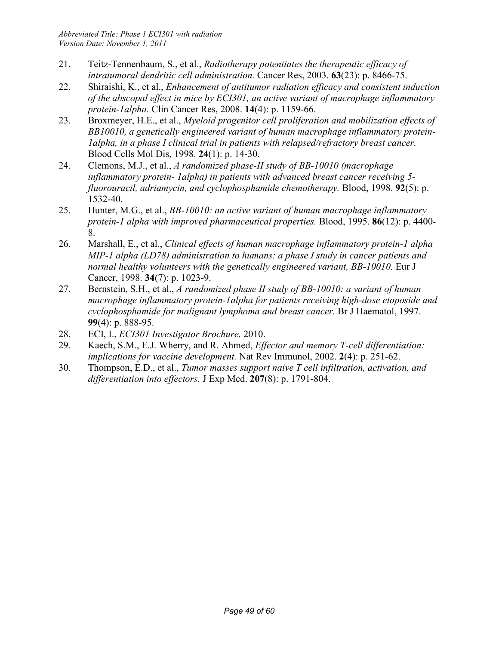- 21. Teitz-Tennenbaum, S., et al., *Radiotherapy potentiates the therapeutic efficacy of intratumoral dendritic cell administration.* Cancer Res, 2003. **63**(23): p. 8466-75.
- 22. Shiraishi, K., et al., *Enhancement of antitumor radiation efficacy and consistent induction of the abscopal effect in mice by ECI301, an active variant of macrophage inflammatory protein-1alpha.* Clin Cancer Res, 2008. **14**(4): p. 1159-66.
- 23. Broxmeyer, H.E., et al., *Myeloid progenitor cell proliferation and mobilization effects of BB10010, a genetically engineered variant of human macrophage inflammatory protein-1alpha, in a phase I clinical trial in patients with relapsed/refractory breast cancer.* Blood Cells Mol Dis, 1998. **24**(1): p. 14-30.
- 24. Clemons, M.J., et al., *A randomized phase-II study of BB-10010 (macrophage inflammatory protein- 1alpha) in patients with advanced breast cancer receiving 5 fluorouracil, adriamycin, and cyclophosphamide chemotherapy.* Blood, 1998. **92**(5): p. 1532-40.
- 25. Hunter, M.G., et al., *BB-10010: an active variant of human macrophage inflammatory protein-1 alpha with improved pharmaceutical properties.* Blood, 1995. **86**(12): p. 4400- 8.
- 26. Marshall, E., et al., *Clinical effects of human macrophage inflammatory protein-1 alpha MIP-1 alpha (LD78) administration to humans: a phase I study in cancer patients and normal healthy volunteers with the genetically engineered variant, BB-10010.* Eur J Cancer, 1998. **34**(7): p. 1023-9.
- 27. Bernstein, S.H., et al., *A randomized phase II study of BB-10010: a variant of human macrophage inflammatory protein-1alpha for patients receiving high-dose etoposide and cyclophosphamide for malignant lymphoma and breast cancer.* Br J Haematol, 1997. **99**(4): p. 888-95.
- 28. ECI, I., *ECI301 Investigator Brochure.* 2010.
- 29. Kaech, S.M., E.J. Wherry, and R. Ahmed, *Effector and memory T-cell differentiation: implications for vaccine development.* Nat Rev Immunol, 2002. **2**(4): p. 251-62.
- 30. Thompson, E.D., et al., *Tumor masses support naive T cell infiltration, activation, and differentiation into effectors.* J Exp Med. **207**(8): p. 1791-804.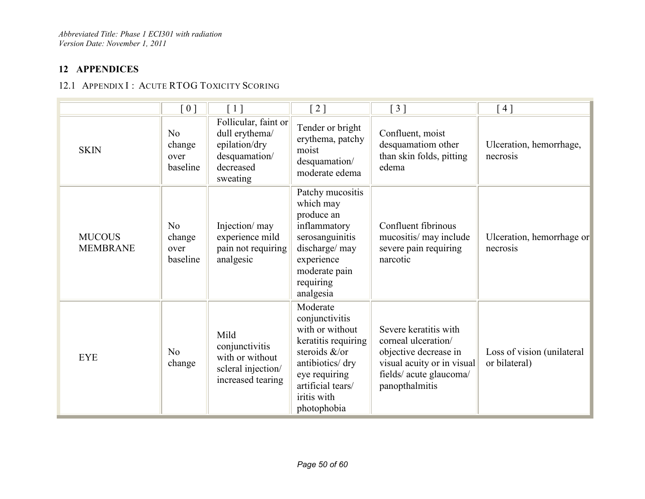## **12 APPENDICES**

## 12.1 APPENDIX I : ACUTE RTOG TOXICITY SCORING

|                                  | $[\ 0\ ]$                                    | [1]                                                                                               | $\lceil 2 \rceil$                                                                                                                                                             | $\lceil 3 \rceil$                                                                                                                               | [4]                                         |
|----------------------------------|----------------------------------------------|---------------------------------------------------------------------------------------------------|-------------------------------------------------------------------------------------------------------------------------------------------------------------------------------|-------------------------------------------------------------------------------------------------------------------------------------------------|---------------------------------------------|
| <b>SKIN</b>                      | N <sub>0</sub><br>change<br>over<br>baseline | Follicular, faint or<br>dull erythema/<br>epilation/dry<br>desquamation/<br>decreased<br>sweating | Tender or bright<br>erythema, patchy<br>moist<br>desquamation/<br>moderate edema                                                                                              | Confluent, moist<br>desquamatiom other<br>than skin folds, pitting<br>edema                                                                     | Ulceration, hemorrhage,<br>necrosis         |
| <b>MUCOUS</b><br><b>MEMBRANE</b> | No<br>change<br>over<br>baseline             | Injection/ may<br>experience mild<br>pain not requiring<br>analgesic                              | Patchy mucositis<br>which may<br>produce an<br>inflammatory<br>serosanguinitis<br>discharge/ may<br>experience<br>moderate pain<br>requiring<br>analgesia                     | Confluent fibrinous<br>mucositis/ may include<br>severe pain requiring<br>narcotic                                                              | Ulceration, hemorrhage or<br>necrosis       |
| <b>EYE</b>                       | N <sub>o</sub><br>change                     | Mild<br>conjunctivitis<br>with or without<br>scleral injection/<br>increased tearing              | Moderate<br>conjunctivitis<br>with or without<br>keratitis requiring<br>steroids &/or<br>antibiotics/ dry<br>eye requiring<br>artificial tears/<br>iritis with<br>photophobia | Severe keratitis with<br>corneal ulceration/<br>objective decrease in<br>visual acuity or in visual<br>fields/acute glaucoma/<br>panopthalmitis | Loss of vision (unilateral<br>or bilateral) |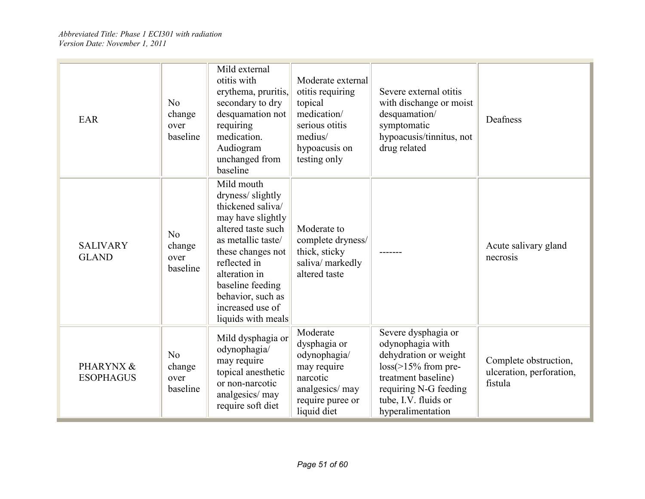| <b>EAR</b>                      | No<br>change<br>over<br>baseline             | Mild external<br>otitis with<br>erythema, pruritis,<br>secondary to dry<br>desquamation not<br>requiring<br>medication.<br>Audiogram<br>unchanged from<br>baseline                                                                                            | Moderate external<br>otitis requiring<br>topical<br>medication/<br>serious otitis<br>medius/<br>hypoacusis on<br>testing only | Severe external otitis<br>with dischange or moist<br>desquamation/<br>symptomatic<br>hypoacusis/tinnitus, not<br>drug related                                                           | Deafness                                                     |
|---------------------------------|----------------------------------------------|---------------------------------------------------------------------------------------------------------------------------------------------------------------------------------------------------------------------------------------------------------------|-------------------------------------------------------------------------------------------------------------------------------|-----------------------------------------------------------------------------------------------------------------------------------------------------------------------------------------|--------------------------------------------------------------|
| <b>SALIVARY</b><br><b>GLAND</b> | No<br>change<br>over<br>baseline             | Mild mouth<br>dryness/slightly<br>thickened saliva/<br>may have slightly<br>altered taste such<br>as metallic taste/<br>these changes not<br>reflected in<br>alteration in<br>baseline feeding<br>behavior, such as<br>increased use of<br>liquids with meals | Moderate to<br>complete dryness/<br>thick, sticky<br>saliva/ markedly<br>altered taste                                        |                                                                                                                                                                                         | Acute salivary gland<br>necrosis                             |
| PHARYNX &<br><b>ESOPHAGUS</b>   | N <sub>0</sub><br>change<br>over<br>baseline | Mild dysphagia or<br>odynophagia/<br>may require<br>topical anesthetic<br>or non-narcotic<br>analgesics/may<br>require soft diet                                                                                                                              | Moderate<br>dysphagia or<br>odynophagia/<br>may require<br>narcotic<br>analgesics/ may<br>require puree or<br>liquid diet     | Severe dysphagia or<br>odynophagia with<br>dehydration or weight<br>$loss$ = 15% from pre-<br>treatment baseline)<br>requiring N-G feeding<br>tube, I.V. fluids or<br>hyperalimentation | Complete obstruction,<br>ulceration, perforation,<br>fistula |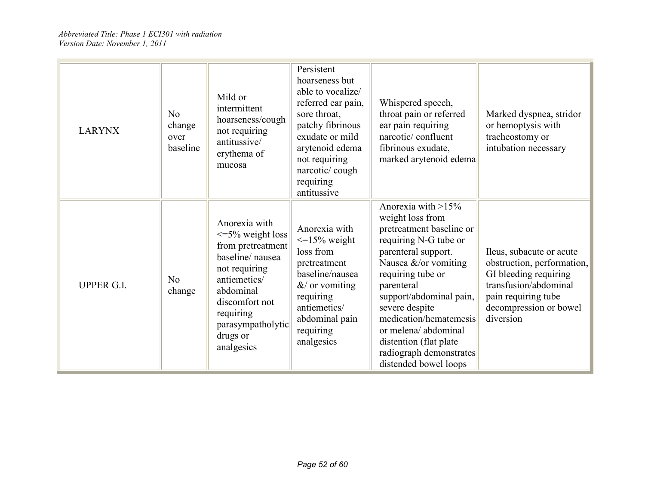| <b>LARYNX</b>     | No<br>change<br>over<br>baseline | Mild or<br>intermittent<br>hoarseness/cough<br>not requiring<br>antitussive/<br>erythema of<br>mucosa                                                                                                      | Persistent<br>hoarseness but<br>able to vocalize/<br>referred ear pain,<br>sore throat,<br>patchy fibrinous<br>exudate or mild<br>arytenoid edema<br>not requiring<br>narcotic/cough<br>requiring<br>antitussive | Whispered speech,<br>throat pain or referred<br>ear pain requiring<br>narcotic/confluent<br>fibrinous exudate,<br>marked arytenoid edema                                                                                                                                                                                                                     | Marked dyspnea, stridor<br>or hemoptysis with<br>tracheostomy or<br>intubation necessary                                                                               |
|-------------------|----------------------------------|------------------------------------------------------------------------------------------------------------------------------------------------------------------------------------------------------------|------------------------------------------------------------------------------------------------------------------------------------------------------------------------------------------------------------------|--------------------------------------------------------------------------------------------------------------------------------------------------------------------------------------------------------------------------------------------------------------------------------------------------------------------------------------------------------------|------------------------------------------------------------------------------------------------------------------------------------------------------------------------|
| <b>UPPER G.I.</b> | No<br>change                     | Anorexia with<br>$\leq$ 5% weight loss<br>from pretreatment<br>baseline/nausea<br>not requiring<br>antiemetics/<br>abdominal<br>discomfort not<br>requiring<br>parasympatholytic<br>drugs or<br>analgesics | Anorexia with<br>$\leq$ 15% weight<br>loss from<br>pretreatment<br>baseline/nausea<br>$&$ or vomiting<br>requiring<br>antiemetics/<br>abdominal pain<br>requiring<br>analgesics                                  | Anorexia with $>15\%$<br>weight loss from<br>pretreatment baseline or<br>requiring N-G tube or<br>parenteral support.<br>Nausea &/or vomiting<br>requiring tube or<br>parenteral<br>support/abdominal pain,<br>severe despite<br>medication/hematemesis<br>or melena/abdominal<br>distention (flat plate<br>radiograph demonstrates<br>distended bowel loops | Ileus, subacute or acute<br>obstruction, performation,<br>GI bleeding requiring<br>transfusion/abdominal<br>pain requiring tube<br>decompression or bowel<br>diversion |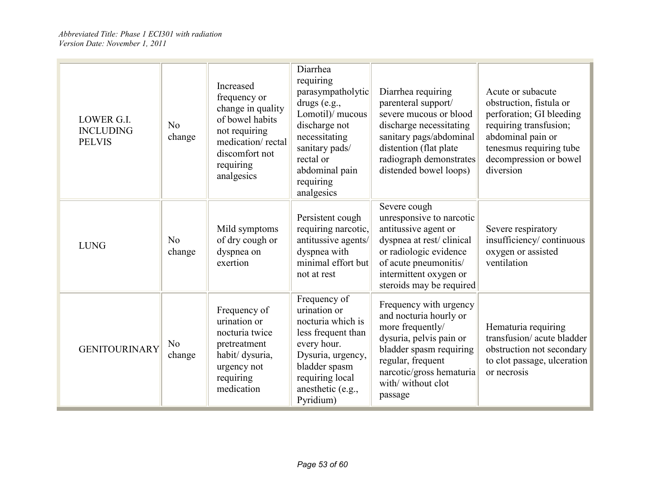| LOWER G.I.<br><b>INCLUDING</b><br><b>PELVIS</b> | No<br>change             | Increased<br>frequency or<br>change in quality<br>of bowel habits<br>not requiring<br>medication/rectal<br>discomfort not<br>requiring<br>analgesics | Diarrhea<br>requiring<br>parasympatholytic<br>drugs (e.g.,<br>Lomotil)/ mucous<br>discharge not<br>necessitating<br>sanitary pads/<br>rectal or<br>abdominal pain<br>requiring<br>analgesics | Diarrhea requiring<br>parenteral support/<br>severe mucous or blood<br>discharge necessitating<br>sanitary pags/abdominal<br>distention (flat plate)<br>radiograph demonstrates<br>distended bowel loops)   | Acute or subacute<br>obstruction, fistula or<br>perforation; GI bleeding<br>requiring transfusion;<br>abdominal pain or<br>tenesmus requiring tube<br>decompression or bowel<br>diversion |
|-------------------------------------------------|--------------------------|------------------------------------------------------------------------------------------------------------------------------------------------------|----------------------------------------------------------------------------------------------------------------------------------------------------------------------------------------------|-------------------------------------------------------------------------------------------------------------------------------------------------------------------------------------------------------------|-------------------------------------------------------------------------------------------------------------------------------------------------------------------------------------------|
| <b>LUNG</b>                                     | No<br>change             | Mild symptoms<br>of dry cough or<br>dyspnea on<br>exertion                                                                                           | Persistent cough<br>requiring narcotic,<br>antitussive agents/<br>dyspnea with<br>minimal effort but<br>not at rest                                                                          | Severe cough<br>unresponsive to narcotic<br>antitussive agent or<br>dyspnea at rest/clinical<br>or radiologic evidence<br>of acute pneumonitis/<br>intermittent oxygen or<br>steroids may be required       | Severe respiratory<br>insufficiency/continuous<br>oxygen or assisted<br>ventilation                                                                                                       |
| <b>GENITOURINARY</b>                            | N <sub>o</sub><br>change | Frequency of<br>urination or<br>nocturia twice<br>pretreatment<br>habit/ dysuria,<br>urgency not<br>requiring<br>medication                          | Frequency of<br>urination or<br>nocturia which is<br>less frequent than<br>every hour.<br>Dysuria, urgency,<br>bladder spasm<br>requiring local<br>anesthetic (e.g.,<br>Pyridium)            | Frequency with urgency<br>and nocturia hourly or<br>more frequently/<br>dysuria, pelvis pain or<br>bladder spasm requiring<br>regular, frequent<br>narcotic/gross hematuria<br>with/without clot<br>passage | Hematuria requiring<br>transfusion/acute bladder<br>obstruction not secondary<br>to clot passage, ulceration<br>or necrosis                                                               |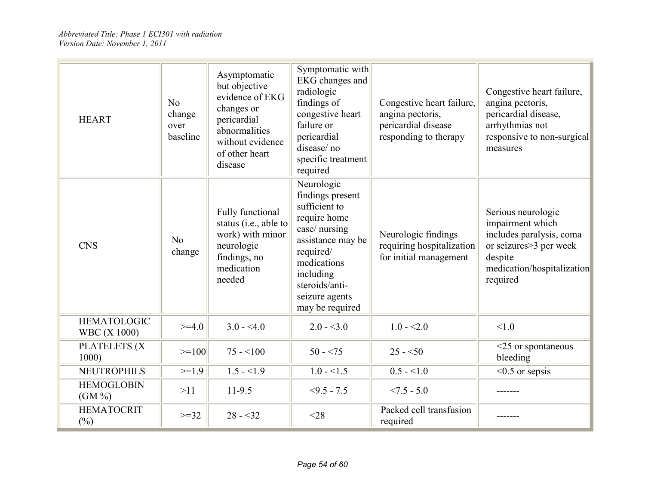| <b>HEART</b>                              | No<br>change<br>over<br>baseline | Asymptomatic<br>but objective<br>evidence of EKG<br>changes or<br>pericardial<br>abnormalities<br>without evidence<br>of other heart<br>disease | Symptomatic with<br>EKG changes and<br>radiologic<br>findings of<br>congestive heart<br>failure or<br>pericardial<br>disease/no<br>specific treatment<br>required                                     | Congestive heart failure,<br>angina pectoris,<br>pericardial disease<br>responding to therapy | Congestive heart failure,<br>angina pectoris,<br>pericardial disease,<br>arrhythmias not<br>responsive to non-surgical<br>measures                  |
|-------------------------------------------|----------------------------------|-------------------------------------------------------------------------------------------------------------------------------------------------|-------------------------------------------------------------------------------------------------------------------------------------------------------------------------------------------------------|-----------------------------------------------------------------------------------------------|-----------------------------------------------------------------------------------------------------------------------------------------------------|
| <b>CNS</b>                                | No<br>change                     | Fully functional<br>status (i.e., able to<br>work) with minor<br>neurologic<br>findings, no<br>medication<br>needed                             | Neurologic<br>findings present<br>sufficient to<br>require home<br>case/ nursing<br>assistance may be<br>required/<br>medications<br>including<br>steroids/anti-<br>seizure agents<br>may be required | Neurologic findings<br>requiring hospitalization<br>for initial management                    | Serious neurologic<br>impairment which<br>includes paralysis, coma<br>or seizures > 3 per week<br>despite<br>medication/hospitalization<br>required |
| <b>HEMATOLOGIC</b><br><b>WBC</b> (X 1000) | $>=4.0$                          | $3.0 - 4.0$                                                                                                                                     | $2.0 - 3.0$                                                                                                                                                                                           | $1.0 - 2.0$                                                                                   | < 1.0                                                                                                                                               |
| PLATELETS (X<br>1000                      | $>=100$                          | $75 - 100$                                                                                                                                      | $50 - 75$                                                                                                                                                                                             | $25 - 50$                                                                                     | $<$ 25 or spontaneous<br>bleeding                                                                                                                   |
| <b>NEUTROPHILS</b>                        | $>=1.9$                          | $1.5 - 1.9$                                                                                                                                     | $1.0 - 1.5$                                                                                                                                                                                           | $0.5 - 1.0$                                                                                   | $< 0.5$ or sepsis                                                                                                                                   |
| <b>HEMOGLOBIN</b><br>$(GM\%)$             | >11                              | $11-9.5$                                                                                                                                        | $<9.5 - 7.5$                                                                                                                                                                                          | $< 7.5 - 5.0$                                                                                 |                                                                                                                                                     |
| <b>HEMATOCRIT</b><br>$(\%)$               | $>=32$                           | $28 - 32$                                                                                                                                       | $<$ 28                                                                                                                                                                                                | Packed cell transfusion<br>required                                                           |                                                                                                                                                     |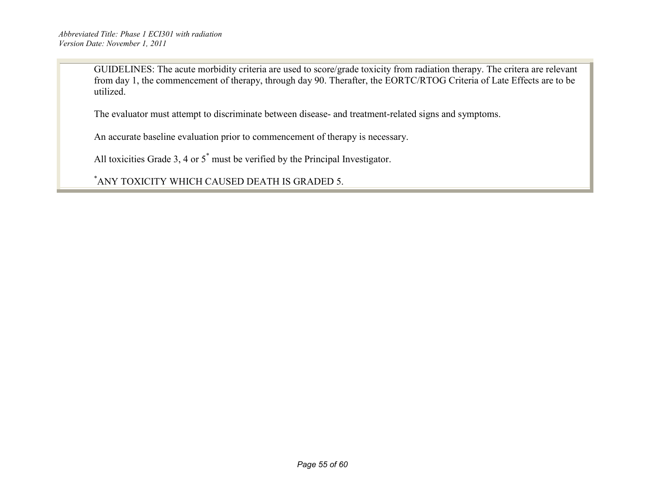GUIDELINES: The acute morbidity criteria are used to score/grade toxicity from radiation therapy. The critera are relevant from day 1, the commencement of therapy, through day 90. Therafter, the EORTC/RTOG Criteria of Late Effects are to be utilized.

The evaluator must attempt to discriminate between disease- and treatment-related signs and symptoms.

An accurate baseline evaluation prior to commencement of therapy is necessary.

All toxicities Grade 3, 4 or 5\* must be verified by the Principal Investigator.

\* ANY TOXICITY WHICH CAUSED DEATH IS GRADED 5.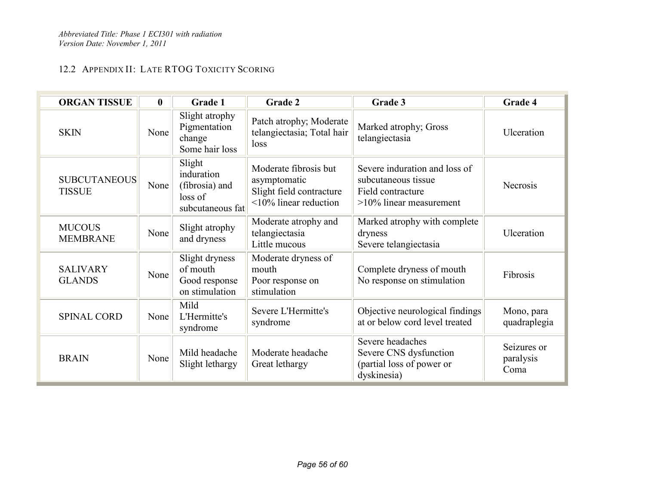## 12.2 APPENDIX II: LATE RTOG TOXICITY SCORING

| <b>ORGAN TISSUE</b>                  | $\boldsymbol{0}$ | Grade 1                                                               | Grade 2                                                                                          | Grade 3                                                                                                 | Grade 4                          |
|--------------------------------------|------------------|-----------------------------------------------------------------------|--------------------------------------------------------------------------------------------------|---------------------------------------------------------------------------------------------------------|----------------------------------|
| <b>SKIN</b>                          | None             | Slight atrophy<br>Pigmentation<br>change<br>Some hair loss            | Patch atrophy; Moderate<br>telangiectasia; Total hair<br>loss                                    | Marked atrophy; Gross<br>telangiectasia                                                                 | Ulceration                       |
| <b>SUBCUTANEOUS</b><br><b>TISSUE</b> | None             | Slight<br>induration<br>(fibrosia) and<br>loss of<br>subcutaneous fat | Moderate fibrosis but<br>asymptomatic<br>Slight field contracture<br>$\leq$ 10% linear reduction | Severe induration and loss of<br>subcutaneous tissue<br>Field contracture<br>$>10\%$ linear measurement | <b>Necrosis</b>                  |
| <b>MUCOUS</b><br><b>MEMBRANE</b>     | None             | Slight atrophy<br>and dryness                                         | Moderate atrophy and<br>telangiectasia<br>Little mucous                                          | Marked atrophy with complete<br>dryness<br>Severe telangiectasia                                        | Ulceration                       |
| <b>SALIVARY</b><br><b>GLANDS</b>     | None             | Slight dryness<br>of mouth<br>Good response<br>on stimulation         | Moderate dryness of<br>mouth<br>Poor response on<br>stimulation                                  | Complete dryness of mouth<br>No response on stimulation                                                 | Fibrosis                         |
| <b>SPINAL CORD</b>                   | None             | Mild<br>L'Hermitte's<br>syndrome                                      | Severe L'Hermitte's<br>syndrome                                                                  | Objective neurological findings<br>at or below cord level treated                                       | Mono, para<br>quadraplegia       |
| <b>BRAIN</b>                         | None             | Mild headache<br>Slight lethargy                                      | Moderate headache<br>Great lethargy                                                              | Severe headaches<br>Severe CNS dysfunction<br>(partial loss of power or<br>dyskinesia)                  | Seizures or<br>paralysis<br>Coma |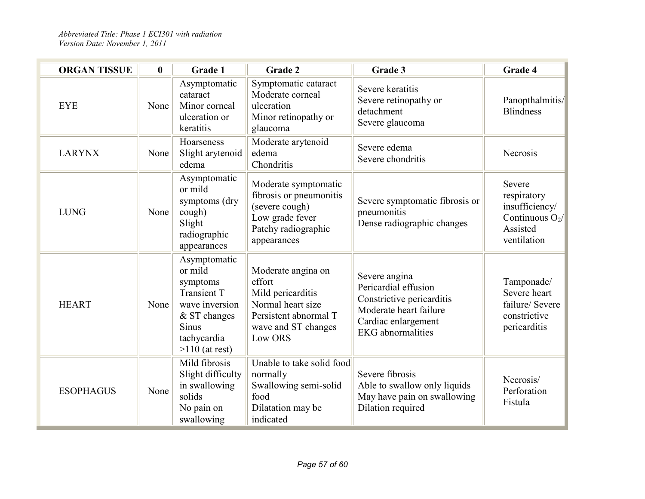| <b>ORGAN TISSUE</b> | $\boldsymbol{0}$ | Grade 1                                                                                                                                        | Grade 2                                                                                                                           | Grade 3                                                                                                                                         | Grade 4                                                                                  |
|---------------------|------------------|------------------------------------------------------------------------------------------------------------------------------------------------|-----------------------------------------------------------------------------------------------------------------------------------|-------------------------------------------------------------------------------------------------------------------------------------------------|------------------------------------------------------------------------------------------|
| <b>EYE</b>          | None             | Asymptomatic<br>cataract<br>Minor corneal<br>ulceration or<br>keratitis                                                                        | Symptomatic cataract<br>Moderate corneal<br>ulceration<br>Minor retinopathy or<br>glaucoma                                        | Severe keratitis<br>Severe retinopathy or<br>detachment<br>Severe glaucoma                                                                      | Panopthalmitis/<br><b>Blindness</b>                                                      |
| <b>LARYNX</b>       | None             | Hoarseness<br>Slight arytenoid<br>edema                                                                                                        | Moderate arytenoid<br>edema<br>Chondritis                                                                                         | Severe edema<br>Severe chondritis                                                                                                               | Necrosis                                                                                 |
| <b>LUNG</b>         | None             | Asymptomatic<br>or mild<br>symptoms (dry<br>cough)<br>Slight<br>radiographic<br>appearances                                                    | Moderate symptomatic<br>fibrosis or pneumonitis<br>(severe cough)<br>Low grade fever<br>Patchy radiographic<br>appearances        | Severe symptomatic fibrosis or<br>pneumonitis<br>Dense radiographic changes                                                                     | Severe<br>respiratory<br>insufficiency/<br>Continuous $O_2$ /<br>Assisted<br>ventilation |
| <b>HEART</b>        | None             | Asymptomatic<br>or mild<br>symptoms<br><b>Transient T</b><br>wave inversion<br>& ST changes<br><b>Sinus</b><br>tachycardia<br>$>110$ (at rest) | Moderate angina on<br>effort<br>Mild pericarditis<br>Normal heart size<br>Persistent abnormal T<br>wave and ST changes<br>Low ORS | Severe angina<br>Pericardial effusion<br>Constrictive pericarditis<br>Moderate heart failure<br>Cardiac enlargement<br><b>EKG</b> abnormalities | Tamponade/<br>Severe heart<br>failure/ Severe<br>constrictive<br>pericarditis            |
| <b>ESOPHAGUS</b>    | None             | Mild fibrosis<br>Slight difficulty<br>in swallowing<br>solids<br>No pain on<br>swallowing                                                      | Unable to take solid food<br>normally<br>Swallowing semi-solid<br>food<br>Dilatation may be<br>indicated                          | Severe fibrosis<br>Able to swallow only liquids<br>May have pain on swallowing<br>Dilation required                                             | Necrosis/<br>Perforation<br>Fistula                                                      |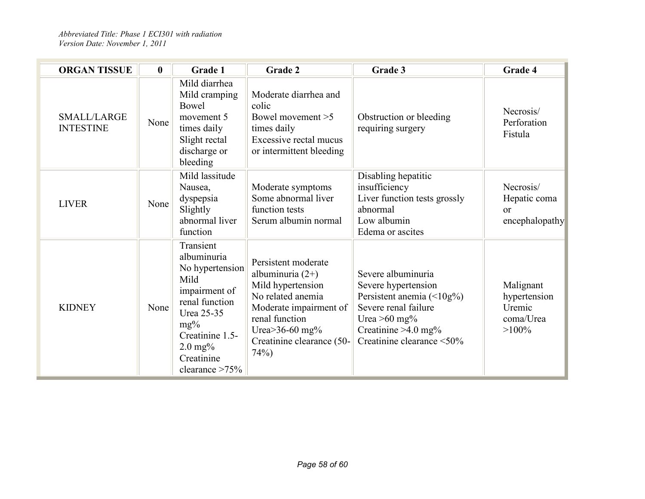| <b>ORGAN TISSUE</b>             | $\bf{0}$ | <b>Grade 1</b>                                                                                                                                                                                | <b>Grade 2</b>                                                                                                                                                                                    | Grade 3                                                                                                                                                                       | Grade 4                                                      |
|---------------------------------|----------|-----------------------------------------------------------------------------------------------------------------------------------------------------------------------------------------------|---------------------------------------------------------------------------------------------------------------------------------------------------------------------------------------------------|-------------------------------------------------------------------------------------------------------------------------------------------------------------------------------|--------------------------------------------------------------|
| SMALL/LARGE<br><b>INTESTINE</b> | None     | Mild diarrhea<br>Mild cramping<br>Bowel<br>movement 5<br>times daily<br>Slight rectal<br>discharge or<br>bleeding                                                                             | Moderate diarrhea and<br>colic<br>Bowel movement >5<br>times daily<br>Excessive rectal mucus<br>or intermittent bleeding                                                                          | Obstruction or bleeding<br>requiring surgery                                                                                                                                  | Necrosis/<br>Perforation<br>Fistula                          |
| <b>LIVER</b>                    | None     | Mild lassitude<br>Nausea,<br>dyspepsia<br>Slightly<br>abnormal liver<br>function                                                                                                              | Moderate symptoms<br>Some abnormal liver<br>function tests<br>Serum albumin normal                                                                                                                | Disabling hepatitic<br>insufficiency<br>Liver function tests grossly<br>abnormal<br>Low albumin<br>Edema or ascites                                                           | Necrosis/<br>Hepatic coma<br><sub>or</sub><br>encephalopathy |
| <b>KIDNEY</b>                   | None     | Transient<br>albuminuria<br>No hypertension<br>Mild<br>impairment of<br>renal function<br>Urea 25-35<br>$mg\%$<br>Creatinine 1.5-<br>$2.0 \,\mathrm{mg\%}$<br>Creatinine<br>clearance $>75\%$ | Persistent moderate<br>albuminuria $(2+)$<br>Mild hypertension<br>No related anemia<br>Moderate impairment of<br>renal function<br>Urea $>$ 36-60 mg $\%$<br>Creatinine clearance (50-<br>$74%$ ) | Severe albuminuria<br>Severe hypertension<br>Persistent anemia $(\leq 10g\%)$<br>Severe renal failure<br>Urea $>60$ mg%<br>Creatinine $>4.0$ mg%<br>Creatinine clearance <50% | Malignant<br>hypertension<br>Uremic<br>coma/Urea<br>$>100\%$ |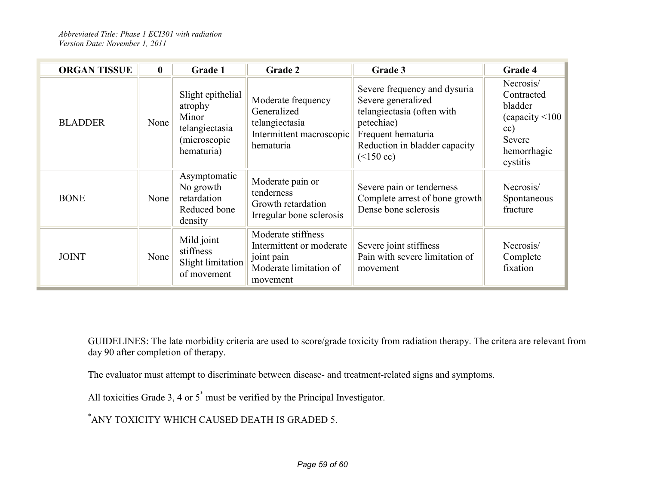| <b>ORGAN TISSUE</b> | $\mathbf{0}$ | Grade 1                                                                                | Grade 2                                                                                            | Grade 3                                                                                                                                                              | Grade 4                                                                                           |
|---------------------|--------------|----------------------------------------------------------------------------------------|----------------------------------------------------------------------------------------------------|----------------------------------------------------------------------------------------------------------------------------------------------------------------------|---------------------------------------------------------------------------------------------------|
| <b>BLADDER</b>      | None         | Slight epithelial<br>atrophy<br>Minor<br>telangiectasia<br>(microscopic)<br>hematuria) | Moderate frequency<br>Generalized<br>telangiectasia<br>Intermittent macroscopic<br>hematuria       | Severe frequency and dysuria<br>Severe generalized<br>telangiectasia (often with<br>petechiae)<br>Frequent hematuria<br>Reduction in bladder capacity<br>$(<150$ cc) | Necrosis/<br>Contracted<br>bladder<br>(capacity < 100<br>cc)<br>Severe<br>hemorrhagic<br>cystitis |
| <b>BONE</b>         | None         | Asymptomatic<br>No growth<br>retardation<br>Reduced bone<br>density                    | Moderate pain or<br>tenderness<br>Growth retardation<br>Irregular bone sclerosis                   | Severe pain or tenderness<br>Complete arrest of bone growth<br>Dense bone sclerosis                                                                                  | Necrosis/<br>Spontaneous<br>fracture                                                              |
| <b>JOINT</b>        | None         | Mild joint<br>stiffness<br>Slight limitation<br>of movement                            | Moderate stiffness<br>Intermittent or moderate<br>joint pain<br>Moderate limitation of<br>movement | Severe joint stiffness<br>Pain with severe limitation of<br>movement                                                                                                 | Necrosis/<br>Complete<br>fixation                                                                 |

GUIDELINES: The late morbidity criteria are used to score/grade toxicity from radiation therapy. The critera are relevant from day 90 after completion of therapy.

The evaluator must attempt to discriminate between disease- and treatment-related signs and symptoms.

All toxicities Grade 3, 4 or 5\* must be verified by the Principal Investigator.

\* ANY TOXICITY WHICH CAUSED DEATH IS GRADED 5.